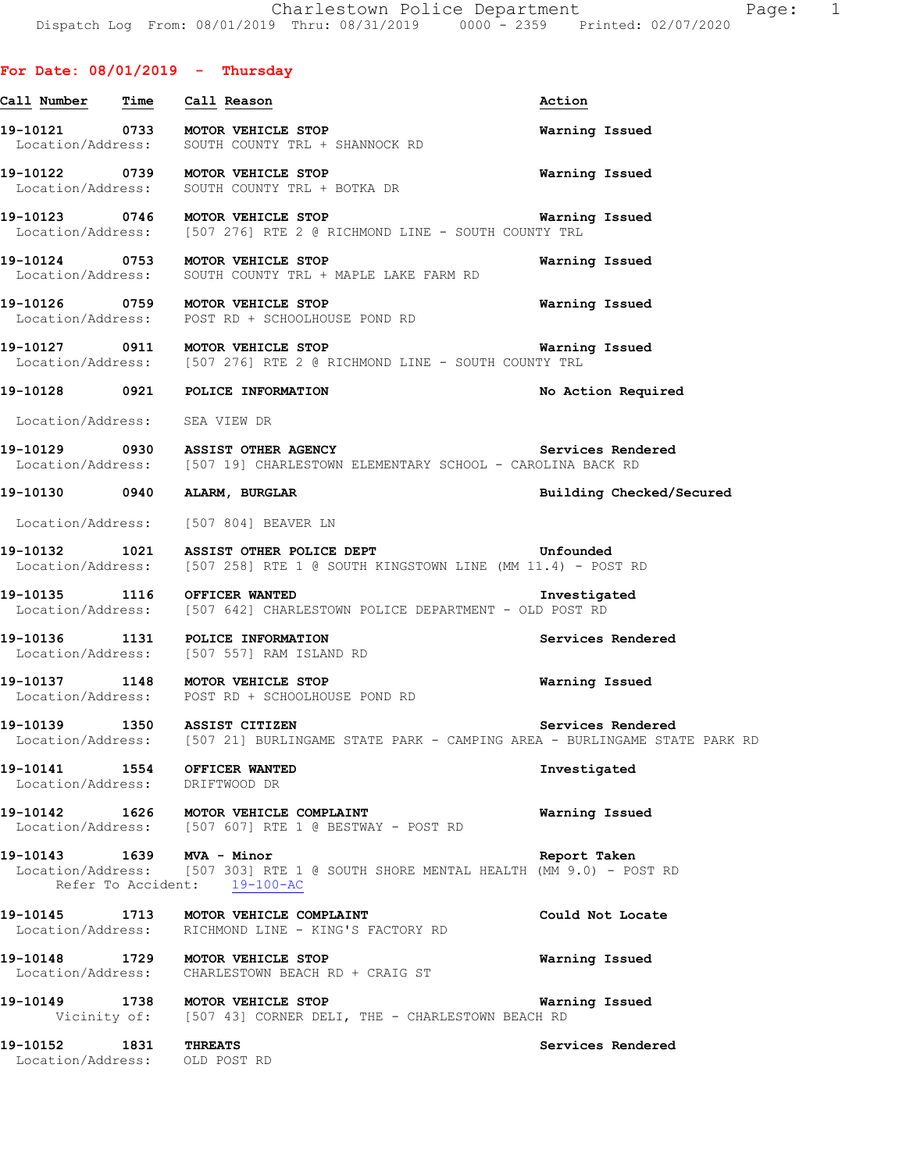|  | For Date: 08/01/2019 | Thursday |
|--|----------------------|----------|
|  |                      |          |

| <u>Call Number – Time – Call Reason</u>        |                                                                                                                                  | Action                   |
|------------------------------------------------|----------------------------------------------------------------------------------------------------------------------------------|--------------------------|
|                                                | 19-10121 0733 MOTOR VEHICLE STOP<br>Location/Address: SOUTH COUNTY TRL + SHANNOCK RD                                             | Warning Issued           |
|                                                | 19-10122 0739 MOTOR VEHICLE STOP<br>Location/Address: SOUTH COUNTY TRL + BOTKA DR                                                | Warning Issued           |
|                                                | 19-10123 0746 MOTOR VEHICLE STOP<br>Location/Address: [507 276] RTE 2 @ RICHMOND LINE - SOUTH COUNTY TRL                         | Warning Issued           |
|                                                | 19-10124 0753 MOTOR VEHICLE STOP<br>Location/Address: SOUTH COUNTY TRL + MAPLE LAKE FARM RD                                      | Warning Issued           |
|                                                | 19-10126 0759 MOTOR VEHICLE STOP<br>Location/Address: POST RD + SCHOOLHOUSE POND RD                                              | Warning Issued           |
|                                                | 19-10127   0911   MOTOR VEHICLE STOP<br>Location/Address: [507 276] RTE 2 @ RICHMOND LINE - SOUTH COUNTY TRL                     | Warning Issued           |
|                                                | 19-10128 0921 POLICE INFORMATION                                                                                                 | No Action Required       |
| Location/Address: SEA VIEW DR                  |                                                                                                                                  |                          |
|                                                | 19-10129 0930 ASSIST OTHER AGENCY<br>Location/Address: [507 19] CHARLESTOWN ELEMENTARY SCHOOL - CAROLINA BACK RD                 | Services Rendered        |
|                                                | 19-10130 0940 ALARM, BURGLAR                                                                                                     | Building Checked/Secured |
|                                                | Location/Address: [507 804] BEAVER LN                                                                                            |                          |
|                                                | 19-10132 1021 ASSIST OTHER POLICE DEPT Unfounded<br>Location/Address: [507 258] RTE 1 @ SOUTH KINGSTOWN LINE (MM 11.4) - POST RD |                          |
|                                                | 19-10135 1116 OFFICER WANTED Investiga<br>Location/Address: [507 642] CHARLESTOWN POLICE DEPARTMENT - OLD POST RD                | Investigated             |
|                                                | 19-10136 1131 POLICE INFORMATION<br>Location/Address: [507 557] RAM ISLAND RD                                                    | Services Rendered        |
|                                                | 19-10137 1148 MOTOR VEHICLE STOP<br>Location/Address: POST RD + SCHOOLHOUSE POND RD                                              | Warning Issued           |
|                                                | 19-10139 1350 ASSIST CITIZEN<br>Location/Address: [507 21] BURLINGAME STATE PARK - CAMPING AREA - BURLINGAME STATE PARK RD       | Services Rendered        |
| Location/Address: DRIFTWOOD DR                 | 19-10141 1554 OFFICER WANTED                                                                                                     | Investigated             |
|                                                | 19-10142 1626 MOTOR VEHICLE COMPLAINT<br>Location/Address: [507 607] RTE 1 @ BESTWAY - POST RD                                   | Warning Issued           |
| 19-10143 1639 MVA - Minor                      | Location/Address: [507 303] RTE 1 @ SOUTH SHORE MENTAL HEALTH (MM 9.0) - POST RD<br>Refer To Accident: 19-100-AC                 | Report Taken             |
|                                                | 19-10145 1713 MOTOR VEHICLE COMPLAINT<br>Location/Address: RICHMOND LINE - KING'S FACTORY RD                                     | Could Not Locate         |
|                                                | 19-10148 1729 MOTOR VEHICLE STOP<br>Location/Address: CHARLESTOWN BEACH RD + CRAIG ST                                            | Warning Issued           |
|                                                | 19-10149 1738 MOTOR VEHICLE STOP<br>Vicinity of: [507 43] CORNER DELI, THE - CHARLESTOWN BEACH RD                                | Warning Issued           |
| 19-10152 1831<br>Location/Address: OLD POST RD | <b>THREATS</b>                                                                                                                   | Services Rendered        |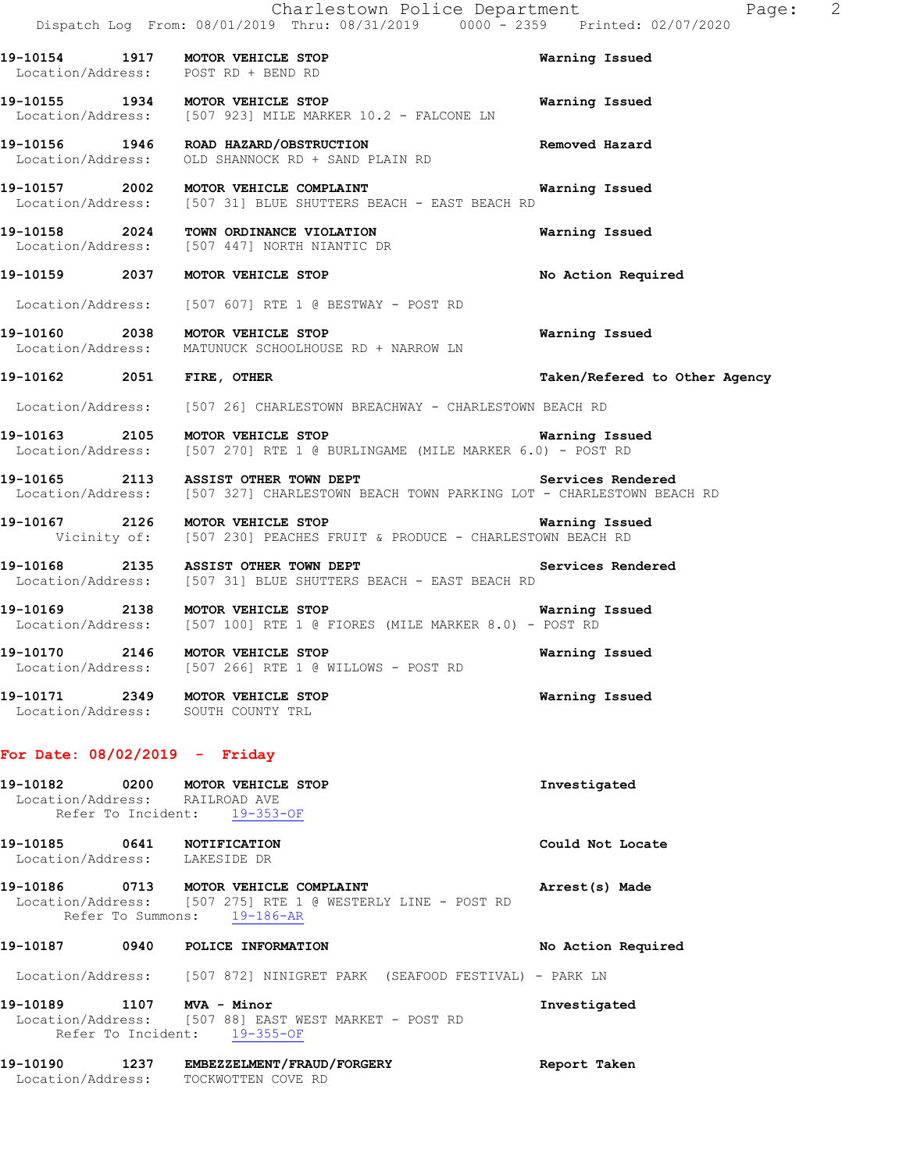|                                                             | Charlestown Police Department<br>Dispatch Log From: 08/01/2019 Thru: 08/31/2019 0000 - 2359 Printed: 02/07/2020                                 | Page: 2                       |
|-------------------------------------------------------------|-------------------------------------------------------------------------------------------------------------------------------------------------|-------------------------------|
|                                                             | 19-10154 1917 MOTOR VEHICLE STOP<br>Location/Address: POST RD + BEND RD                                                                         | Warning Issued                |
|                                                             | 19-10155 1934 MOTOR VEHICLE STOP<br>Location/Address: [507 923] MILE MARKER 10.2 - FALCONE LN                                                   | Warning Issued                |
|                                                             | 19-10156 1946 ROAD HAZARD/OBSTRUCTION<br>Location/Address: OLD SHANNOCK RD + SAND PLAIN RD                                                      | Removed Hazard                |
|                                                             | 19-10157  2002  MOTOR VEHICLE COMPLAINT   Warning Issued<br>Location/Address: [507 31] BLUE SHUTTERS BEACH - EAST BEACH RD                      |                               |
|                                                             | 19-10158 2024 TOWN ORDINANCE VIOLATION<br>Location/Address: [507 447] NORTH NIANTIC DR                                                          | Warning Issued                |
|                                                             | 19-10159 2037 MOTOR VEHICLE STOP                                                                                                                | No Action Required            |
|                                                             | Location/Address: [507 607] RTE 1 @ BESTWAY - POST RD                                                                                           |                               |
|                                                             | 19-10160 2038 MOTOR VEHICLE STOP<br>Location/Address: MATUNUCK SCHOOLHOUSE RD + NARROW LN                                                       | Warning Issued                |
| 19-10162 2051 FIRE, OTHER                                   |                                                                                                                                                 | Taken/Refered to Other Agency |
|                                                             | Location/Address: [507 26] CHARLESTOWN BREACHWAY - CHARLESTOWN BEACH RD                                                                         |                               |
|                                                             | 19-10163 2105 MOTOR VEHICLE STOP Warning Issued<br>Location/Address: [507 270] RTE 1 @ BURLINGAME (MILE MARKER 6.0) - POST RD                   |                               |
|                                                             | 19-10165 2113 ASSIST OTHER TOWN DEPT Services Rendered<br>Location/Address: [507 327] CHARLESTOWN BEACH TOWN PARKING LOT - CHARLESTOWN BEACH RD |                               |
|                                                             | 19-10167 2126 MOTOR VEHICLE STOP Narning Issued<br>Vicinity of: [507 230] PEACHES FRUIT & PRODUCE - CHARLESTOWN BEACH RD                        |                               |
|                                                             | Services Rendered<br>19-10168 2135 ASSIST OTHER TOWN DEPT<br>Location/Address: [507 31] BLUE SHUTTERS BEACH - EAST BEACH RD                     |                               |
|                                                             | Location/Address: [507 100] RTE 1 @ FIORES (MILE MARKER 8.0) - POST RD                                                                          |                               |
|                                                             | 19-10170 2146 MOTOR VEHICLE STOP<br>Location/Address: [507 266] RTE 1 @ WILLOWS - POST RD                                                       | Warning Issued                |
|                                                             | 19-10171 2349 MOTOR VEHICLE STOP<br>Location/Address: SOUTH COUNTY TRL                                                                          | Warning Issued                |
| For Date: $08/02/2019$ - Friday                             |                                                                                                                                                 |                               |
| Location/Address: RAILROAD AVE                              | 19-10182 0200 MOTOR VEHICLE STOP<br>Refer To Incident: 19-353-OF                                                                                | Investigated                  |
| 19-10185 0641 NOTIFICATION<br>Location/Address: LAKESIDE DR |                                                                                                                                                 | Could Not Locate              |
|                                                             | 19-10186 0713 MOTOR VEHICLE COMPLAINT<br>Location/Address: [507 275] RTE 1 @ WESTERLY LINE - POST RD<br>Refer To Summons: 19-186-AR             | Arrest(s) Made                |
|                                                             | 19-10187 0940 POLICE INFORMATION                                                                                                                | No Action Required            |
|                                                             | Location/Address: [507 872] NINIGRET PARK (SEAFOOD FESTIVAL) - PARK LN                                                                          |                               |
|                                                             | 19-10189   1107   MVA - Minor<br>Location/Address: [507 88] EAST WEST MARKET - POST RD<br>Refer To Incident: 19-355-OF                          | Investigated                  |
|                                                             | 19-10190 1237 EMBEZZELMENT/FRAUD/FORGERY                                                                                                        | Report Taken                  |

Location/Address: TOCKWOTTEN COVE RD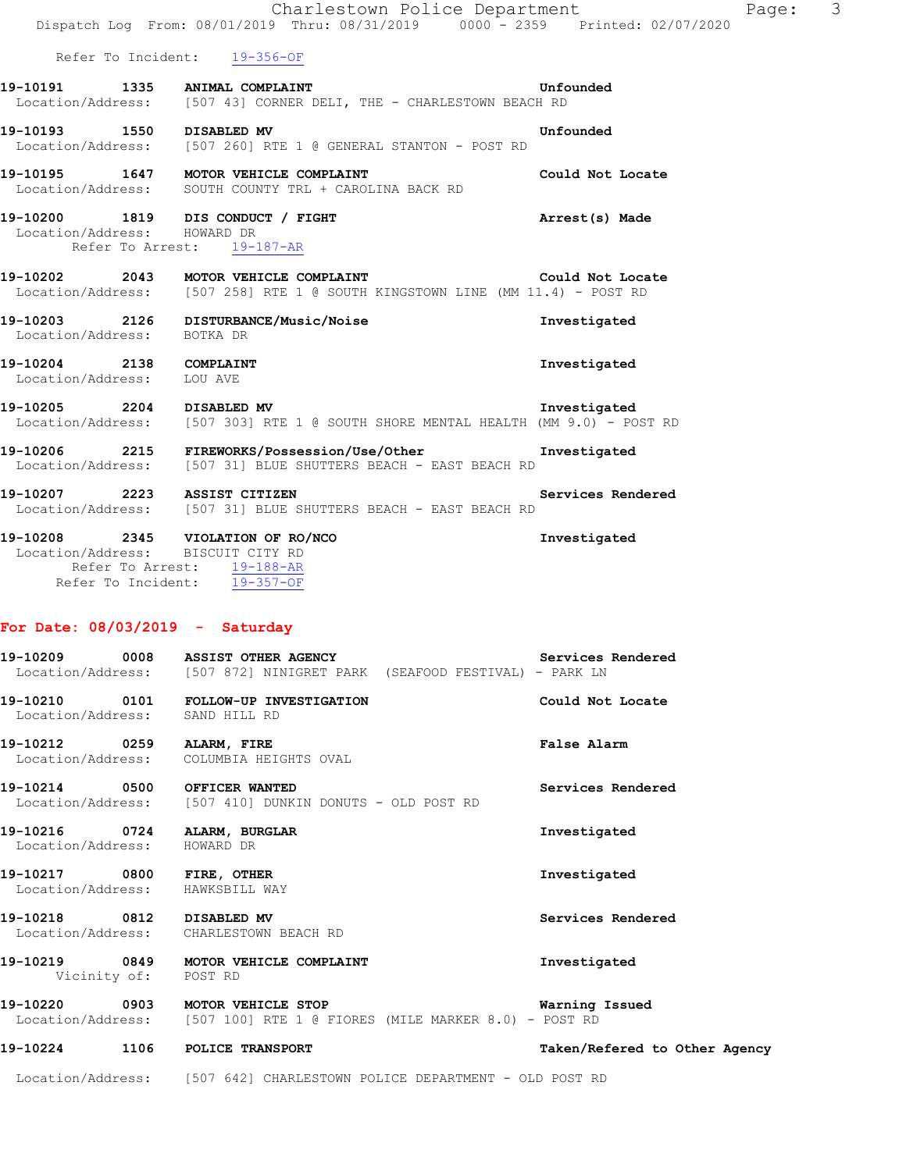|                                                      | Charlestown Police Department<br>Dispatch Log From: 08/01/2019 Thru: 08/31/2019 0000 - 2359 Printed: 02/07/2020                         | Page:             | -3 |
|------------------------------------------------------|-----------------------------------------------------------------------------------------------------------------------------------------|-------------------|----|
|                                                      | Refer To Incident: 19-356-OF                                                                                                            |                   |    |
|                                                      | 19-10191 1335 ANIMAL COMPLAINT<br>Location/Address: [507 43] CORNER DELI, THE - CHARLESTOWN BEACH RD                                    | Unfounded         |    |
| 19-10193 1550 DISABLED MV                            | Location/Address: [507 260] RTE 1 @ GENERAL STANTON - POST RD                                                                           | Unfounded         |    |
|                                                      | 19-10195 1647 MOTOR VEHICLE COMPLAINT<br>Location/Address: SOUTH COUNTY TRL + CAROLINA BACK RD                                          | Could Not Locate  |    |
| Location/Address: HOWARD DR                          | 19-10200 1819 DIS CONDUCT / FIGHT<br>Refer To Arrest: 19-187-AR                                                                         | Arrest(s) Made    |    |
|                                                      | 19-10202 2043 MOTOR VEHICLE COMPLAINT<br>Location/Address: [507 258] RTE 1 @ SOUTH KINGSTOWN LINE (MM 11.4) - POST RD                   | Could Not Locate  |    |
| Location/Address: BOTKA DR                           | 19-10203 2126 DISTURBANCE/Music/Noise                                                                                                   | Investigated      |    |
| 19-10204 2138 COMPLAINT<br>Location/Address: LOU AVE |                                                                                                                                         | Investigated      |    |
|                                                      | 19-10205 2204 DISABLED MV THE SERVIT SHORE MENTAL HEALTH (MM 9.0) - POST RD                                                             |                   |    |
|                                                      | 19-10206 2215 FIREWORKS/Possession/Use/Other Supercruits investigated<br>Location/Address: [507 31] BLUE SHUTTERS BEACH - EAST BEACH RD |                   |    |
|                                                      | 19-10207 2223 ASSIST CITIZEN<br>Location/Address: [507 31] BLUE SHUTTERS BEACH - EAST BEACH RD                                          | Services Rendered |    |
| Location/Address: BISCUIT CITY RD                    | 19-10208 2345 VIOLATION OF RO/NCO<br>Refer To Arrest: 19-188-AR<br>Refer To Incident: 19-357-OF                                         | Investigated      |    |
| For Date: $08/03/2019$ - Saturday                    |                                                                                                                                         |                   |    |
|                                                      | 19-10209 0008 ASSIST OTHER AGENCY<br>Location/Address: [507 872] NINIGRET PARK (SEAFOOD FESTIVAL) - PARK LN                             | Services Rendered |    |
| Location/Address: SAND HILL RD                       | 19-10210 0101 FOLLOW-UP INVESTIGATION                                                                                                   | Could Not Locate  |    |

**19-10212 0259 ALARM, FIRE False Alarm**  Location/Address: COLUMBIA HEIGHTS OVAL

**19-10214 0500 OFFICER WANTED Services Rendered**  Location/Address: [507 410] DUNKIN DONUTS - OLD POST RD

**19-10216 0724 ALARM, BURGLAR Investigated**  Location/Address: HOWARD DR

**19-10217 0800 FIRE, OTHER Investigated**  Location/Address: HAWKSBILL WAY

**19-10218 0812 DISABLED MV Services Rendered**  Location/Address: CHARLESTOWN BEACH RD

**19-10219 0849 MOTOR VEHICLE COMPLAINT Investigated**  Vicinity of: POST RD

**19-10220 0903 MOTOR VEHICLE STOP Warning Issued**  Location/Address: [507 100] RTE 1 @ FIORES (MILE MARKER 8.0) - POST RD

**19-10224 1106 POLICE TRANSPORT Taken/Refered to Other Agency**

Location/Address: [507 642] CHARLESTOWN POLICE DEPARTMENT - OLD POST RD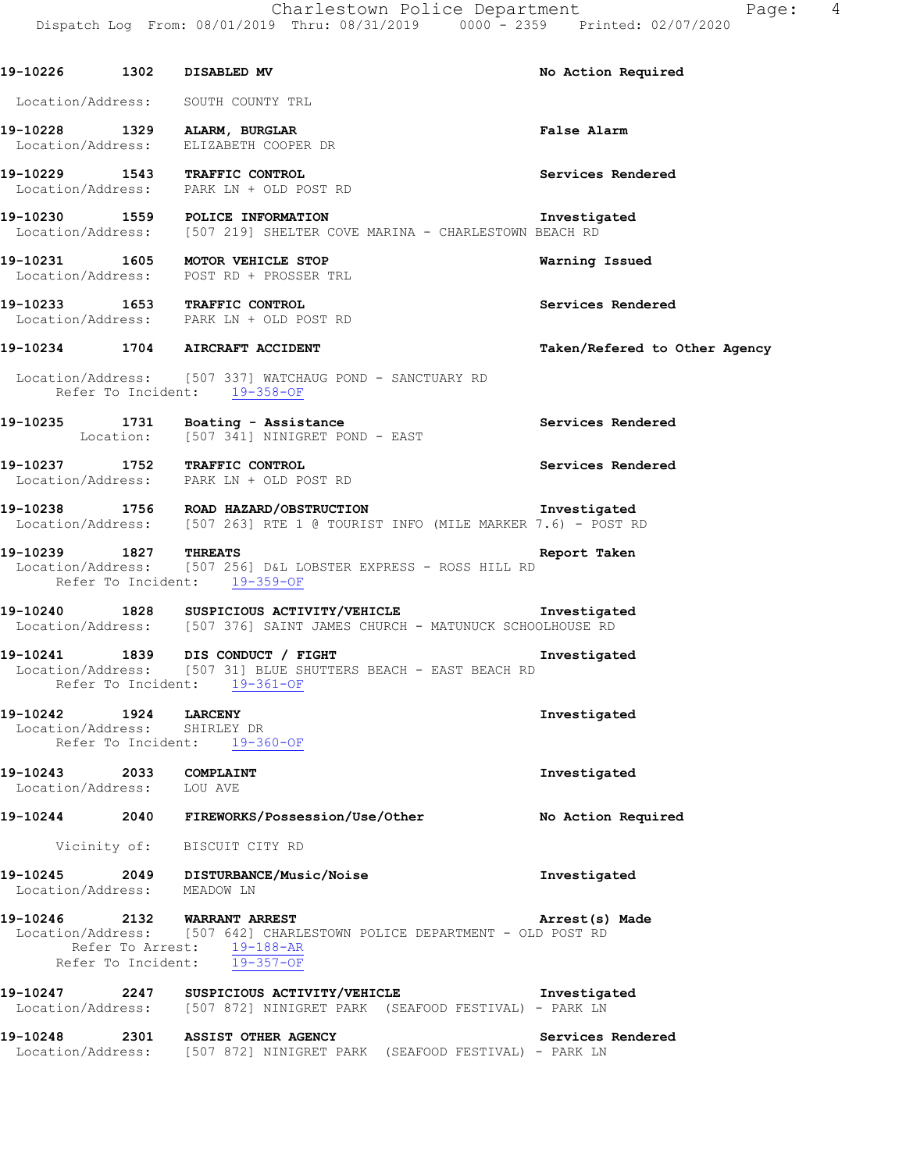#### Location/Address: SOUTH COUNTY TRL

**19-10228 1329 ALARM, BURGLAR False Alarm**  Location/Address: ELIZABETH COOPER DR

**19-10229 1543 TRAFFIC CONTROL Services Rendered**  Location/Address: PARK LN + OLD POST RD

**19-10230 1559 POLICE INFORMATION INVESTIGATED INVESTIGATED**<br>Location/Address: [507 219] SHELTER COVE MARINA - CHARLESTOWN BEACH RD [507 219] SHELTER COVE MARINA - CHARLESTOWN BEACH RD

**19-10231 1605 MOTOR VEHICLE STOP Warning Issued**  Location/Address: POST RD + PROSSER TRL

**19-10233 1653 TRAFFIC CONTROL Services Rendered**  Location/Address: PARK LN + OLD POST RD

#### **19-10234 1704 AIRCRAFT ACCIDENT Taken/Refered to Other Agency**

 Location/Address: [507 337] WATCHAUG POND - SANCTUARY RD Refer To Incident: 19-358-OF

19-10235 1731 Boating - Assistance<br>
Location: [507 341] NINIGRET POND - EAST [507 341] NINIGRET POND - EAST

**19-10237 1752 TRAFFIC CONTROL Services Rendered**  Location/Address: PARK LN + OLD POST RD

#### **19-10238 1756 ROAD HAZARD/OBSTRUCTION Investigated**  Location/Address: [507 263] RTE 1 @ TOURIST INFO (MILE MARKER 7.6) - POST RD

#### **19-10239 1827 THREATS Report Taken**  Location/Address: [507 256] D&L LOBSTER EXPRESS - ROSS HILL RD Refer To Incident: 19-359-OF

**19-10240 1828 SUSPICIOUS ACTIVITY/VEHICLE Investigated**  Location/Address: [507 376] SAINT JAMES CHURCH - MATUNUCK SCHOOLHOUSE RD

**19-10241 1839 DIS CONDUCT / FIGHT Investigated**  Location/Address: [507 31] BLUE SHUTTERS BEACH - EAST BEACH RD Refer To Incident: 19-361-OF

### **19-10242 1924 LARCENY Investigated**

 Location/Address: SHIRLEY DR Refer To Incident: 19-360-OF

**19-10243 2033 COMPLAINT 19-10243 2033 COMPLAINT Investigated** Location/Address:

**19-10244 2040 FIREWORKS/Possession/Use/Other No Action Required** 

Vicinity of: BISCUIT CITY RD

#### **19-10245 2049 DISTURBANCE/Music/Noise 10.10245 Investigated Investigated Investigated** Location/Address:

#### **19-10246 2132 WARRANT ARREST Arrest(s) Made**  Location/Address: [507 642] CHARLESTOWN POLICE DEPARTMENT - OLD POST RD Refer To Arrest: 19-188-AR Refer To Incident: 19-357-OF

**19-10247 2247 SUSPICIOUS ACTIVITY/VEHICLE Investigated**  Location/Address: [507 872] NINIGRET PARK (SEAFOOD FESTIVAL) - PARK LN

#### **19-10248 2301 ASSIST OTHER AGENCY Services Rendered**  Location/Address: [507 872] NINIGRET PARK (SEAFOOD FESTIVAL) - PARK LN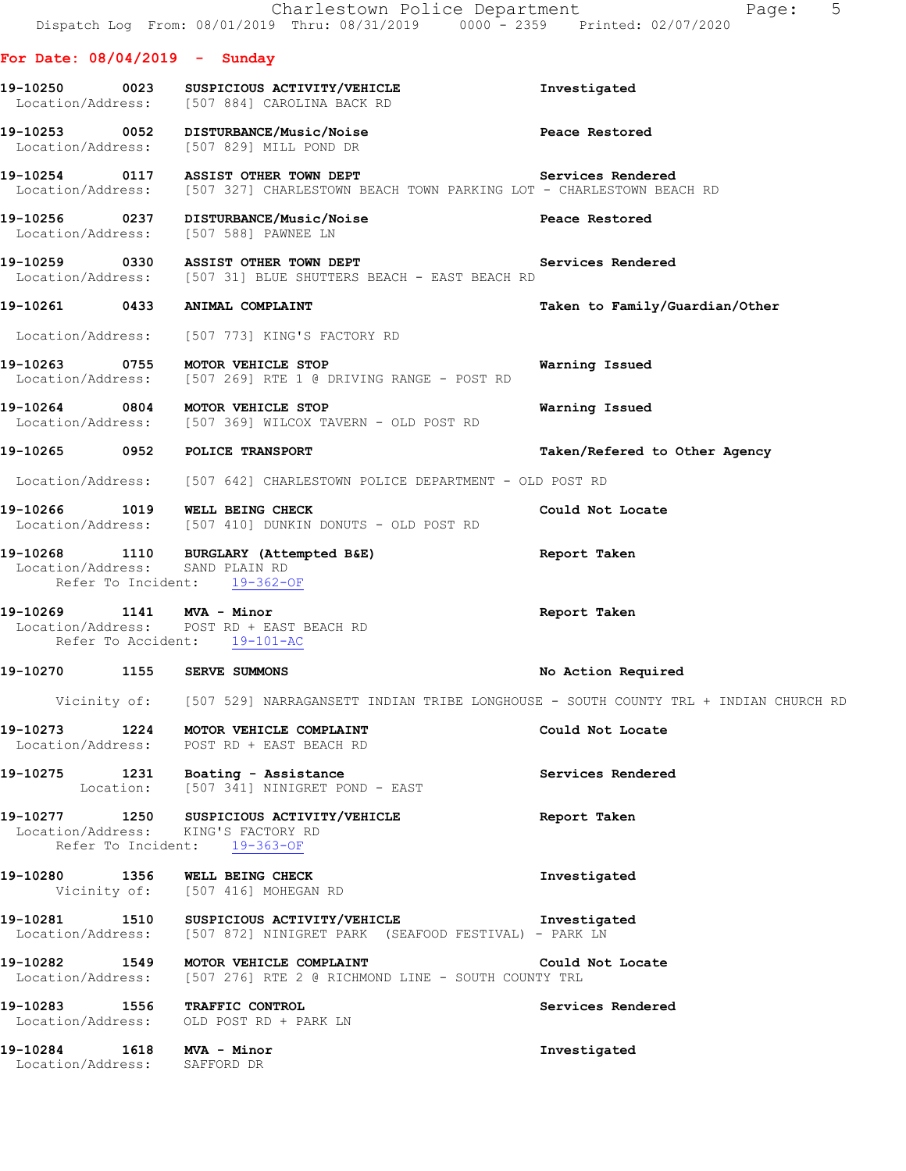|                                                                                    |                                   | Charlestown Police Department<br>Dispatch Log From: 08/01/2019 Thru: 08/31/2019 0000 - 2359 Printed: 02/07/2020                  | Page: 5                                                                                          |
|------------------------------------------------------------------------------------|-----------------------------------|----------------------------------------------------------------------------------------------------------------------------------|--------------------------------------------------------------------------------------------------|
| For Date: $08/04/2019$ - Sunday                                                    |                                   |                                                                                                                                  |                                                                                                  |
| Location/Address: [507 884] CAROLINA BACK RD                                       |                                   |                                                                                                                                  | Investigated                                                                                     |
| Location/Address: [507 829] MILL POND DR                                           |                                   | 19-10253  0052  DISTURBANCE/Music/Noise                                                                                          | Peace Restored                                                                                   |
| 19-10254 0117 ASSIST OTHER TOWN DEPT                                               |                                   | Location/Address: [507 327] CHARLESTOWN BEACH TOWN PARKING LOT - CHARLESTOWN BEACH RD                                            | Services Rendered                                                                                |
| 19-10256 0237 DISTURBANCE/Music/Noise<br>Location/Address: [507 588] PAWNEE LN     |                                   |                                                                                                                                  | Peace Restored                                                                                   |
| 19-10259 0330 ASSIST OTHER TOWN DEPT                                               |                                   | Location/Address: [507 31] BLUE SHUTTERS BEACH - EAST BEACH RD                                                                   | Services Rendered                                                                                |
| 19-10261 0433                                                                      | ANIMAL COMPLAINT                  |                                                                                                                                  | Taken to Family/Guardian/Other                                                                   |
| Location/Address: [507 773] KING'S FACTORY RD                                      |                                   |                                                                                                                                  |                                                                                                  |
| 19-10263 0755 MOTOR VEHICLE STOP                                                   |                                   | Location/Address: [507 269] RTE 1 @ DRIVING RANGE - POST RD                                                                      | Warning Issued                                                                                   |
| 19-10264 0804 MOTOR VEHICLE STOP                                                   |                                   | Location/Address: [507 369] WILCOX TAVERN - OLD POST RD                                                                          | Warning Issued                                                                                   |
| 19-10265 0952 POLICE TRANSPORT                                                     |                                   |                                                                                                                                  | Taken/Refered to Other Agency                                                                    |
|                                                                                    |                                   | Location/Address: [507 642] CHARLESTOWN POLICE DEPARTMENT - OLD POST RD                                                          |                                                                                                  |
| 19-10266 1019 WELL BEING CHECK                                                     |                                   | Location/Address: [507 410] DUNKIN DONUTS - OLD POST RD                                                                          | Could Not Locate                                                                                 |
| Location/Address: SAND PLAIN RD                                                    | Refer To Incident: 19-362-OF      | 19-10268 1110 BURGLARY (Attempted B&E)                                                                                           | Report Taken                                                                                     |
| 19-10269 1141 MVA - Minor<br>Location/Address: POST RD + EAST BEACH RD             | Refer To Accident: 19-101-AC      |                                                                                                                                  | Report Taken                                                                                     |
| 19-10270 1155                                                                      | SERVE SUMMONS                     |                                                                                                                                  | No Action Required                                                                               |
|                                                                                    |                                   |                                                                                                                                  | Vicinity of: [507 529] NARRAGANSETT INDIAN TRIBE LONGHOUSE - SOUTH COUNTY TRL + INDIAN CHURCH RD |
| 19-10273 1224 MOTOR VEHICLE COMPLAINT<br>Location/Address: POST RD + EAST BEACH RD |                                   |                                                                                                                                  | Could Not Locate                                                                                 |
|                                                                                    |                                   | 19-10275 1231 Boating - Assistance<br>Location: [507 341] NINIGRET POND - EAST                                                   | Services Rendered                                                                                |
| Location/Address: KING'S FACTORY RD                                                | Refer To Incident: 19-363-OF      | 19-10277 1250 SUSPICIOUS ACTIVITY/VEHICLE                                                                                        | Report Taken                                                                                     |
| 19-10280 1356 WELL BEING CHECK                                                     | Vicinity of: [507 416] MOHEGAN RD |                                                                                                                                  | Investigated                                                                                     |
|                                                                                    |                                   | 19-10281 1510 SUSPICIOUS ACTIVITY/VEHICLE Threstigated<br>Location/Address: [507 872] NINIGRET PARK (SEAFOOD FESTIVAL) - PARK LN |                                                                                                  |
| 19-10282 1549 MOTOR VEHICLE COMPLAINT                                              |                                   | Location/Address: [507 276] RTE 2 @ RICHMOND LINE - SOUTH COUNTY TRL                                                             | Could Not Locate                                                                                 |
| 19-10283 1556 TRAFFIC CONTROL<br>Location/Address: OLD POST RD + PARK LN           |                                   |                                                                                                                                  | Services Rendered                                                                                |
| 19-10284 1618 MVA - Minor<br>Location/Address: SAFFORD DR                          |                                   |                                                                                                                                  | Investigated                                                                                     |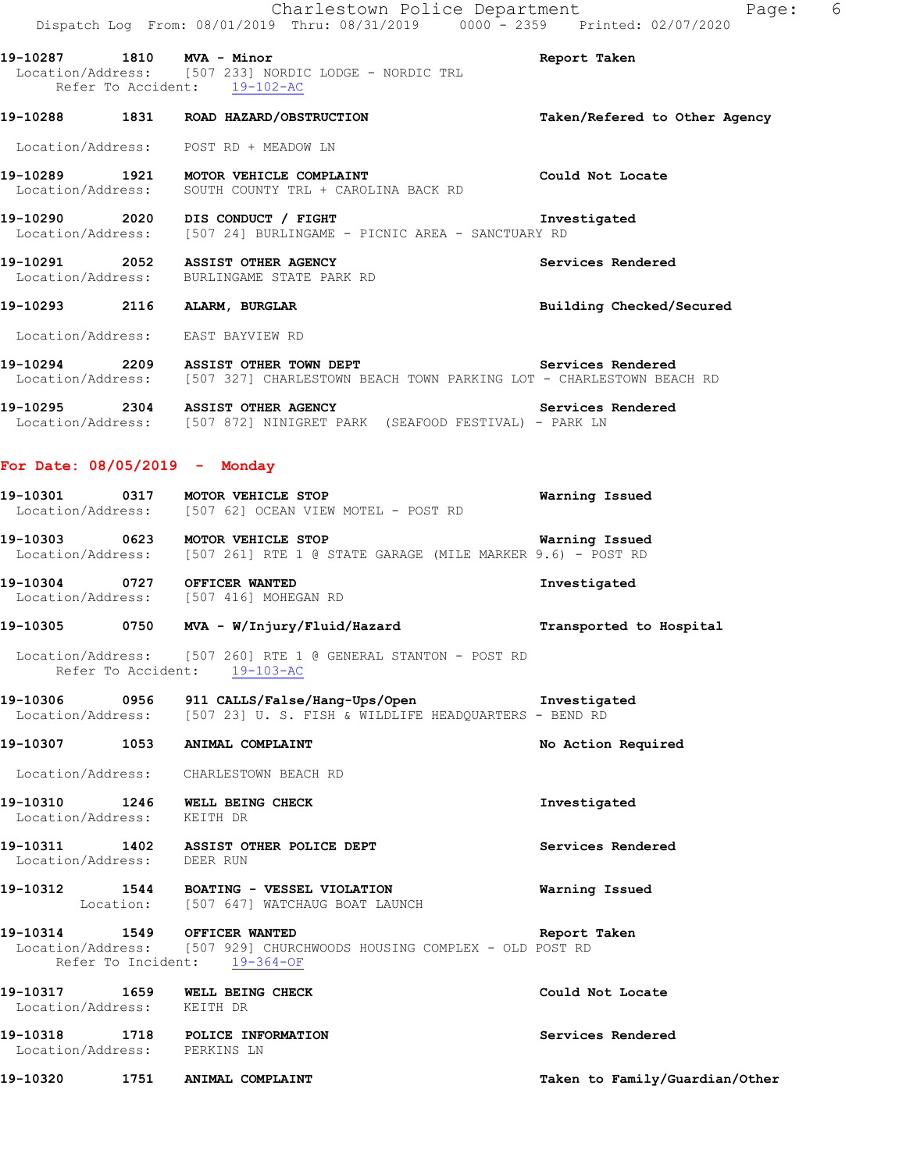Charlestown Police Department Fage: 6 Dispatch Log From: 08/01/2019 Thru: 08/31/2019 0000 - 2359 Printed: 02/07/2020 **19-10287 1810 MVA - Minor Report Taken**  Location/Address: [507 233] NORDIC LODGE - NORDIC TRL Refer To Accident: 19-102-AC **19-10288 1831 ROAD HAZARD/OBSTRUCTION Taken/Refered to Other Agency** Location/Address: POST RD + MEADOW LN **19-10289 1921 MOTOR VEHICLE COMPLAINT Could Not Locate**  Location/Address: SOUTH COUNTY TRL + CAROLINA BACK RD **19-10290 2020 DIS CONDUCT / FIGHT Investigated**<br>Location/Address: [507 24] BURLINGAME - PICNIC AREA - SANCTUARY RD [507 24] BURLINGAME - PICNIC AREA - SANCTUARY RD **19-10291 2052 ASSIST OTHER AGENCY Services Rendered**  Location/Address: BURLINGAME STATE PARK RD **19-10293 2116 ALARM, BURGLAR Building Checked/Secured**  Location/Address: EAST BAYVIEW RD **19-10294 2209 ASSIST OTHER TOWN DEPT Services Rendered**  Location/Address: [507 327] CHARLESTOWN BEACH TOWN PARKING LOT - CHARLESTOWN BEACH RD **19-10295 2304 ASSIST OTHER AGENCY Services Rendered**  Location/Address: [507 872] NINIGRET PARK (SEAFOOD FESTIVAL) - PARK LN **For Date: 08/05/2019 - Monday 19-10301 0317 MOTOR VEHICLE STOP Warning Issued**  Location/Address: [507 62] OCEAN VIEW MOTEL - POST RD **19-10303 0623 MOTOR VEHICLE STOP Warning Issued**  Location/Address: [507 261] RTE 1 @ STATE GARAGE (MILE MARKER 9.6) - POST RD **19-10304 0727 OFFICER WANTED Investigated**  Location/Address: [507 416] MOHEGAN RD **19-10305 0750 MVA - W/Injury/Fluid/Hazard Transported to Hospital**  Location/Address: [507 260] RTE 1 @ GENERAL STANTON - POST RD Refer To Accident: 19-103-AC **19-10306 0956 911 CALLS/False/Hang-Ups/Open Investigated Location/Address:** [507 23] U.S. FISH & WILDLIFE HEADQUARTERS - BEND RD [507 23] U. S. FISH & WILDLIFE HEADQUARTERS - BEND RD 19-10307 1053 ANIMAL COMPLAINT **No. 19-10307** No Action Required Location/Address: CHARLESTOWN BEACH RD **19-10310 1246 WELL BEING CHECK Investigated**  Location/Address: KEITH DR **19-10311 1402 ASSIST OTHER POLICE DEPT Services Rendered**  Location/Address: DEER RUN **19-10312 1544 BOATING - VESSEL VIOLATION Warning Issued**  Location: [507 647] WATCHAUG BOAT LAUNCH **19-10314 1549 OFFICER WANTED Report Taken**  Location/Address: [507 929] CHURCHWOODS HOUSING COMPLEX - OLD POST RD Refer To Incident: 19-364-OF **19-10317 1659 WELL BEING CHECK Could Not Locate**  Location/Address: KEITH DR **19-10318 1718 POLICE INFORMATION Services Rendered**  Location/Address: PERKINS LN

**19-10320 1751 ANIMAL COMPLAINT Taken to Family/Guardian/Other**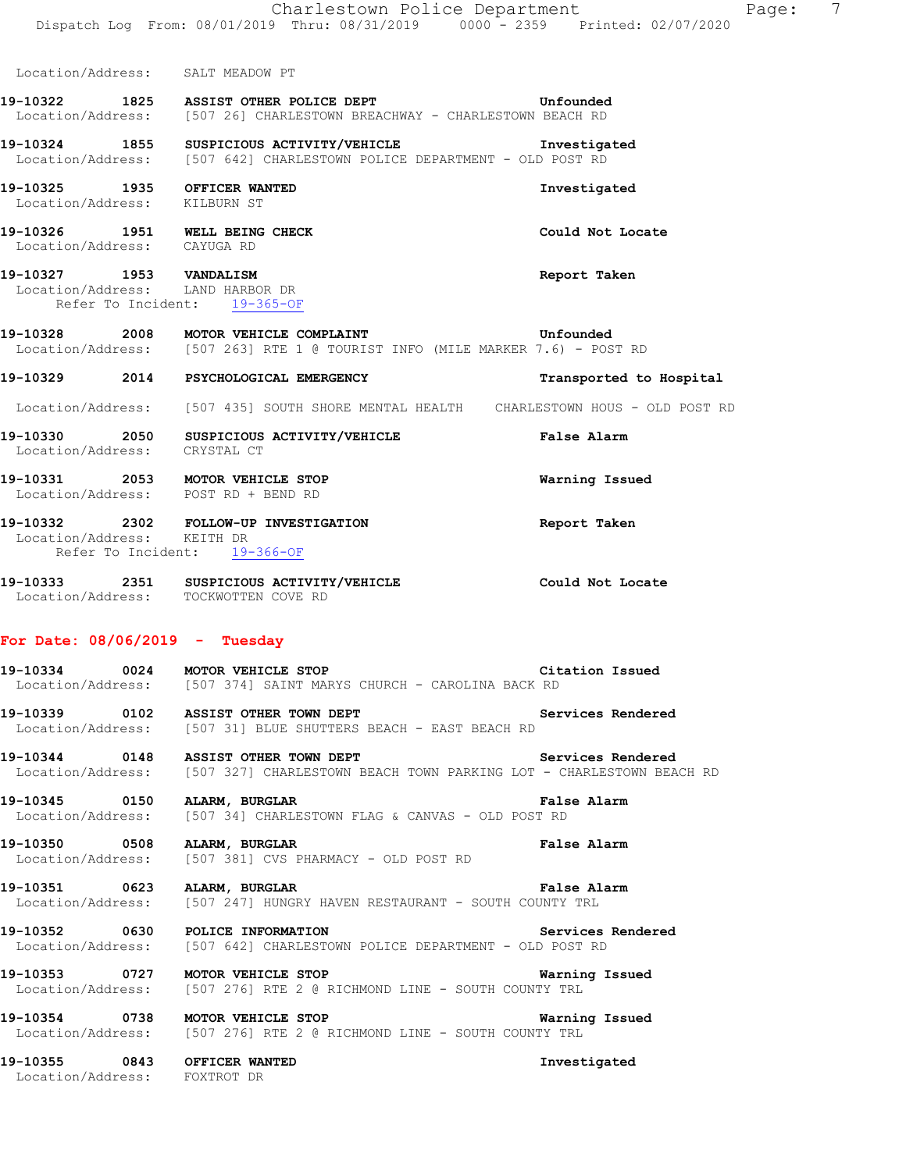Location/Address: SALT MEADOW PT

#### **19-10322 1825 ASSIST OTHER POLICE DEPT Unfounded**  Location/Address: [507 26] CHARLESTOWN BREACHWAY - CHARLESTOWN BEACH RD

### **19-10324 1855 SUSPICIOUS ACTIVITY/VEHICLE Investigated**  Location/Address: [507 642] CHARLESTOWN POLICE DEPARTMENT - OLD POST RD

**19-10325 1935 OFFICER WANTED Investigated**  Location/Address: KILBURN ST

**19-10326 1951 WELL BEING CHECK Could Not Locate**  Location/Address: CAYUGA RD

# **19-10327 1953 VANDALISM Report Taken**

 Location/Address: LAND HARBOR DR Refer To Incident: 19-365-OF

#### **19-10328 2008 MOTOR VEHICLE COMPLAINT 6** Unfounded Location/Address: [507 263] RTE 1 @ TOURIST INFO (MILE MARKER 7.6) - POS [507 263] RTE 1 @ TOURIST INFO (MILE MARKER 7.6) - POST RD

#### **19-10329 2014 PSYCHOLOGICAL EMERGENCY Transported to Hospital**

Location/Address: [507 435] SOUTH SHORE MENTAL HEALTH CHARLESTOWN HOUS - OLD POST RD

- **19-10330 2050 SUSPICIOUS ACTIVITY/VEHICLE False Alarm**  Location/Address: CRYSTAL CT
- **19-10331 2053 MOTOR VEHICLE STOP Warning Issued**
- Location/Address: POST RD + BEND RD

#### **19-10332 2302 FOLLOW-UP INVESTIGATION Report Taken**  Location/Address: KEITH DR Refer To Incident: 19-366-OF

**19-10333 2351 SUSPICIOUS ACTIVITY/VEHICLE Could Not Locate**  Location/Address: TOCKWOTTEN COVE RD

#### **For Date: 08/06/2019 - Tuesday**

**19-10334 0024 MOTOR VEHICLE STOP CITATION CITATION ISSUED**<br>Location/Address: [507 374] SAINT MARYS CHURCH - CAROLINA BACK RD [507 374] SAINT MARYS CHURCH - CAROLINA BACK RD

**19-10339 0102 ASSIST OTHER TOWN DEPT Services Rendered**  Location/Address: [507 31] BLUE SHUTTERS BEACH - EAST BEACH RD

19-10344 **0148** ASSIST OTHER TOWN DEPT **Services** Rendered Location/Address: [507 327] CHARLESTOWN BEACH TOWN PARKING LOT - CHARLESTOWN BEACH RD

**19-10345 0150 ALARM, BURGLAR FALS CONVAS - OLD POST RD**<br>Location/Address: [507 34] CHARLESTOWN FLAG & CANVAS - OLD POST RD [507 34] CHARLESTOWN FLAG & CANVAS - OLD POST RD

**19-10350 0508 ALARM, BURGLAR PERISE ALARM PRESS PRESS ALARM PRESS PRESS PRESS PRESS PRESS PRESS PRESS PRESS PRE**<br>
Location/Address: [507 381] CVS PHARMACY - OLD POST RD [507 381] CVS PHARMACY - OLD POST RD

#### 19-10351 0623 ALARM, BURGLAR HAVEN RESTAURANT - SOUTH COUNTY TRL Location/Address: [507 247] HUNGRY HAVEN RESTAURANT - SOUTH COUNTY TRL [507 247] HUNGRY HAVEN RESTAURANT - SOUTH COUNTY TRL

**19-10352 0630 POLICE INFORMATION Services Rendered**  Location/Address: [507 642] CHARLESTOWN POLICE DEPARTMENT - OLD POST RD

**19-10353 0727 MOTOR VEHICLE STOP Warning Issued**  Location/Address: [507 276] RTE 2 @ RICHMOND LINE - SOUTH COUNTY TRL

**19-10354 0738 MOTOR VEHICLE STOP Warning Issued**  Location/Address: [507 276] RTE 2 @ RICHMOND LINE - SOUTH COUNTY TRL

**19-10355 0843 OFFICER WANTED Investigated**  Location/Address: FOXTROT DR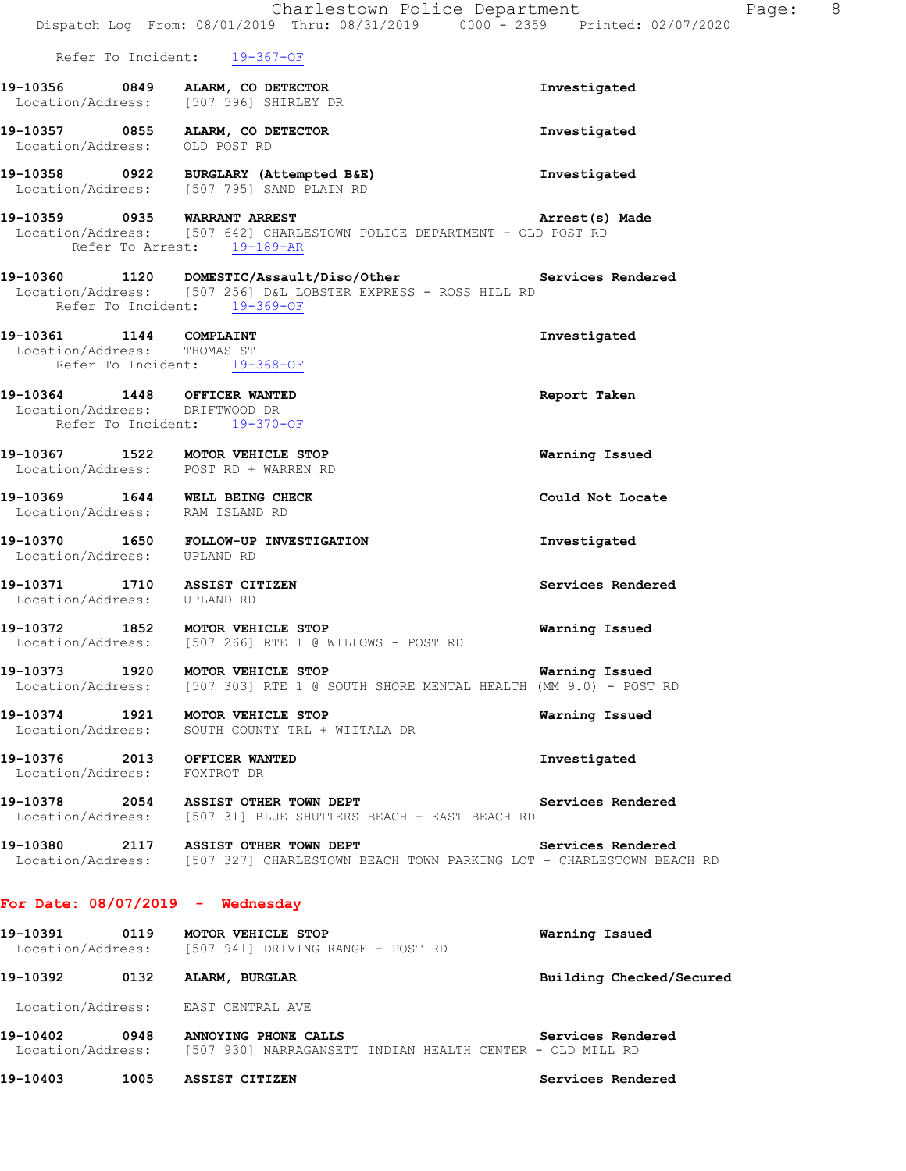|                                                                | Charlestown Police Department<br>Dispatch Log From: 08/01/2019 Thru: 08/31/2019 0000 - 2359 Printed: 02/07/2020                                               |                          | Page: 8 |  |
|----------------------------------------------------------------|---------------------------------------------------------------------------------------------------------------------------------------------------------------|--------------------------|---------|--|
|                                                                | Refer To Incident: 19-367-OF                                                                                                                                  |                          |         |  |
|                                                                | 19-10356 0849 ALARM, CO DETECTOR<br>Location/Address: [507 596] SHIRLEY DR                                                                                    | Investigated             |         |  |
| Location/Address: OLD POST RD                                  | 19-10357 0855 ALARM, CO DETECTOR                                                                                                                              | Investigated             |         |  |
|                                                                | 19-10358 0922 BURGLARY (Attempted B&E)<br>Location/Address: [507 795] SAND PLAIN RD                                                                           | Investigated             |         |  |
|                                                                | 19-10359 0935 WARRANT ARREST <b>Arrest(s)</b><br>Location/Address: [507 642] CHARLESTOWN POLICE DEPARTMENT - OLD POST RD<br>Refer To Arrest: 19-189-AR        | Arrest(s) Made           |         |  |
|                                                                | 19-10360 1120 DOMESTIC/Assault/Diso/Other Services Rendered<br>Location/Address: [507 256] D&L LOBSTER EXPRESS - ROSS HILL RD<br>Refer To Incident: 19-369-OF |                          |         |  |
| 19-10361 1144 COMPLAINT<br>Location/Address: THOMAS ST         | Refer To Incident: 19-368-OF                                                                                                                                  | Investigated             |         |  |
| 19-10364 1448 OFFICER WANTED<br>Location/Address: DRIFTWOOD DR | Refer To Incident: 19-370-OF                                                                                                                                  | Report Taken             |         |  |
|                                                                | 19-10367 1522 MOTOR VEHICLE STOP<br>Location/Address: POST RD + WARREN RD                                                                                     | Warning Issued           |         |  |
| Location/Address: RAM ISLAND RD                                | 19-10369 1644 WELL BEING CHECK                                                                                                                                | Could Not Locate         |         |  |
| Location/Address: UPLAND RD                                    | 19-10370 1650 FOLLOW-UP INVESTIGATION                                                                                                                         | Investigated             |         |  |
| 19-10371 1710 ASSIST CITIZEN<br>Location/Address: UPLAND RD    |                                                                                                                                                               | Services Rendered        |         |  |
|                                                                | 19-10372 1852 MOTOR VEHICLE STOP<br>Location/Address: [507 266] RTE 1 @ WILLOWS - POST RD                                                                     | Warning Issued           |         |  |
| 19-10373 1920                                                  | MOTOR VEHICLE STOP<br>Location/Address: [507 303] RTE 1 @ SOUTH SHORE MENTAL HEALTH (MM 9.0) - POST RD                                                        | Warning Issued           |         |  |
|                                                                | 19-10374 1921 MOTOR VEHICLE STOP<br>Location/Address: SOUTH COUNTY TRL + WIITALA DR                                                                           | Warning Issued           |         |  |
| 19-10376 2013 OFFICER WANTED<br>Location/Address: FOXTROT DR   |                                                                                                                                                               | Investigated             |         |  |
|                                                                | 19-10378 2054 ASSIST OTHER TOWN DEPT<br>Location/Address: [507 31] BLUE SHUTTERS BEACH - EAST BEACH RD                                                        | Services Rendered        |         |  |
|                                                                | 19-10380 2117 ASSIST OTHER TOWN DEPT<br>Location/Address: [507 327] CHARLESTOWN BEACH TOWN PARKING LOT - CHARLESTOWN BEACH RD                                 | Services Rendered        |         |  |
| For Date: $08/07/2019$ - Wednesday                             |                                                                                                                                                               |                          |         |  |
|                                                                | 19-10391 0119 MOTOR VEHICLE STOP<br>Location/Address: [507 941] DRIVING RANGE - POST RD                                                                       | Warning Issued           |         |  |
| 19-10392 0132 ALARM, BURGLAR                                   |                                                                                                                                                               | Building Checked/Secured |         |  |
|                                                                | Location/Address: EAST CENTRAL AVE                                                                                                                            |                          |         |  |
| 19-10402                                                       | 0948 ANNOYING PHONE CALLS                                                                                                                                     | Services Rendered        |         |  |

Location/Address: [507 930] NARRAGANSETT INDIAN HEALTH CENTER - OLD MILL RD

**19-10403 1005 ASSIST CITIZEN Services Rendered**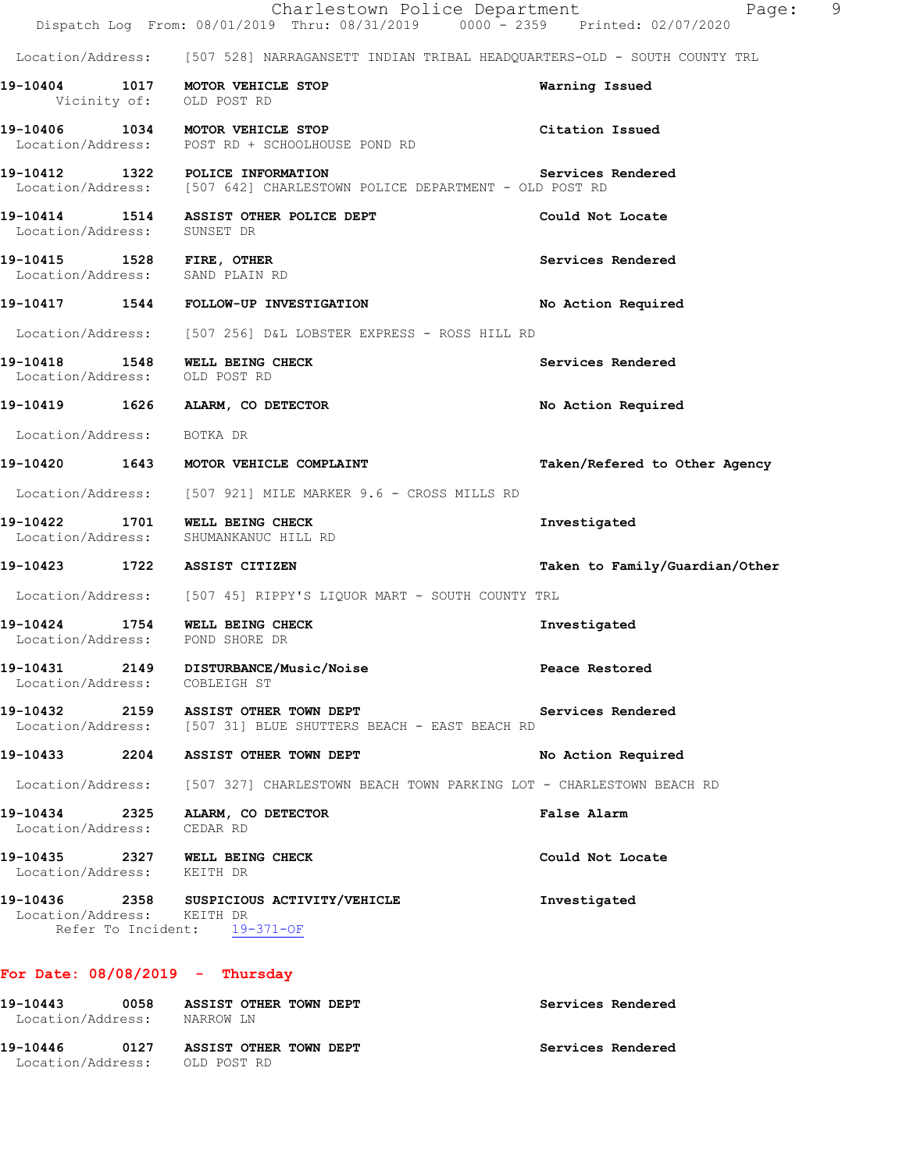|                                           |                                                                                                             | Charlestown Police Department<br>Page:<br>Dispatch Log From: 08/01/2019 Thru: 08/31/2019 0000 <sup>-</sup> 2359 Printed: 02/07/2020 |
|-------------------------------------------|-------------------------------------------------------------------------------------------------------------|-------------------------------------------------------------------------------------------------------------------------------------|
|                                           |                                                                                                             | Location/Address: [507 528] NARRAGANSETT INDIAN TRIBAL HEADQUARTERS-OLD - SOUTH COUNTY TRL                                          |
|                                           | 19-10404 1017 MOTOR VEHICLE STOP<br>Vicinity of: OLD POST RD                                                | Warning Issued                                                                                                                      |
|                                           | 19-10406 1034 MOTOR VEHICLE STOP<br>Location/Address: POST RD + SCHOOLHOUSE POND RD                         | Citation Issued                                                                                                                     |
|                                           | 19-10412 1322 POLICE INFORMATION<br>Location/Address: [507 642] CHARLESTOWN POLICE DEPARTMENT - OLD POST RD | Services Rendered                                                                                                                   |
| Location/Address: SUNSET DR               | 19-10414 1514 ASSIST OTHER POLICE DEPT                                                                      | Could Not Locate                                                                                                                    |
| 19-10415 1528 FIRE, OTHER                 | Location/Address: SAND PLAIN RD                                                                             | Services Rendered                                                                                                                   |
|                                           | 19-10417 1544 FOLLOW-UP INVESTIGATION                                                                       | No Action Required                                                                                                                  |
|                                           | Location/Address: [507 256] D&L LOBSTER EXPRESS - ROSS HILL RD                                              |                                                                                                                                     |
| Location/Address: OLD POST RD             | 19-10418 1548 WELL BEING CHECK                                                                              | Services Rendered                                                                                                                   |
|                                           | 19-10419 1626 ALARM, CO DETECTOR                                                                            | No Action Required                                                                                                                  |
| Location/Address:                         | BOTKA DR                                                                                                    |                                                                                                                                     |
| 19-10420 1643                             | MOTOR VEHICLE COMPLAINT                                                                                     | Taken/Refered to Other Agency                                                                                                       |
|                                           | Location/Address: [507 921] MILE MARKER 9.6 - CROSS MILLS RD                                                |                                                                                                                                     |
|                                           | 19-10422 1701 WELL BEING CHECK<br>Location/Address: SHUMANKANUC HILL RD                                     | Investigated                                                                                                                        |
|                                           | 19-10423 1722 ASSIST CITIZEN                                                                                | Taken to Family/Guardian/Other                                                                                                      |
|                                           | Location/Address: [507 45] RIPPY'S LIQUOR MART - SOUTH COUNTY TRL                                           |                                                                                                                                     |
|                                           | 19-10424 1754 WELL BEING CHECK<br>Location/Address: POND SHORE DR                                           | Investigated                                                                                                                        |
| 19-10431<br>Location/Address: COBLEIGH ST | 2149 DISTURBANCE/Music/Noise                                                                                | Peace Restored                                                                                                                      |
|                                           | 19-10432 2159 ASSIST OTHER TOWN DEPT<br>Location/Address: [507 31] BLUE SHUTTERS BEACH - EAST BEACH RD      | Services Rendered                                                                                                                   |
|                                           | 19-10433 2204 ASSIST OTHER TOWN DEPT                                                                        | No Action Required                                                                                                                  |
|                                           |                                                                                                             | Location/Address: [507 327] CHARLESTOWN BEACH TOWN PARKING LOT - CHARLESTOWN BEACH RD                                               |
| Location/Address: CEDAR RD                | 19-10434 2325 ALARM, CO DETECTOR                                                                            | False Alarm                                                                                                                         |
| Location/Address: KEITH DR                | 19-10435 2327 WELL BEING CHECK                                                                              | Could Not Locate                                                                                                                    |
| Location/Address: KEITH DR                | 19-10436 2358 SUSPICIOUS ACTIVITY/VEHICLE<br>Refer To Incident: 19-371-OF                                   | Investigated                                                                                                                        |

| 19-10443<br>Location/Address: | 0058 | ASSIST OTHER TOWN DEPT<br>NARROW LN   |  |  | Services Rendered |  |
|-------------------------------|------|---------------------------------------|--|--|-------------------|--|
| 19-10446<br>Location/Address: | 0127 | ASSIST OTHER TOWN DEPT<br>OLD POST RD |  |  | Services Rendered |  |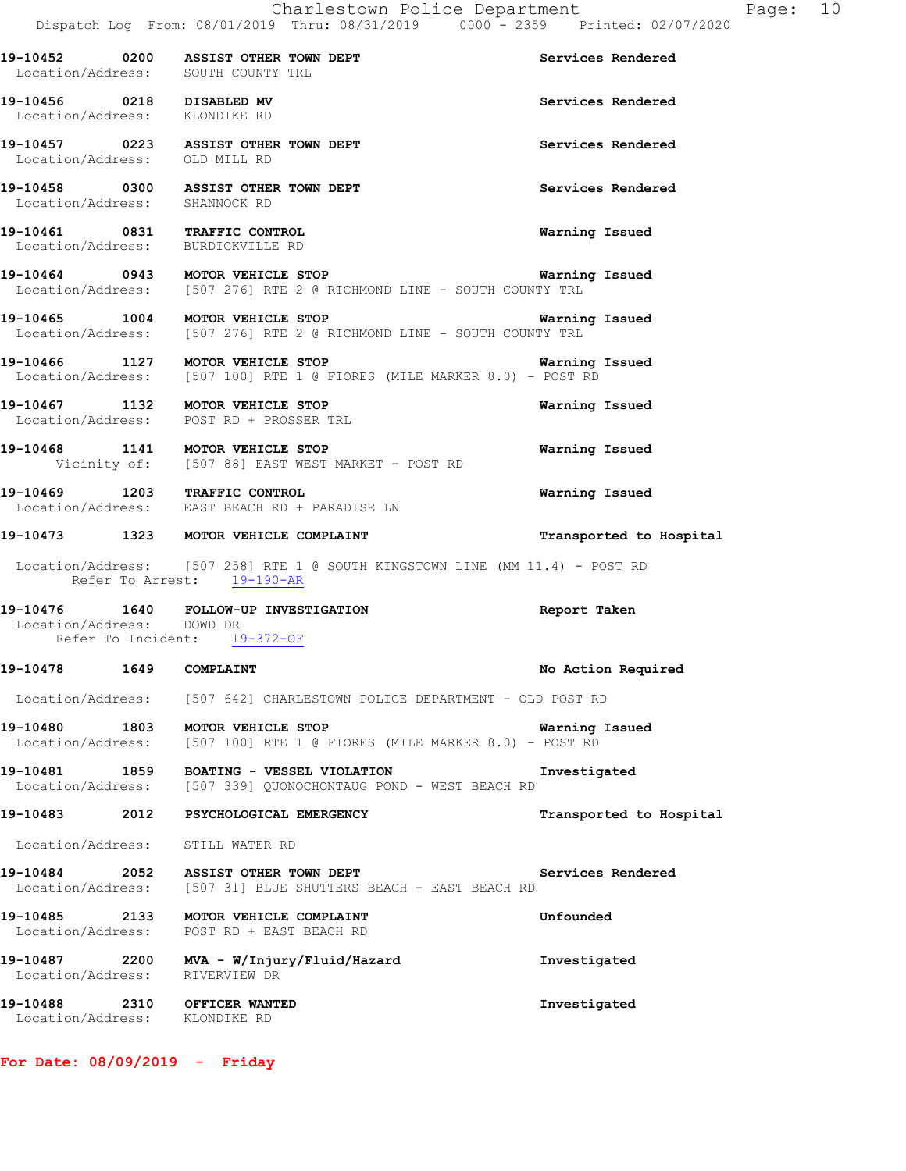|                                                            | 19-10452 0200 ASSIST OTHER TOWN DEPT<br>Location/Address: SOUTH COUNTY TRL                                                              | Services Rendered       |
|------------------------------------------------------------|-----------------------------------------------------------------------------------------------------------------------------------------|-------------------------|
| 19-10456 0218 DISABLED MV<br>Location/Address: KLONDIKE RD |                                                                                                                                         | Services Rendered       |
|                                                            | 19-10457 0223 ASSIST OTHER TOWN DEPT<br>Location/Address: OLD MILL RD                                                                   | Services Rendered       |
| Location/Address: SHANNOCK RD                              | 19-10458 0300 ASSIST OTHER TOWN DEPT                                                                                                    | Services Rendered       |
|                                                            | 19-10461 0831 TRAFFIC CONTROL<br>Location/Address: BURDICKVILLE RD                                                                      | Warning Issued          |
|                                                            | 19-10464 0943 MOTOR VEHICLE STOP <b>19-10464</b> Warning Issued<br>Location/Address: [507 276] RTE 2 @ RICHMOND LINE - SOUTH COUNTY TRL |                         |
|                                                            | 19-10465 1004 MOTOR VEHICLE STOP<br>Location/Address: [507 276] RTE 2 @ RICHMOND LINE - SOUTH COUNTY TRL                                | <b>Warning Issued</b>   |
|                                                            | 19-10466 1127 MOTOR VEHICLE STOP 1990 100 Marning Issued<br>Location/Address: [507 100] RTE 1 @ FIORES (MILE MARKER 8.0) - POST RD      |                         |
|                                                            | 19-10467 1132 MOTOR VEHICLE STOP<br>Location/Address: POST RD + PROSSER TRL                                                             | Warning Issued          |
|                                                            | 19-10468 1141 MOTOR VEHICLE STOP<br>Vicinity of: [507 88] EAST WEST MARKET - POST RD                                                    | Warning Issued          |
|                                                            | 19-10469 1203 TRAFFIC CONTROL<br>Location/Address: EAST BEACH RD + PARADISE LN                                                          | Warning Issued          |
|                                                            | 19-10473 1323 MOTOR VEHICLE COMPLAINT                                                                                                   | Transported to Hospital |
|                                                            | Location/Address: [507 258] RTE 1 @ SOUTH KINGSTOWN LINE (MM 11.4) - POST RD<br>Refer To Arrest: 19-190-AR                              |                         |
| Location/Address: DOWD DR                                  | 19-10476 1640 FOLLOW-UP INVESTIGATION<br>Refer To Incident: 19-372-OF                                                                   | Report Taken            |
| 19-10478   1649   COMPLAINT                                |                                                                                                                                         | No Action Required      |
|                                                            | Location/Address: [507 642] CHARLESTOWN POLICE DEPARTMENT - OLD POST RD                                                                 |                         |
|                                                            | 19-10480 1803 MOTOR VEHICLE STOP<br>Location/Address: [507 100] RTE 1 @ FIORES (MILE MARKER 8.0) - POST RD                              | Warning Issued          |
|                                                            | 19-10481 1859 BOATING - VESSEL VIOLATION<br>Location/Address: [507 339] QUONOCHONTAUG POND - WEST BEACH RD                              | Investigated            |
|                                                            | 19-10483 2012 PSYCHOLOGICAL EMERGENCY                                                                                                   | Transported to Hospital |
| Location/Address: STILL WATER RD                           |                                                                                                                                         |                         |
|                                                            | 19-10484 2052 ASSIST OTHER TOWN DEPT<br>Location/Address: [507 31] BLUE SHUTTERS BEACH - EAST BEACH RD                                  | Services Rendered       |
|                                                            | 19-10485  2133 MOTOR VEHICLE COMPLAINT<br>Location/Address: POST RD + EAST BEACH RD                                                     | Unfounded               |
| Location/Address:                                          | RIVERVIEW DR                                                                                                                            | Investigated            |

Dispatch Log From: 08/01/2019 Thru: 08/31/2019 0000 - 2359 Printed: 02/07/2020

Charlestown Police Department Fage: 10

**19-10488 2310 OFFICER WANTED Investigated**  Location/Address: KLONDIKE RD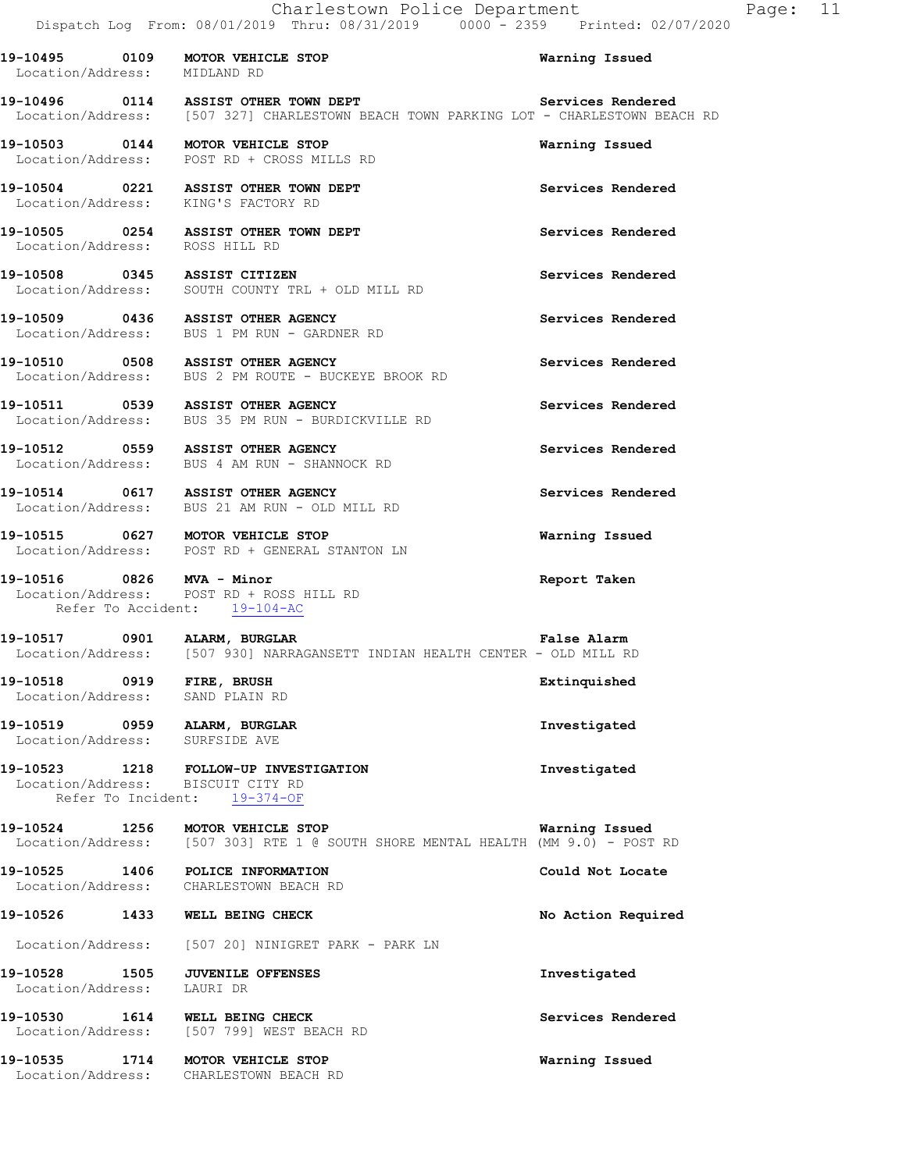**19-10495 0109 MOTOR VEHICLE STOP Warning Issued** 

Location/Address: MIDLAND RD

**19-10496 0114 ASSIST OTHER TOWN DEPT Services Rendered**  Location/Address: [507 327] CHARLESTOWN BEACH TOWN PARKING LOT - CHARLESTOWN BEACH RD **19-10503 0144 MOTOR VEHICLE STOP Warning Issued**  Location/Address: POST RD + CROSS MILLS RD **19-10504 0221 ASSIST OTHER TOWN DEPT Services Rendered**  Location/Address: KING'S FACTORY RD **19-10505 0254 ASSIST OTHER TOWN DEPT Services Rendered**  Location/Address: ROSS HILL RD **19-10508 0345 ASSIST CITIZEN Services Rendered**  Location/Address: SOUTH COUNTY TRL + OLD MILL RD **19-10509 0436 ASSIST OTHER AGENCY Services Rendered**  Location/Address: BUS 1 PM RUN - GARDNER RD **19-10510 0508 ASSIST OTHER AGENCY Services Rendered**  Location/Address: BUS 2 PM ROUTE - BUCKEYE BROOK RD **19-10511 0539 ASSIST OTHER AGENCY Services Rendered**  Location/Address: BUS 35 PM RUN - BURDICKVILLE RD **19-10512 0559 ASSIST OTHER AGENCY Services Rendered**  Location/Address: BUS 4 AM RUN - SHANNOCK RD **19-10514 0617 ASSIST OTHER AGENCY Services Rendered**  Location/Address: BUS 21 AM RUN - OLD MILL RD **19-10515 0627 MOTOR VEHICLE STOP Warning Issued**  Location/Address: POST RD + GENERAL STANTON LN **19-10516 0826 MVA - Minor Report Taken** <br>
Location/Address: POST RD + ROSS HILL RD Location/Address: POST RD + ROSS HILL RD Refer To Accident: 19-104-AC **19-10517 0901 ALARM, BURGLAR False Alarm**  Location/Address: [507 930] NARRAGANSETT INDIAN HEALTH CENTER - OLD MILL RD **19-10518 0919 FIRE, BRUSH Extinquished**  Location/Address: SAND PLAIN RD **19-10519 0959 ALARM, BURGLAR INVESTIGATES AND RESERVE THE SET OF ALARM Investigated Location/Address:** SURFSIDE AVE Location/Address: **19-10523 1218 FOLLOW-UP INVESTIGATION Investigated**  Location/Address: BISCUIT CITY RD Refer To Incident: 19-374-OF **19-10524 1256 MOTOR VEHICLE STOP WATH WATHING ISSUED**<br>Location/Address: [507 303] RTE 1 @ SOUTH SHORE MENTAL HEALTH (MM 9.0) - POST [507 303] RTE 1 @ SOUTH SHORE MENTAL HEALTH (MM 9.0) - POST RD **19-10525 1406 POLICE INFORMATION Could Not Locate**  Location/Address: CHARLESTOWN BEACH RD **19-10526 1433 WELL BEING CHECK No Action Required**  Location/Address: [507 20] NINIGRET PARK - PARK LN **19-10528 1505 JUVENILE OFFENSES Investigated**  Location/Address: LAURI DR **19-10530 1614 WELL BEING CHECK Services Rendered**  Location/Address: [507 799] WEST BEACH RD **19-10535 1714 MOTOR VEHICLE STOP Warning Issued**  Location/Address: CHARLESTOWN BEACH RD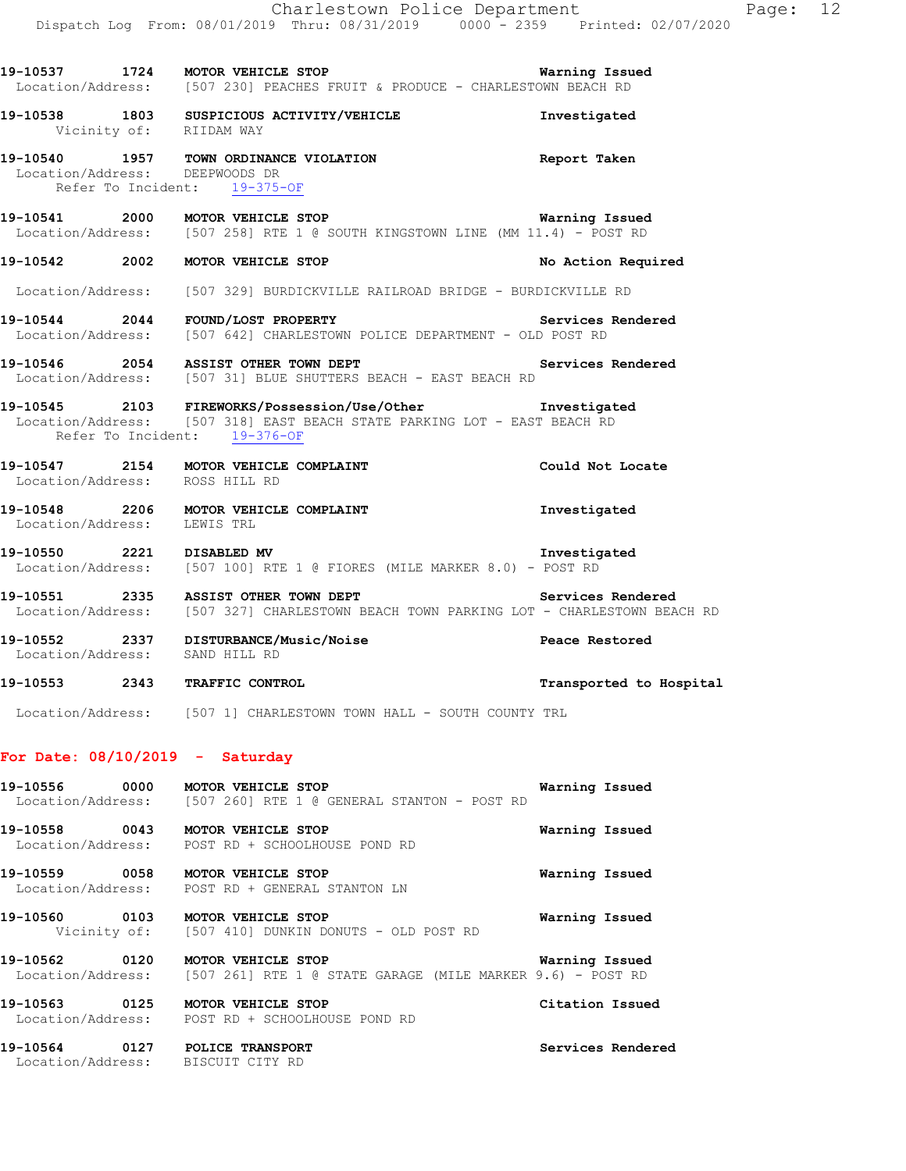|                                | Charlestown Police Department                                                                                                               |              |  |
|--------------------------------|---------------------------------------------------------------------------------------------------------------------------------------------|--------------|--|
|                                | Dispatch Log From: 08/01/2019 Thru: 08/31/2019 0000 - 2359 Printed: 02/07/2020                                                              |              |  |
|                                |                                                                                                                                             |              |  |
|                                | 19-10537 1724 MOTOR VEHICLE STOP 1991 1991 Warning Issued                                                                                   |              |  |
|                                | Location/Address: [507 230] PEACHES FRUIT & PRODUCE - CHARLESTOWN BEACH RD                                                                  |              |  |
| Vicinity of: RIIDAM WAY        | 19-10538 1803 SUSPICIOUS ACTIVITY/VEHICLE                                                                                                   | Investigated |  |
| Location/Address: DEEPWOODS DR | 19-10540 1957 TOWN ORDINANCE VIOLATION <b>19-10540</b> Report Taken<br>Refer To Incident: 19-375-OF                                         |              |  |
|                                | 19-10541 2000 MOTOR VEHICLE STOP <b>1998</b> Warning Issued<br>Location/Address: [507 258] RTE 1 @ SOUTH KINGSTOWN LINE (MM 11.4) - POST RD |              |  |
|                                | 19-10542 2002 MOTOR VEHICLE STOP NO Action Required                                                                                         |              |  |
|                                | Location/Address: [507 329] BURDICKVILLE RAILROAD BRIDGE - BURDICKVILLE RD                                                                  |              |  |
|                                | 19-10544 2044 FOUND/LOST PROPERTY Services Rendered<br>Location/Address: [507 642] CHARLESTOWN POLICE DEPARTMENT - OLD POST RD              |              |  |
|                                | 19-10546 2054 ASSIST OTHER TOWN DEPT Services Rendered<br>Location/Address: [507 31] BLUE SHUTTERS BEACH - EAST BEACH RD                    |              |  |
|                                | 19-10545 2103 FIREWORKS/Possession/Use/Other Threstigated<br>Location/Address: [507 318] EAST BEACH STATE PARKING LOT - EAST BEACH RD       |              |  |

- Refer To Incident: 19-376-OF
- **19-10547 2154 MOTOR VEHICLE COMPLAINT Could Not Locate**  Location/Address: ROSS HILL RD
- **19-10548 2206 MOTOR VEHICLE COMPLAINT Investigated**  Location/Address: LEWIS TRL
- **19-10550 2221 DISABLED MV Investigated**  Location/Address: [507 100] RTE 1 @ FIORES (MILE MARKER 8.0) - POST RD

19-10551 2335 ASSIST OTHER TOWN DEPT **Services Rendered** Location/Address: [507 327] CHARLESTOWN BEACH TOWN PARKING LOT - CHARLESTOWN BEACH RD

- **19-10552 2337 DISTURBANCE/Music/Noise Peace Restored**  Location/Address: SAND HILL RD
- **19-10553 2343 TRAFFIC CONTROL Transported to Hospital**
- Location/Address: [507 1] CHARLESTOWN TOWN HALL SOUTH COUNTY TRL

#### **For Date: 08/10/2019 - Saturday**

- **19-10556 0000 MOTOR VEHICLE STOP Warning Issued**  Location/Address: [507 260] RTE 1 @ GENERAL STANTON - POST RD
- **19-10558 0043 MOTOR VEHICLE STOP Warning Issued**  Location/Address: POST RD + SCHOOLHOUSE POND RD
- **19-10559 0058 MOTOR VEHICLE STOP Warning Issued**  Location/Address: POST RD + GENERAL STANTON LN
- **19-10560 0103 MOTOR VEHICLE STOP Warning Issued**  Vicinity of: [507 410] DUNKIN DONUTS - OLD POST RD
- **19-10562 0120 MOTOR VEHICLE STOP Warning Issued**  Location/Address: [507 261] RTE 1 @ STATE GARAGE (MILE MARKER 9.6) - POST RD
- **19-10563 0125 MOTOR VEHICLE STOP Citation Issued**  Location/Address: POST RD + SCHOOLHOUSE POND RD
- **19-10564 0127 POLICE TRANSPORT Services Rendered**  Location/Address: BISCUIT CITY RD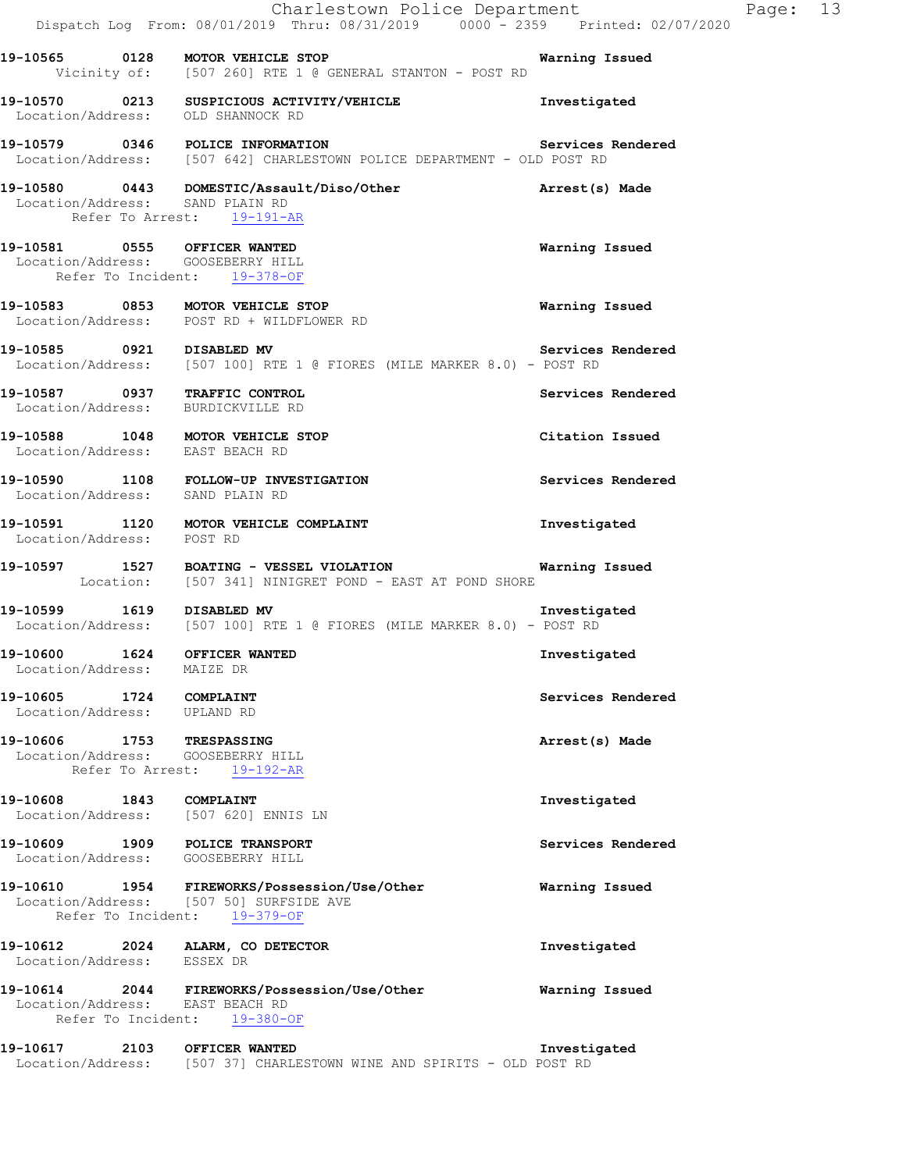|                                                                                                   | Charlestown Police Department<br>Dispatch Log From: 08/01/2019 Thru: 08/31/2019 0000 - 2359 Printed: 02/07/2020                | Page: 13          |
|---------------------------------------------------------------------------------------------------|--------------------------------------------------------------------------------------------------------------------------------|-------------------|
|                                                                                                   | 19-10565 0128 MOTOR VEHICLE STOP<br>Vicinity of: [507 260] RTE 1 @ GENERAL STANTON - POST RD                                   | Warning Issued    |
| Location/Address: OLD SHANNOCK RD                                                                 | 19-10570 0213 SUSPICIOUS ACTIVITY/VEHICLE                                                                                      | Investigated      |
|                                                                                                   | 19-10579 0346 POLICE INFORMATION Services<br>Location/Address: [507 642] CHARLESTOWN POLICE DEPARTMENT - OLD POST RD           | Services Rendered |
| Location/Address: SAND PLAIN RD<br>Refer To Arrest: 19-191-AR                                     | 19-10580 0443 DOMESTIC/Assault/Diso/Other <b>https://watch/2010</b> Arrest(s) Made                                             |                   |
| 19-10581 0555 OFFICER WANTED<br>Location/Address: GOOSEBERRY HILL<br>Refer To Incident: 19-378-OF |                                                                                                                                | Warning Issued    |
|                                                                                                   | 19-10583 0853 MOTOR VEHICLE STOP<br>Location/Address: POST RD + WILDFLOWER RD                                                  | Warning Issued    |
| 19-10585 0921 DISABLED MV                                                                         | Location/Address: [507 100] RTE 1 @ FIORES (MILE MARKER 8.0) - POST RD                                                         | Services Rendered |
| 19-10587 0937 TRAFFIC CONTROL<br>Location/Address: BURDICKVILLE RD                                |                                                                                                                                | Services Rendered |
| 19-10588 1048 MOTOR VEHICLE STOP<br>Location/Address: EAST BEACH RD                               |                                                                                                                                | Citation Issued   |
|                                                                                                   | 19-10590 1108 FOLLOW-UP INVESTIGATION<br>Location/Address: SAND PLAIN RD                                                       | Services Rendered |
| Location/Address: POST RD                                                                         | 19-10591 1120 MOTOR VEHICLE COMPLAINT                                                                                          | Investigated      |
|                                                                                                   | 19-10597 1527 BOATING - VESSEL VIOLATION 1999 - 10597 Warning Issued<br>Location: [507 341] NINIGRET POND - EAST AT POND SHORE |                   |
| 19-10599 1619 DISABLED MV                                                                         | Location/Address: [507 100] RTE 1 @ FIORES (MILE MARKER 8.0) - POST RD                                                         | Investigated      |
| 19-10600 1624 OFFICER WANTED<br>Location/Address:                                                 | MAIZE DR                                                                                                                       | Investigated      |
| 19-10605<br>1724 COMPLAINT<br>Location/Address: UPLAND RD                                         |                                                                                                                                | Services Rendered |
| 19-10606 1753 TRESPASSING<br>Location/Address: GOOSEBERRY HILL<br>Refer To Arrest:                | 19-192-AR                                                                                                                      | Arrest(s) Made    |
| 19-10608<br>1843 COMPLAINT<br>Location/Address: [507 620] ENNIS LN                                |                                                                                                                                | Investigated      |
| 19-10609 1909 POLICE TRANSPORT<br>Location/Address: GOOSEBERRY HILL                               |                                                                                                                                | Services Rendered |
| Location/Address: [507 50] SURFSIDE AVE<br>Refer To Incident: 19-379-OF                           | 19-10610 1954 FIREWORKS/Possession/Use/Other                                                                                   | Warning Issued    |
| 19-10612 2024 ALARM, CO DETECTOR<br>Location/Address: ESSEX DR                                    |                                                                                                                                | Investigated      |
| Location/Address: EAST BEACH RD<br>Refer To Incident: 19-380-OF                                   | 19-10614  2044 FIREWORKS/Possession/Use/Other                                                                                  | Warning Issued    |
| 19-10617                                                                                          | 2103 OFFICER WANTED<br>Location/Address: [507 37] CHARLESTOWN WINE AND SPIRITS - OLD POST RD                                   | Investigated      |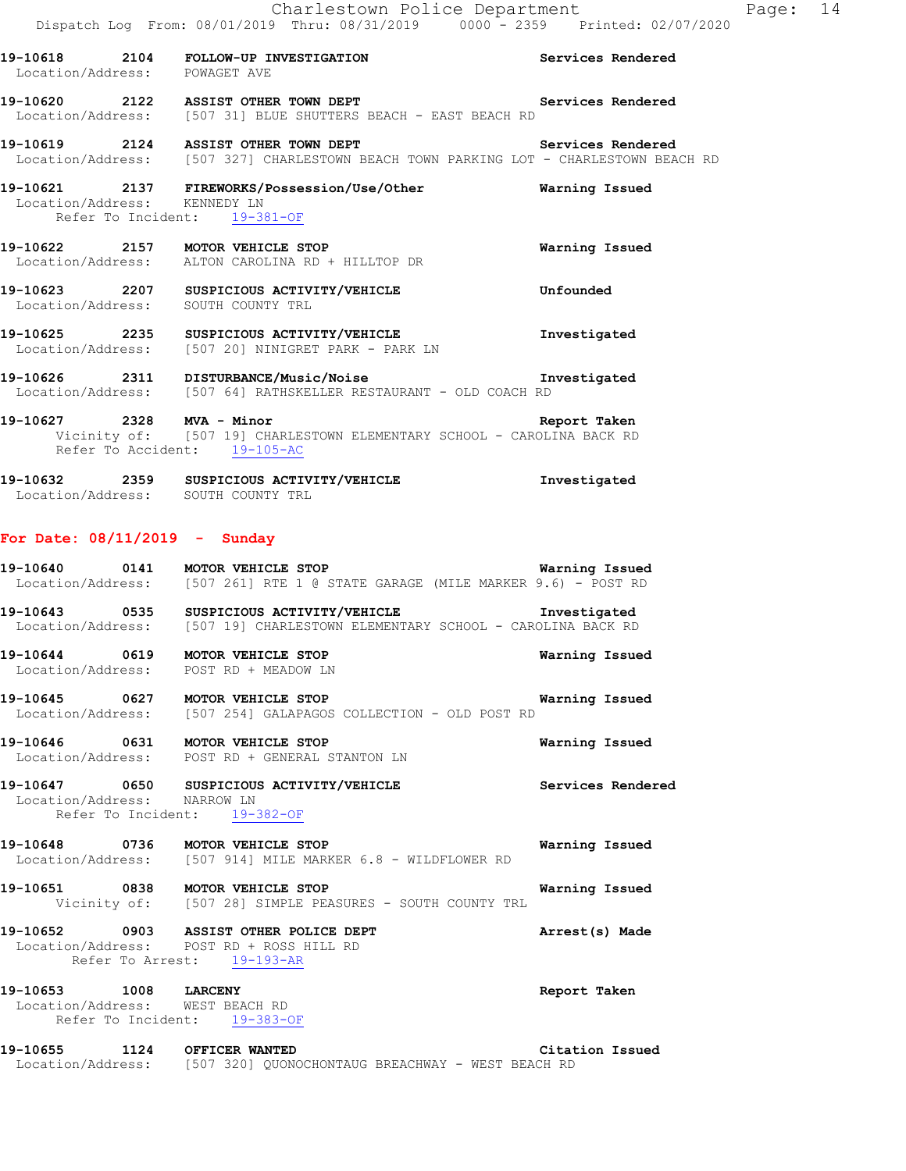|                                                              | Charlestown Police Department<br>Dispatch Log From: 08/01/2019 Thru: 08/31/2019 0000 - 2359 Printed: 02/07/2020                                      |                       |
|--------------------------------------------------------------|------------------------------------------------------------------------------------------------------------------------------------------------------|-----------------------|
| Location/Address: POWAGET AVE                                | 19-10618 2104 FOLLOW-UP INVESTIGATION Services Rendered                                                                                              |                       |
|                                                              | 19-10620 2122 ASSIST OTHER TOWN DEPT Services Rendered<br>Location/Address: [507 31] BLUE SHUTTERS BEACH - EAST BEACH RD                             |                       |
|                                                              | 19-10619  2124  ASSIST OTHER TOWN DEPT    Services Rendered<br>Location/Address: [507 327] CHARLESTOWN BEACH TOWN PARKING LOT - CHARLESTOWN BEACH RD |                       |
| Location/Address: KENNEDY LN<br>Refer To Incident: 19-381-OF | 19-10621 2137 FIREWORKS/Possession/Use/Other <b>Warning Issued</b>                                                                                   |                       |
|                                                              | 19-10622 2157 MOTOR VEHICLE STOP<br>Location/Address: ALTON CAROLINA RD + HILLTOP DR                                                                 | <b>Warning Issued</b> |
| Location/Address: SOUTH COUNTY TRL                           | 19-10623 2207 SUSPICIOUS ACTIVITY/VEHICLE <b>19-10623</b> Unfounded                                                                                  |                       |
|                                                              | 19-10625 2235 SUSPICIOUS ACTIVITY/VEHICLE The Investigated<br>Location/Address: [507 20] NINIGRET PARK - PARK LN                                     |                       |
|                                                              | 19-10626 2311 DISTURBANCE/Music/Noise 2001 1nvestigated<br>Location/Address: [507 64] RATHSKELLER RESTAURANT - OLD COACH RD                          |                       |
| Refer To Accident: 19-105-AC                                 | 19-10627 2328 MVA - Minor 2008 2009 2010 Report Taken<br>Vicinity of: [507 19] CHARLESTOWN ELEMENTARY SCHOOL - CAROLINA BACK RD                      |                       |

Page: 14

| 19–10632          | 2359 | SUSPICIOUS ACTIVITY/VEHICLE | Investigated |
|-------------------|------|-----------------------------|--------------|
| Location/Address: |      | SOUTH COUNTY TRL            |              |

### **For Date: 08/11/2019 - Sunday**

|                             | 19-10640 0141 MOTOR VEHICLE STOP<br>Location/Address: [507 261] RTE 1 @ STATE GARAGE (MILE MARKER 9.6) - POST RD                      | Warning Issued    |
|-----------------------------|---------------------------------------------------------------------------------------------------------------------------------------|-------------------|
|                             | 19-10643 0535 SUSPICIOUS ACTIVITY/VEHICLE Threstigated<br>Location/Address: [507 19] CHARLESTOWN ELEMENTARY SCHOOL - CAROLINA BACK RD |                   |
|                             | 19-10644 0619 MOTOR VEHICLE STOP Warning Issued<br>Location/Address: POST RD + MEADOW LN                                              |                   |
|                             | 19-10645 0627 MOTOR VEHICLE STOP 1999 10 Warning Issued<br>Location/Address: [507 254] GALAPAGOS COLLECTION - OLD POST RD             |                   |
|                             | 19-10646 0631 MOTOR VEHICLE STOP<br>Location/Address: POST RD + GENERAL STANTON LN                                                    | Warning Issued    |
| Location/Address: NARROW LN | 19-10647 0650 SUSPICIOUS ACTIVITY/VEHICLE<br>Refer To Incident: 19-382-OF                                                             | Services Rendered |
|                             | 19-10648 0736 MOTOR VEHICLE STOP<br>Location/Address: [507 914] MILE MARKER 6.8 - WILDFLOWER RD                                       | Warning Issued    |
|                             | 19-10651 0838 MOTOR VEHICLE STOP<br>Vicinity of: [507 28] SIMPLE PEASURES - SOUTH COUNTY TRL                                          | Warning Issued    |
|                             | 19-10652 0903 ASSIST OTHER POLICE DEPT<br>Location/Address: POST RD + ROSS HILL RD<br>Refer To Arrest: 19-193-AR                      | Arrest(s) Made    |
| 19-10653 1008 LARCENY       | Location/Address: WEST BEACH RD<br>Refer To Incident: 19-383-OF                                                                       | Report Taken      |
| 19-10655                    | 1124 OFFICER WANTED                                                                                                                   | Citation Issued   |

Location/Address: [507 320] QUONOCHONTAUG BREACHWAY - WEST BEACH RD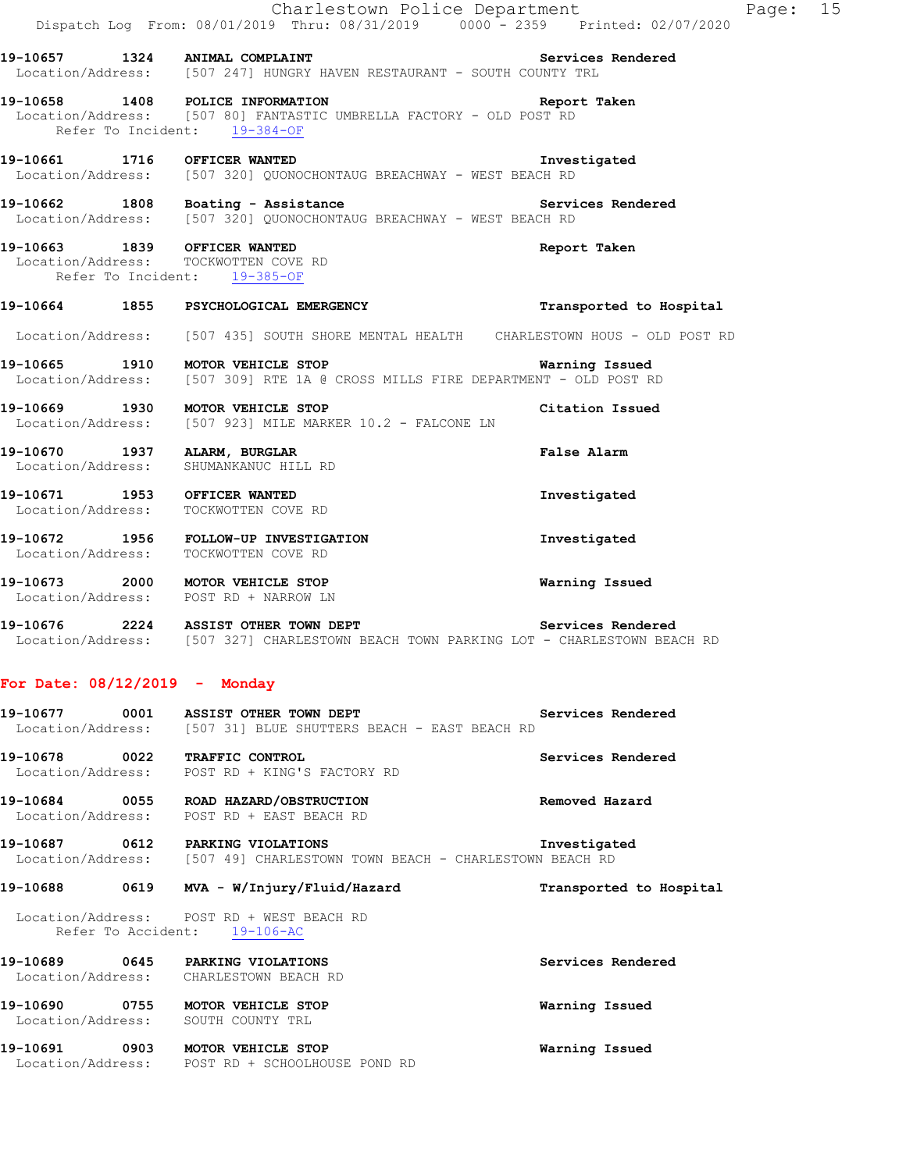|                                 | Charlestown Police Department<br>Dispatch Log From: 08/01/2019 Thru: 08/31/2019 0000 <sup>-</sup> 2359 Printed: 02/07/2020                           |                         | Page: 15 |  |
|---------------------------------|------------------------------------------------------------------------------------------------------------------------------------------------------|-------------------------|----------|--|
|                                 | 19-10657 1324 ANIMAL COMPLAINT<br>Location/Address: [507 247] HUNGRY HAVEN RESTAURANT - SOUTH COUNTY TRL                                             | Services Rendered       |          |  |
|                                 | 19-10658 1408 POLICE INFORMATION Report Taken<br>Location/Address: [507 80] FANTASTIC UMBRELLA FACTORY - OLD POST RD<br>Refer To Incident: 19-384-OF |                         |          |  |
|                                 | <b>Example 21 Investigated</b><br>19-10661 1716 OFFICER WANTED<br>Location/Address: [507 320] QUONOCHONTAUG BREACHWAY - WEST BEACH RD                |                         |          |  |
|                                 | 19-10662 1808 Boating - Assistance New Services Rendered<br>Location/Address: [507 320] QUONOCHONTAUG BREACHWAY - WEST BEACH RD                      |                         |          |  |
|                                 | 19-10663 1839 OFFICER WANTED<br>Location/Address: TOCKWOTTEN COVE RD<br>Refer To Incident: 19-385-OF                                                 | Report Taken            |          |  |
|                                 | 19-10664 1855 PSYCHOLOGICAL EMERGENCY 19-10664 Transported to Hospital                                                                               |                         |          |  |
|                                 | Location/Address: [507 435] SOUTH SHORE MENTAL HEALTH CHARLESTOWN HOUS - OLD POST RD                                                                 |                         |          |  |
|                                 | 19-10665 1910 MOTOR VEHICLE STOP 1999 1999 Warning Issued<br>Location/Address: [507 309] RTE 1A @ CROSS MILLS FIRE DEPARTMENT - OLD POST RD          |                         |          |  |
|                                 | 19-10669 1930 MOTOR VEHICLE STOP<br>Location/Address: [507 923] MILE MARKER 10.2 - FALCONE LN                                                        | Citation Issued         |          |  |
|                                 | 19-10670 1937 ALARM, BURGLAR<br>Location/Address: SHUMANKANUC HILL RD                                                                                | <b>False Alarm</b>      |          |  |
|                                 | 19-10671 1953 OFFICER WANTED<br>Location/Address: TOCKWOTTEN COVE RD                                                                                 | Investigated            |          |  |
|                                 | 19-10672 1956 FOLLOW-UP INVESTIGATION<br>Location/Address: TOCKWOTTEN COVE RD                                                                        | Investigated            |          |  |
|                                 | 19-10673 2000 MOTOR VEHICLE STOP<br>Location/Address: POST RD + NARROW LN                                                                            | Warning Issued          |          |  |
|                                 | 19-10676 2224 ASSIST OTHER TOWN DEPT<br>Location/Address: [507 327] CHARLESTOWN BEACH TOWN PARKING LOT - CHARLESTOWN BEACH RD                        | Services Rendered       |          |  |
| For Date: $08/12/2019$ - Monday |                                                                                                                                                      |                         |          |  |
|                                 | 19-10677 0001 ASSIST OTHER TOWN DEPT<br>Location/Address: [507 31] BLUE SHUTTERS BEACH - EAST BEACH RD                                               | Services Rendered       |          |  |
|                                 | 19-10678 0022 TRAFFIC CONTROL<br>Location/Address: POST RD + KING'S FACTORY RD                                                                       | Services Rendered       |          |  |
|                                 | 19-10684 0055 ROAD HAZARD/OBSTRUCTION<br>Location/Address: POST RD + EAST BEACH RD                                                                   | Removed Hazard          |          |  |
|                                 | 19-10687 0612 PARKING VIOLATIONS<br>Location/Address: [507 49] CHARLESTOWN TOWN BEACH - CHARLESTOWN BEACH RD                                         | Investigated            |          |  |
| 19-10688                        | 0619 MVA - W/Injury/Fluid/Hazard                                                                                                                     | Transported to Hospital |          |  |
|                                 | Location/Address: POST RD + WEST BEACH RD<br>Refer To Accident: 19-106-AC                                                                            |                         |          |  |
|                                 | 19-10689 0645 PARKING VIOLATIONS<br>Location/Address: CHARLESTOWN BEACH RD                                                                           | Services Rendered       |          |  |

**19-10690 0755 MOTOR VEHICLE STOP Warning Issued**  Location/Address: SOUTH COUNTY TRL

**19-10691 0903 MOTOR VEHICLE STOP Warning Issued**  Location/Address: POST RD + SCHOOLHOUSE POND RD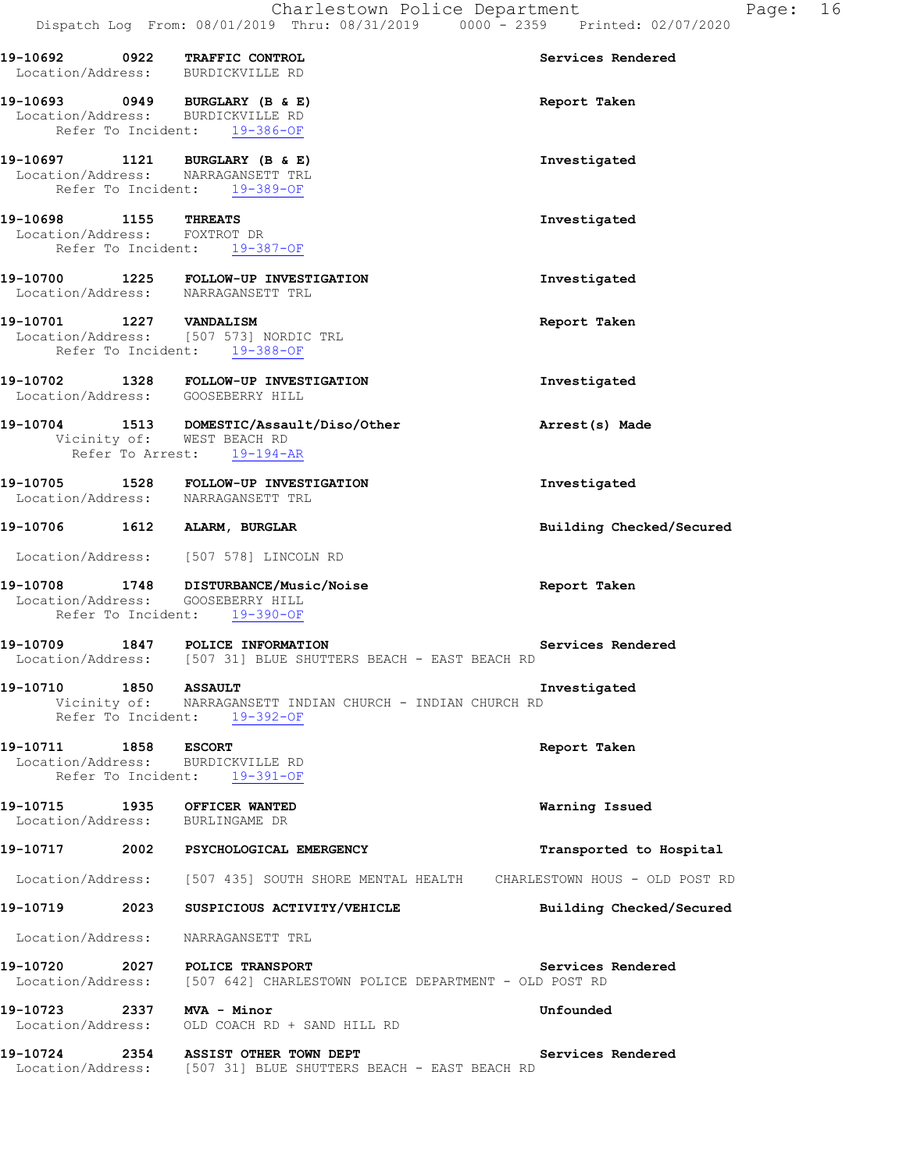|                                    |      | Dispatch Log From: 08/01/2019 Thru: 08/31/2019 0000 - 2359 Printed: 02/07/2020                               |                          |
|------------------------------------|------|--------------------------------------------------------------------------------------------------------------|--------------------------|
|                                    |      | 19-10692 0922 TRAFFIC CONTROL<br>Location/Address: BURDICKVILLE RD                                           | Services Rendered        |
|                                    |      | 19-10693 0949 BURGLARY (B & E)<br>Location/Address: BURDICKVILLE RD<br>Refer To Incident: 19-386-OF          | Report Taken             |
|                                    |      | 19-10697 1121 BURGLARY (B & E)<br>Location/Address: NARRAGANSETT TRL<br>Refer To Incident: 19-389-OF         | Investigated             |
| 19-10698 1155 THREATS              |      | Location/Address: FOXTROT DR<br>Refer To Incident: 19-387-OF                                                 | Investigated             |
|                                    |      | 19-10700 1225 FOLLOW-UP INVESTIGATION<br>Location/Address: NARRAGANSETT TRL                                  | Investigated             |
|                                    |      | 19-10701 1227 VANDALISM<br>Location/Address: [507 573] NORDIC TRL<br>Refer To Incident: 19-388-OF            | Report Taken             |
|                                    |      | 19-10702 1328 FOLLOW-UP INVESTIGATION<br>Location/Address: GOOSEBERRY HILL                                   | Investigated             |
|                                    |      | 19-10704 1513 DOMESTIC/Assault/Diso/Other<br>Vicinity of: WEST BEACH RD<br>Refer To Arrest: 19-194-AR        | Arrest(s) Made           |
|                                    |      | 19-10705 1528 FOLLOW-UP INVESTIGATION<br>Location/Address: NARRAGANSETT TRL                                  | Investigated             |
|                                    |      | 19-10706 1612 ALARM, BURGLAR                                                                                 | Building Checked/Secured |
|                                    |      | Location/Address: [507 578] LINCOLN RD                                                                       |                          |
|                                    |      | 19-10708 1748 DISTURBANCE/Music/Noise<br>Location/Address: GOOSEBERRY HILL<br>Refer To Incident: 19-390-OF   | Report Taken             |
| 19-10709                           |      | 1847 POLICE INFORMATION<br>Location/Address: [507 31] BLUE SHUTTERS BEACH - EAST BEACH RD                    | Services Rendered        |
| 19-10710                           | 1850 | <b>ASSAULT</b><br>Vicinity of: NARRAGANSETT INDIAN CHURCH - INDIAN CHURCH RD<br>Refer To Incident: 19-392-OF | Investigated             |
| 19-10711 1858<br>Location/Address: |      | <b>ESCORT</b><br>BURDICKVILLE RD<br>Refer To Incident: 19-391-OF                                             | Report Taken             |
|                                    |      | 19-10715 1935 OFFICER WANTED<br>Location/Address: BURLINGAME DR                                              | Warning Issued           |
|                                    |      | 19-10717 2002 PSYCHOLOGICAL EMERGENCY                                                                        | Transported to Hospital  |
|                                    |      | Location/Address: [507 435] SOUTH SHORE MENTAL HEALTH CHARLESTOWN HOUS - OLD POST RD                         |                          |
| 19-10719 2023                      |      | SUSPICIOUS ACTIVITY/VEHICLE                                                                                  | Building Checked/Secured |
| Location/Address:                  |      | NARRAGANSETT TRL                                                                                             |                          |
| 19-10720                           | 2027 | POLICE TRANSPORT<br>Location/Address: [507 642] CHARLESTOWN POLICE DEPARTMENT - OLD POST RD                  | Services Rendered        |
| 19-10723 2337 MVA - Minor          |      | Location/Address: OLD COACH RD + SAND HILL RD                                                                | Unfounded                |
| 19-10724                           |      | 2354 ASSIST OTHER TOWN DEPT<br>Location/Address: [507 31] BLUE SHUTTERS BEACH - EAST BEACH RD                | Services Rendered        |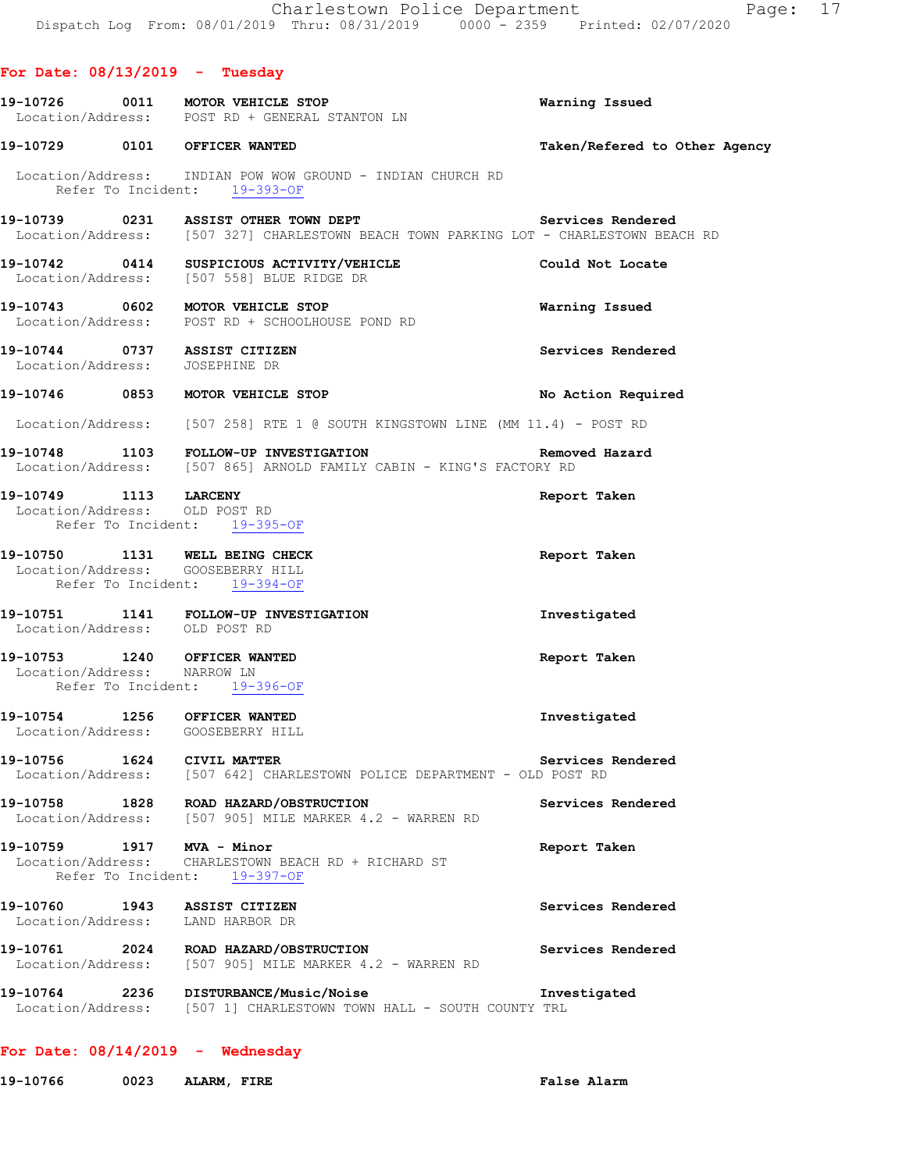**For Date: 08/13/2019 - Tuesday 19-10726 0011 MOTOR VEHICLE STOP Warning Issued**  Location/Address: POST RD + GENERAL STANTON LN **19-10729 0101 OFFICER WANTED Taken/Refered to Other Agency** Location/Address: INDIAN POW WOW GROUND - INDIAN CHURCH RD Refer To Incident: 19-393-OF **19-10739 0231 ASSIST OTHER TOWN DEPT Services Rendered**  Location/Address: [507 327] CHARLESTOWN BEACH TOWN PARKING LOT - CHARLESTOWN BEACH RD **19-10742 0414 SUSPICIOUS ACTIVITY/VEHICLE Could Not Locate**  Location/Address: [507 558] BLUE RIDGE DR **19-10743 0602 MOTOR VEHICLE STOP Warning Issued**  Location/Address: POST RD + SCHOOLHOUSE POND RD **19-10744 0737 ASSIST CITIZEN Services Rendered**  Location/Address: JOSEPHINE DR **19-10746 0853 MOTOR VEHICLE STOP No Action Required**  Location/Address: [507 258] RTE 1 @ SOUTH KINGSTOWN LINE (MM 11.4) - POST RD **19-10748 1103 FOLLOW-UP INVESTIGATION Removed Hazard**  Location/Address: [507 865] ARNOLD FAMILY CABIN - KING'S FACTORY RD **19-10749 1113 LARCENY Report Taken**  Location/Address: OLD POST RD Refer To Incident: 19-395-OF **19-10750 1131 WELL BEING CHECK Report Taken**  Location/Address: GOOSEBERRY HILL Refer To Incident: 19-394-OF **19-10751 1141 FOLLOW-UP INVESTIGATION Investigated**  Location/Address: OLD POST RD **19-10753 1240 OFFICER WANTED Report Taken**  Location/Address: NARROW LN Refer To Incident: 19-396-OF **19-10754 1256 OFFICER WANTED Investigated**  Location/Address: GOOSEBERRY HILL **19-10756 1624 CIVIL MATTER Services Rendered**  Location/Address: [507 642] CHARLESTOWN POLICE DEPARTMENT - OLD POST RD **19-10758 1828 ROAD HAZARD/OBSTRUCTION Services Rendered**  Location/Address: [507 905] MILE MARKER 4.2 - WARREN RD **19-10759 1917 MVA - Minor Report Taken**  Location/Address: CHARLESTOWN BEACH RD + RICHARD ST Refer To Incident: 19-397-OF 19-10760 1943 ASSIST CITIZEN **Services Rendered** Services Rendered Services Rendered **Services** Rendered Location/Address: **19-10761** 2024 ROAD HAZARD/OBSTRUCTION **Services Rendered Services Rendered Integral Conducts:** (507 905) MILE MARKER 4.2 - WARREN RD [507 905] MILE MARKER 4.2 - WARREN RD **19-10764 2236 DISTURBANCE/Music/Noise Investigated**  Location/Address: [507 1] CHARLESTOWN TOWN HALL - SOUTH COUNTY TRL

#### **For Date: 08/14/2019 - Wednesday**

**19-10766 0023 ALARM, FIRE False Alarm**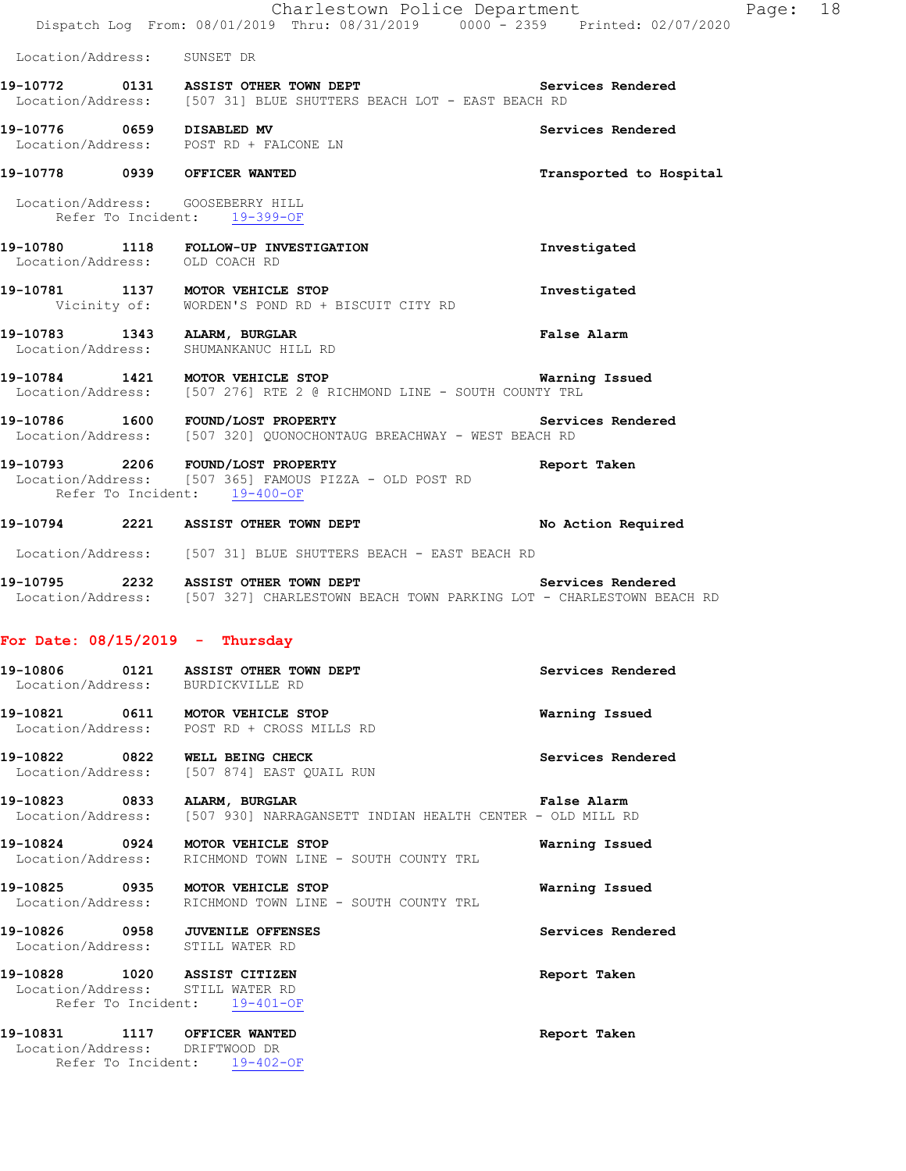|                                                                                                  | Charlestown Police Department<br>Dispatch Log From: 08/01/2019 Thru: 08/31/2019 0000 - 2359 Printed: 02/07/2020                                 | Page: 18                |
|--------------------------------------------------------------------------------------------------|-------------------------------------------------------------------------------------------------------------------------------------------------|-------------------------|
| Location/Address: SUNSET DR                                                                      |                                                                                                                                                 |                         |
|                                                                                                  | 19-10772   0131   ASSIST OTHER TOWN DEPT<br>Location/Address: [507 31] BLUE SHUTTERS BEACH LOT - EAST BEACH RD                                  | Services Rendered       |
| 19-10776 0659 DISABLED MV<br>Location/Address: POST RD + FALCONE LN                              |                                                                                                                                                 | Services Rendered       |
| 19-10778 0939 OFFICER WANTED                                                                     |                                                                                                                                                 | Transported to Hospital |
| Location/Address: GOOSEBERRY HILL<br>Refer To Incident: 19-399-OF                                |                                                                                                                                                 |                         |
| Location/Address: OLD COACH RD                                                                   | 19-10780 1118 FOLLOW-UP INVESTIGATION                                                                                                           | Investigated            |
|                                                                                                  | 19-10781 1137 MOTOR VEHICLE STOP<br>Vicinity of: WORDEN'S POND RD + BISCUIT CITY RD                                                             | Investigated            |
|                                                                                                  | 19-10783 1343 ALARM, BURGLAR<br>Location/Address: SHUMANKANUC HILL RD                                                                           | <b>False Alarm</b>      |
|                                                                                                  | 19-10784 1421 MOTOR VEHICLE STOP <b>19-108-10-20 12 Marning Issued</b><br>Location/Address: [507 276] RTE 2 @ RICHMOND LINE - SOUTH COUNTY TRL  |                         |
|                                                                                                  | Location/Address: [507 320] QUONOCHONTAUG BREACHWAY - WEST BEACH RD                                                                             |                         |
| 19-10793 2206 FOUND/LOST PROPERTY<br>Refer To Incident: 19-400-OF                                | Location/Address: [507 365] FAMOUS PIZZA - OLD POST RD                                                                                          | Report Taken            |
|                                                                                                  | 19-10794 2221 ASSIST OTHER TOWN DEPT No Action Required                                                                                         |                         |
|                                                                                                  | Location/Address: [507 31] BLUE SHUTTERS BEACH - EAST BEACH RD                                                                                  |                         |
|                                                                                                  | 19-10795 2232 ASSIST OTHER TOWN DEPT Services Rendered<br>Location/Address: [507 327] CHARLESTOWN BEACH TOWN PARKING LOT - CHARLESTOWN BEACH RD |                         |
| For Date: $08/15/2019$ - Thursday                                                                |                                                                                                                                                 |                         |
| Location/Address:                                                                                | 19-10806 0121 ASSIST OTHER TOWN DEPT<br>BURDICKVILLE RD                                                                                         | Services Rendered       |
|                                                                                                  | 19-10821 0611 MOTOR VEHICLE STOP<br>Location/Address: POST RD + CROSS MILLS RD                                                                  | Warning Issued          |
| 19-10822 0822 WELL BEING CHECK<br>Location/Address:                                              | [507 874] EAST QUAIL RUN                                                                                                                        | Services Rendered       |
| 19-10823 0833 ALARM, BURGLAR                                                                     | Location/Address: [507 930] NARRAGANSETT INDIAN HEALTH CENTER - OLD MILL RD                                                                     | <b>False Alarm</b>      |
| 19-10824 0924 MOTOR VEHICLE STOP<br>Location/Address:                                            | RICHMOND TOWN LINE - SOUTH COUNTY TRL                                                                                                           | Warning Issued          |
| 19-10825 0935 MOTOR VEHICLE STOP                                                                 | Location/Address: RICHMOND TOWN LINE - SOUTH COUNTY TRL                                                                                         | Warning Issued          |
| 19-10826 0958 JUVENILE OFFENSES<br>Location/Address: STILL WATER RD                              |                                                                                                                                                 | Services Rendered       |
| 19-10828 1020 ASSIST CITIZEN<br>Location/Address: STILL WATER RD<br>Refer To Incident: 19-401-OF |                                                                                                                                                 | Report Taken            |
| 19-10831 1117 OFFICER WANTED<br>Location/Address: DRIFTWOOD DR<br>Refer To Incident: 19-402-OF   |                                                                                                                                                 | Report Taken            |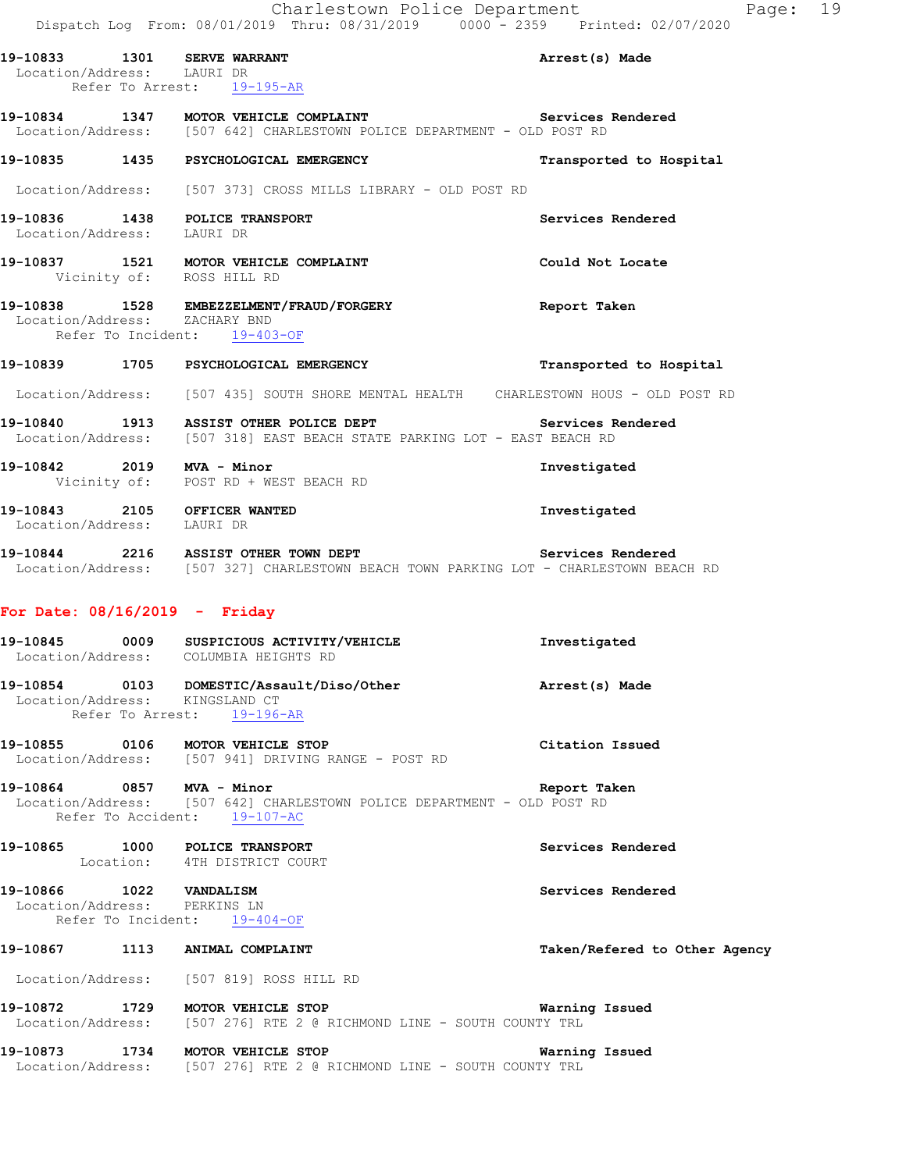|                                                               | Charlestown Police Department                                                                                                            |                         | Page: 19 |  |
|---------------------------------------------------------------|------------------------------------------------------------------------------------------------------------------------------------------|-------------------------|----------|--|
| 19-10833 1301 SERVE WARRANT<br>Location/Address: LAURI DR     | Dispatch Log From: 08/01/2019 Thru: 08/31/2019 0000 - 2359 Printed: 02/07/2020<br>Refer To Arrest: 19-195-AR                             | Arrest(s) Made          |          |  |
|                                                               | 19-10834 1347 MOTOR VEHICLE COMPLAINT THE SETTICES Rendered<br>Location/Address: [507 642] CHARLESTOWN POLICE DEPARTMENT - OLD POST RD   |                         |          |  |
|                                                               | 19-10835 1435 PSYCHOLOGICAL EMERGENCY                                                                                                    | Transported to Hospital |          |  |
|                                                               | Location/Address: [507 373] CROSS MILLS LIBRARY - OLD POST RD                                                                            |                         |          |  |
| 19-10836 1438 POLICE TRANSPORT<br>Location/Address: LAURI DR  |                                                                                                                                          | Services Rendered       |          |  |
| Vicinity of: ROSS HILL RD                                     | 19-10837 1521 MOTOR VEHICLE COMPLAINT                                                                                                    | Could Not Locate        |          |  |
| Location/Address: ZACHARY BND<br>Refer To Incident: 19-403-OF | 19-10838 1528 EMBEZZELMENT/FRAUD/FORGERY                                                                                                 | Report Taken            |          |  |
|                                                               | 19-10839 1705 PSYCHOLOGICAL EMERGENCY                                                                                                    | Transported to Hospital |          |  |
|                                                               | Location/Address: [507 435] SOUTH SHORE MENTAL HEALTH CHARLESTOWN HOUS - OLD POST RD                                                     |                         |          |  |
|                                                               | 19-10840 1913 ASSIST OTHER POLICE DEPT The Services Rendered<br>Location/Address: [507 318] EAST BEACH STATE PARKING LOT - EAST BEACH RD |                         |          |  |
| 19-10842 2019 MVA - Minor                                     | Vicinity of: POST RD + WEST BEACH RD                                                                                                     | Investigated            |          |  |
| 19-10843 2105 OFFICER WANTED<br>Location/Address: LAURI DR    |                                                                                                                                          | Investigated            |          |  |

**19-10844 2216 ASSIST OTHER TOWN DEPT Services Rendered**  Location/Address: [507 327] CHARLESTOWN BEACH TOWN PARKING LOT - CHARLESTOWN BEACH RD

#### **For Date: 08/16/2019 - Friday**

- **19-10845 0009 SUSPICIOUS ACTIVITY/VEHICLE Investigated**  Location/Address: COLUMBIA HEIGHTS RD **19-10854 0103 DOMESTIC/Assault/Diso/Other Arrest(s) Made**  Location/Address: KINGSLAND CT Refer To Arrest: 19-196-AR **19-10855 0106 MOTOR VEHICLE STOP Citation Issued**  Location/Address: [507 941] DRIVING RANGE - POST RD
- **19-10864 0857 MVA Minor Report Taken**  Location/Address: [507 642] CHARLESTOWN POLICE DEPARTMENT - OLD POST RD Refer To Accident: 19-107-AC
- **19-10865 1000 POLICE TRANSPORT Services Rendered**  Location: 4TH DISTRICT COURT

# **19-10866 1022 VANDALISM Services Rendered**

Location/Address: Refer To Incident: 19-404-OF

#### **19-10867 1113 ANIMAL COMPLAINT Taken/Refered to Other Agency**

Location/Address: [507 819] ROSS HILL RD

- **19-10872 1729 MOTOR VEHICLE STOP Warning Issued**  Location/Address: [507 276] RTE 2 @ RICHMOND LINE - SOUTH COUNTY TRL
- **19-10873 1734 MOTOR VEHICLE STOP Warning Issued**  Location/Address: [507 276] RTE 2 @ RICHMOND LINE - SOUTH COUNTY TRL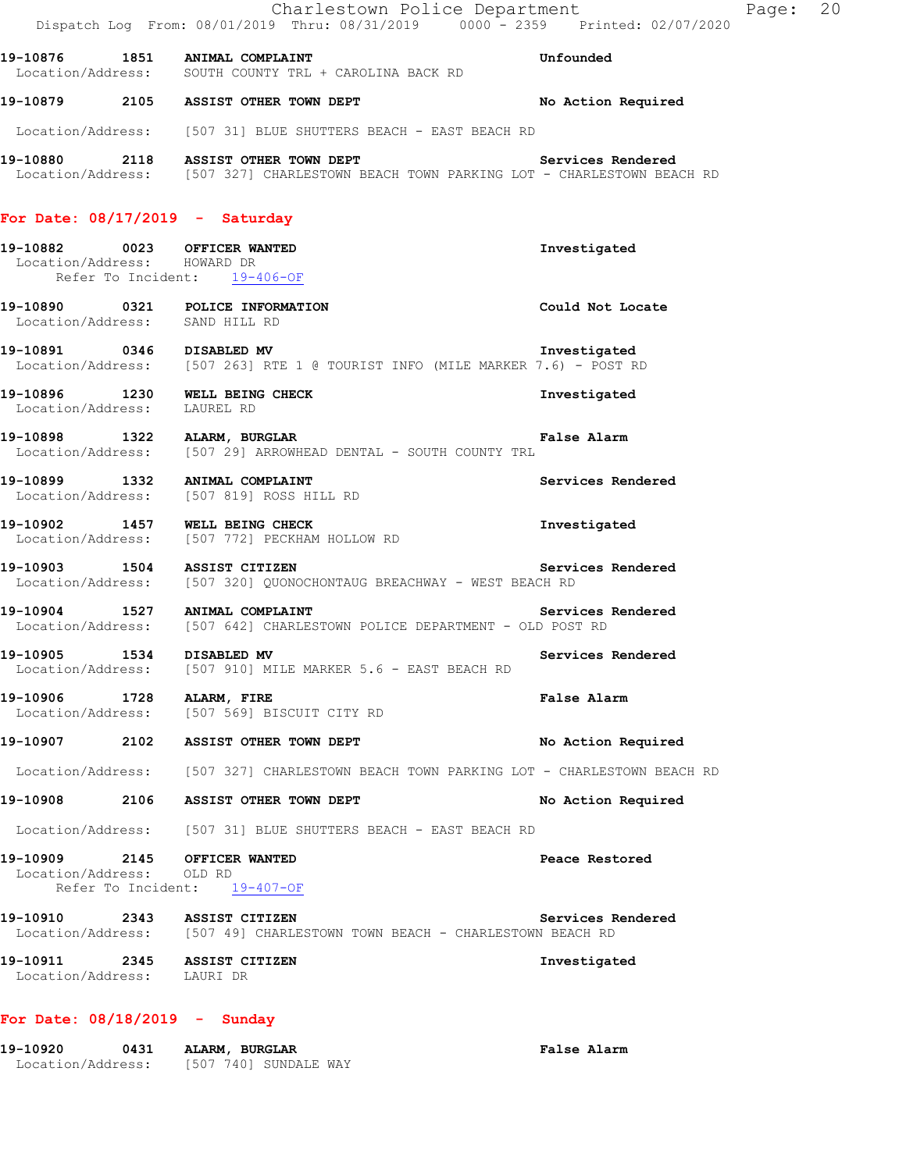|                                | Charlestown Police Department<br>Dispatch Log From: 08/01/2019 Thru: 08/31/2019 0000 <sup>-</sup> 2359 Printed: 02/07/2020                      |                    |
|--------------------------------|-------------------------------------------------------------------------------------------------------------------------------------------------|--------------------|
|                                | 19-10876 1851 ANIMAL COMPLAINT<br>Location/Address: SOUTH COUNTY TRL + CAROLINA BACK RD                                                         | Unfounded          |
|                                | 19-10879 2105 ASSIST OTHER TOWN DEPT                                                                                                            | No Action Required |
|                                | Location/Address: [507 31] BLUE SHUTTERS BEACH - EAST BEACH RD                                                                                  |                    |
|                                | 19-10880 2118 ASSIST OTHER TOWN DEPT Services Rendered<br>Location/Address: [507 327] CHARLESTOWN BEACH TOWN PARKING LOT - CHARLESTOWN BEACH RD |                    |
|                                | For Date: $08/17/2019$ - Saturday                                                                                                               |                    |
| Location/Address: HOWARD DR    | 19-10882 0023 OFFICER WANTED<br>Refer To Incident: 19-406-OF                                                                                    | Investigated       |
| Location/Address: SAND HILL RD | 19-10890 0321 POLICE INFORMATION                                                                                                                | Could Not Locate   |
|                                | 19-10891 0346 DISABLED MV<br>Location/Address: [507 263] RTE 1 @ TOURIST INFO (MILE MARKER 7.6) - POST RD                                       | Investigated       |
| Location/Address: LAUREL RD    | 19-10896 1230 WELL BEING CHECK                                                                                                                  | Investigated       |
|                                | 19-10898 1322 ALARM, BURGLAR<br>Location/Address: [507 29] ARROWHEAD DENTAL - SOUTH COUNTY TRL                                                  | <b>False Alarm</b> |
|                                | 19-10899 1332 ANIMAL COMPLAINT<br>Location/Address: [507 819] ROSS HILL RD                                                                      | Services Rendered  |
|                                | 19-10902 1457 WELL BEING CHECK<br>Location/Address: [507 772] PECKHAM HOLLOW RD                                                                 | Investigated       |
|                                | 19-10903 1504 ASSIST CITIZEN<br>Services Rendered<br>Location/Address: [507 320] QUONOCHONTAUG BREACHWAY - WEST BEACH RD                        |                    |
|                                | 19-10904 1527 ANIMAL COMPLAINT<br>Location/Address: [507 642] CHARLESTOWN POLICE DEPARTMENT - OLD POST RD                                       | Services Rendered  |
| 19-10905 1534                  | DISABLED MV<br>Location/Address: [507 910] MILE MARKER 5.6 - EAST BEACH RD                                                                      | Services Rendered  |
| 19-10906 1728 ALARM, FIRE      | Location/Address: [507 569] BISCUIT CITY RD                                                                                                     | False Alarm        |
|                                | 19-10907 2102 ASSIST OTHER TOWN DEPT                                                                                                            | No Action Required |
|                                | Location/Address: [507 327] CHARLESTOWN BEACH TOWN PARKING LOT - CHARLESTOWN BEACH RD                                                           |                    |
|                                | 19-10908 2106 ASSIST OTHER TOWN DEPT                                                                                                            | No Action Required |
|                                | Location/Address: [507 31] BLUE SHUTTERS BEACH - EAST BEACH RD                                                                                  |                    |
| Location/Address: OLD RD       | 19-10909 2145 OFFICER WANTED<br>Refer To Incident: 19-407-OF                                                                                    | Peace Restored     |
|                                | 19-10910 2343 ASSIST CITIZEN<br>Location/Address: [507 49] CHARLESTOWN TOWN BEACH - CHARLESTOWN BEACH RD                                        | Services Rendered  |
| Location/Address: LAURI DR     | 19-10911 2345 ASSIST CITIZEN                                                                                                                    | Investigated       |

### **For Date: 08/18/2019 - Sunday**

| 19-10920          | 0431 | ALARM, BURGLAR        | False Alarm |
|-------------------|------|-----------------------|-------------|
| Location/Address: |      | [507 740] SUNDALE WAY |             |

Page: 20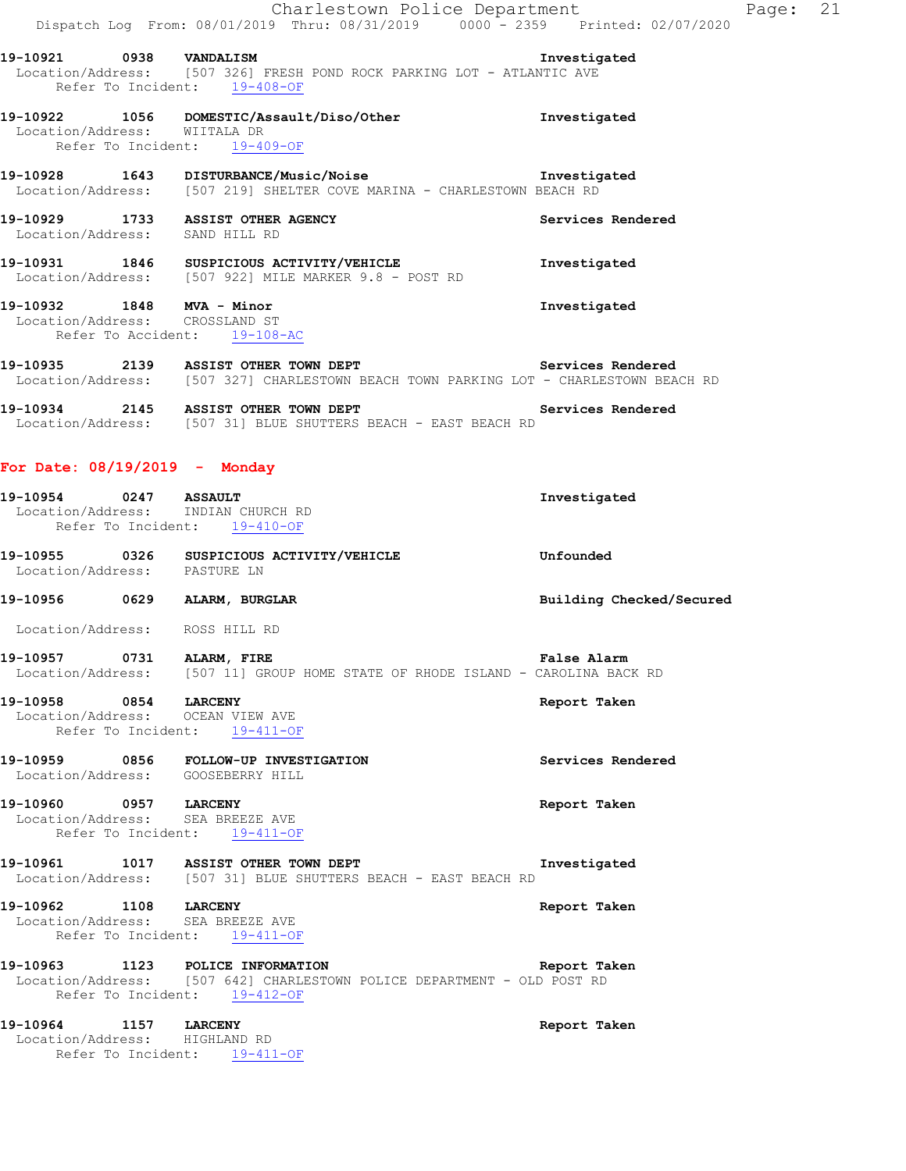|                                                             |      | Charlestown Police Department<br>Dispatch Log From: 08/01/2019 Thru: 08/31/2019 0000 - 2359 Printed: 02/07/2020                                                          | Page: 21                 |  |
|-------------------------------------------------------------|------|--------------------------------------------------------------------------------------------------------------------------------------------------------------------------|--------------------------|--|
| 19-10921 0938 VANDALISM                                     |      | Location/Address: [507 326] FRESH POND ROCK PARKING LOT - ATLANTIC AVE                                                                                                   | Investigated             |  |
| Location/Address: WIITALA DR                                |      | Refer To Incident: 19-408-OF<br>19-10922 1056 DOMESTIC/Assault/Diso/Other<br>Refer To Incident: 19-409-OF                                                                | Investigated             |  |
|                                                             |      | 19-10928 1643 DISTURBANCE/Music/Noise 19-10928 Investigated<br>Location/Address: [507 219] SHELTER COVE MARINA - CHARLESTOWN BEACH RD                                    |                          |  |
| Location/Address: SAND HILL RD                              |      | 19-10929 1733 ASSIST OTHER AGENCY                                                                                                                                        | Services Rendered        |  |
|                                                             |      | 19-10931 1846 SUSPICIOUS ACTIVITY/VEHICLE<br>Location/Address: [507 922] MILE MARKER 9.8 - POST RD                                                                       | Investigated             |  |
| 19-10932 1848 MVA - Minor<br>Location/Address: CROSSLAND ST |      | Refer To Accident: 19-108-AC                                                                                                                                             | Investigated             |  |
|                                                             |      | 19-10935 2139 ASSIST OTHER TOWN DEPT Services Rendered<br>Location/Address: [507 327] CHARLESTOWN BEACH TOWN PARKING LOT - CHARLESTOWN BEACH RD                          |                          |  |
|                                                             |      | 19-10934 2145 ASSIST OTHER TOWN DEPT Services Rendered<br>Location/Address: [507 31] BLUE SHUTTERS BEACH - EAST BEACH RD                                                 |                          |  |
| For Date: 08/19/2019 - Monday                               |      |                                                                                                                                                                          |                          |  |
|                                                             |      | 19-10954 0247 ASSAULT<br>Location/Address: INDIAN CHURCH RD<br>Refer To Incident: 19-410-OF                                                                              | Investigated             |  |
| Location/Address: PASTURE LN                                |      | 19-10955 0326 SUSPICIOUS ACTIVITY/VEHICLE                                                                                                                                | Unfounded                |  |
| 19-10956 0629 ALARM, BURGLAR                                |      |                                                                                                                                                                          | Building Checked/Secured |  |
| Location/Address: ROSS HILL RD                              |      |                                                                                                                                                                          |                          |  |
| 19-10957                                                    | 0731 | ALARM, FIRE<br>Location/Address: [507 11] GROUP HOME STATE OF RHODE ISLAND - CAROLINA BACK RD                                                                            | False Alarm              |  |
| 19-10958 0854 LARCENY                                       |      | Location/Address: OCEAN VIEW AVE<br>Refer To Incident: 19-411-OF                                                                                                         | Report Taken             |  |
|                                                             |      | 19-10959 0856 FOLLOW-UP INVESTIGATION<br>Location/Address: GOOSEBERRY HILL                                                                                               | Services Rendered        |  |
| 19-10960 0957 LARCENY                                       |      | Location/Address: SEA BREEZE AVE<br>Refer To Incident: 19-411-OF                                                                                                         | Report Taken             |  |
|                                                             |      | 19-10961 1017 ASSIST OTHER TOWN DEPT<br>Location/Address: [507 31] BLUE SHUTTERS BEACH - EAST BEACH RD                                                                   | Investigated             |  |
| 19-10962 1108 LARCENY<br>Location/Address: SEA BREEZE AVE   |      | Refer To Incident: 19-411-OF                                                                                                                                             | Report Taken             |  |
|                                                             |      | 19-10963 1123 POLICE INFORMATION <b>19-10963</b> Report Taken<br>Location/Address: [507 642] CHARLESTOWN POLICE DEPARTMENT - OLD POST RD<br>Refer To Incident: 19-412-OF |                          |  |
| 19-10964 1157 LARCENY<br>Location/Address: HIGHLAND RD      |      | Refer To Incident: 19-411-OF                                                                                                                                             | Report Taken             |  |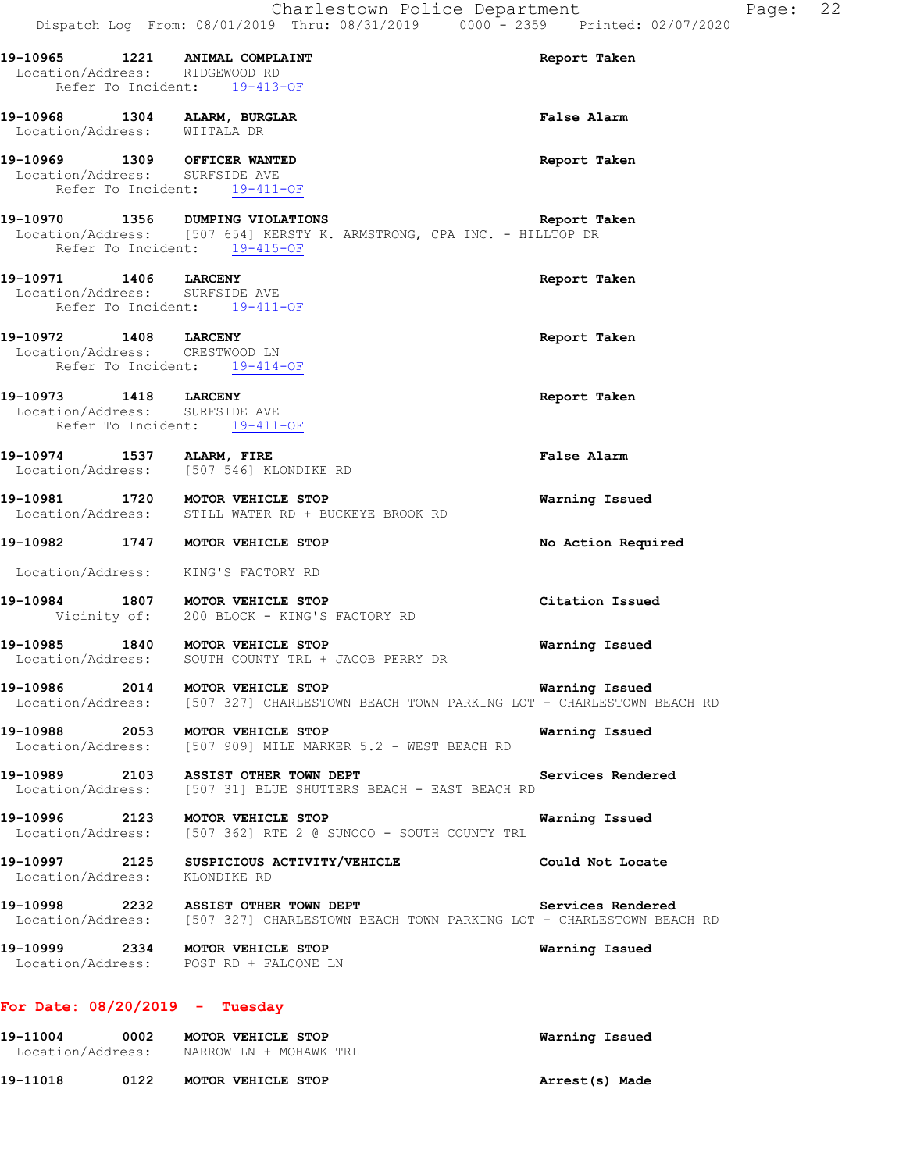|                                                                                                  | $5.18 + 200$ comments $20 - 200$ comments<br>Dispatch Log From: 08/01/2019 Thru: 08/31/2019 0000 - 2359 Printed: 02/07/2020 |                    |
|--------------------------------------------------------------------------------------------------|-----------------------------------------------------------------------------------------------------------------------------|--------------------|
| 19-10965 1221 ANIMAL COMPLAINT<br>Location/Address: RIDGEWOOD RD<br>Refer To Incident: 19-413-OF |                                                                                                                             | Report Taken       |
| 19-10968 1304 ALARM, BURGLAR<br>Location/Address: WIITALA DR                                     |                                                                                                                             | <b>False Alarm</b> |
| 19-10969 1309 OFFICER WANTED<br>Location/Address: SURFSIDE AVE<br>Refer To Incident: 19-411-OF   |                                                                                                                             | Report Taken       |
| Refer To Incident: 19-415-OF                                                                     | 19-10970 1356 DUMPING VIOLATIONS Report T<br>Location/Address: [507 654] KERSTY K. ARMSTRONG, CPA INC. - HILLTOP DR         | Report Taken       |
| 19-10971 1406 LARCENY<br>Location/Address: SURFSIDE AVE<br>Refer To Incident: 19-411-OF          |                                                                                                                             | Report Taken       |
| 19-10972 1408 LARCENY<br>Location/Address: CRESTWOOD LN<br>Refer To Incident: 19-414-OF          |                                                                                                                             | Report Taken       |
| 19-10973 1418 LARCENY<br>Location/Address: SURFSIDE AVE<br>Refer To Incident: 19-411-OF          |                                                                                                                             | Report Taken       |
|                                                                                                  | 19-10974 1537 ALARM, FIRE<br>Location/Address: [507 546] KLONDIKE RD                                                        | False Alarm        |
|                                                                                                  | 19-10981 1720 MOTOR VEHICLE STOP<br>Location/Address: STILL WATER RD + BUCKEYE BROOK RD                                     | Warning Issued     |
| 19-10982 1747 MOTOR VEHICLE STOP                                                                 |                                                                                                                             | No Action Required |
| Location/Address: KING'S FACTORY RD                                                              | 19-10984 1807 MOTOR VEHICLE STOP<br>Vicinity of: 200 BLOCK - KING'S FACTORY RD                                              | Citation Issued    |
|                                                                                                  | 19-10985 1840 MOTOR VEHICLE STOP<br>Location/Address: SOUTH COUNTY TRL + JACOB PERRY DR                                     | Warning Issued     |
| 19-10986<br>2014<br>Location/Address:                                                            | MOTOR VEHICLE STOP<br>[507 327] CHARLESTOWN BEACH TOWN PARKING LOT - CHARLESTOWN BEACH RD                                   | Warning Issued     |
| 19-10988<br>2053<br>Location/Address:                                                            | MOTOR VEHICLE STOP<br>[507 909] MILE MARKER 5.2 - WEST BEACH RD                                                             | Warning Issued     |
| 19-10989 2103<br>Location/Address:                                                               | ASSIST OTHER TOWN DEPT<br>[507 31] BLUE SHUTTERS BEACH - EAST BEACH RD                                                      | Services Rendered  |
| 19-10996                                                                                         | 2123 MOTOR VEHICLE STOP<br>Location/Address: [507 362] RTE 2 @ SUNOCO - SOUTH COUNTY TRL                                    | Warning Issued     |

**19-10997 2125 SUSPICIOUS ACTIVITY/VEHICLE Could Not Locate**  Location/Address: KLONDIKE RD

**19-10998 2232 ASSIST OTHER TOWN DEPT Services Rendered**  Location/Address: [507 327] CHARLESTOWN BEACH TOWN PARKING LOT - CHARLESTOWN BEACH RD

**19-10999 2334 MOTOR VEHICLE STOP Warning Issued**  Location/Address: POST RD + FALCONE LN

#### **For Date: 08/20/2019 - Tuesday**

| 19-11004<br>Location/Address: | 0002 | MOTOR VEHICLE STOP<br>NARROW LN + MOHAWK TRL | Warning Issued |
|-------------------------------|------|----------------------------------------------|----------------|
| 19-11018                      | 0122 | MOTOR VEHICLE STOP                           | Arrest(s) Made |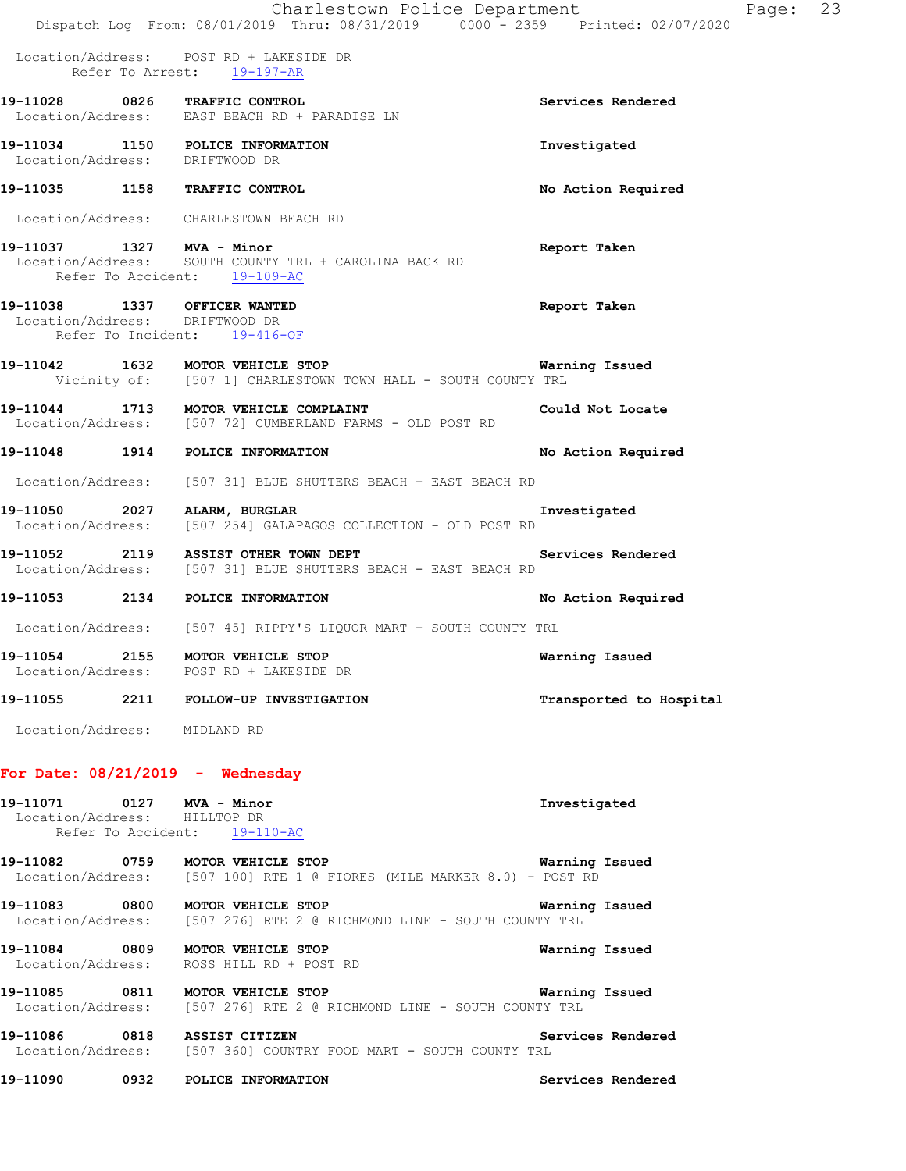|                                                                | Charlestown Police Department<br>Dispatch Log From: 08/01/2019 Thru: 08/31/2019 0000 <sup>-</sup> 2359 Printed: 02/07/2020 | Page: 23                |  |
|----------------------------------------------------------------|----------------------------------------------------------------------------------------------------------------------------|-------------------------|--|
|                                                                | Location/Address: POST RD + LAKESIDE DR<br>Refer To Arrest: 19-197-AR                                                      |                         |  |
|                                                                | 19-11028 0826 TRAFFIC CONTROL<br>Location/Address: EAST BEACH RD + PARADISE LN                                             | Services Rendered       |  |
| Location/Address: DRIFTWOOD DR                                 | 19-11034 1150 POLICE INFORMATION                                                                                           | Investigated            |  |
|                                                                | 19-11035 1158 TRAFFIC CONTROL                                                                                              | No Action Required      |  |
|                                                                | Location/Address: CHARLESTOWN BEACH RD                                                                                     |                         |  |
| 19-11037 1327 MVA - Minor                                      | Location/Address: SOUTH COUNTY TRL + CAROLINA BACK RD<br>Refer To Accident: 19-109-AC                                      | Report Taken            |  |
| 19-11038 1337 OFFICER WANTED<br>Location/Address: DRIFTWOOD DR | Refer To Incident: 19-416-OF                                                                                               | Report Taken            |  |
|                                                                | 19-11042 1632 MOTOR VEHICLE STOP<br>Vicinity of: [507 1] CHARLESTOWN TOWN HALL - SOUTH COUNTY TRL                          | Warning Issued          |  |
|                                                                | 19-11044 1713 MOTOR VEHICLE COMPLAINT<br>Location/Address: [507 72] CUMBERLAND FARMS - OLD POST RD                         | Could Not Locate        |  |
|                                                                | 19-11048 1914 POLICE INFORMATION                                                                                           | No Action Required      |  |
|                                                                | Location/Address: [507 31] BLUE SHUTTERS BEACH - EAST BEACH RD                                                             |                         |  |
|                                                                | 19-11050 2027 ALARM, BURGLAR<br>Location/Address: [507 254] GALAPAGOS COLLECTION - OLD POST RD                             | Investigated            |  |
|                                                                | 19-11052 2119 ASSIST OTHER TOWN DEPT<br>Location/Address: [507 31] BLUE SHUTTERS BEACH - EAST BEACH RD                     | Services Rendered       |  |
|                                                                | 19-11053 2134 POLICE INFORMATION                                                                                           | No Action Required      |  |
|                                                                | Location/Address: [507 45] RIPPY'S LIQUOR MART - SOUTH COUNTY TRL                                                          |                         |  |
|                                                                | MOTOR VEHICLE STOP<br>Location/Address: POST RD + LAKESIDE DR                                                              | Warning Issued          |  |
|                                                                | 19-11055 2211 FOLLOW-UP INVESTIGATION                                                                                      | Transported to Hospital |  |
| Location/Address: MIDLAND RD                                   |                                                                                                                            |                         |  |
|                                                                | For Date: $08/21/2019$ - Wednesday                                                                                         |                         |  |
| 19-11071   0127   MVA - Minor<br>Location/Address: HILLTOP DR  | Refer To Accident: 19-110-AC                                                                                               | Investigated            |  |
|                                                                | 19-11082 0759 MOTOR VEHICLE STOP<br>Location/Address: [507 100] RTE 1 @ FIORES (MILE MARKER 8.0) - POST RD                 | Warning Issued          |  |
|                                                                | 19-11083 0800 MOTOR VEHICLE STOP<br>Location/Address: [507 276] RTE 2 @ RICHMOND LINE - SOUTH COUNTY TRL                   | Warning Issued          |  |
|                                                                | 19-11084 0809 MOTOR VEHICLE STOP<br>Location/Address: ROSS HILL RD + POST RD                                               | Warning Issued          |  |
|                                                                | 19-11085 0811 MOTOR VEHICLE STOP<br>Location/Address: [507 276] RTE 2 @ RICHMOND LINE - SOUTH COUNTY TRL                   | Warning Issued          |  |
| 19-11086 0818 ASSIST CITIZEN                                   | Location/Address: [507 360] COUNTRY FOOD MART - SOUTH COUNTY TRL                                                           | Services Rendered       |  |
|                                                                | 19-11090 0932 POLICE INFORMATION                                                                                           | Services Rendered       |  |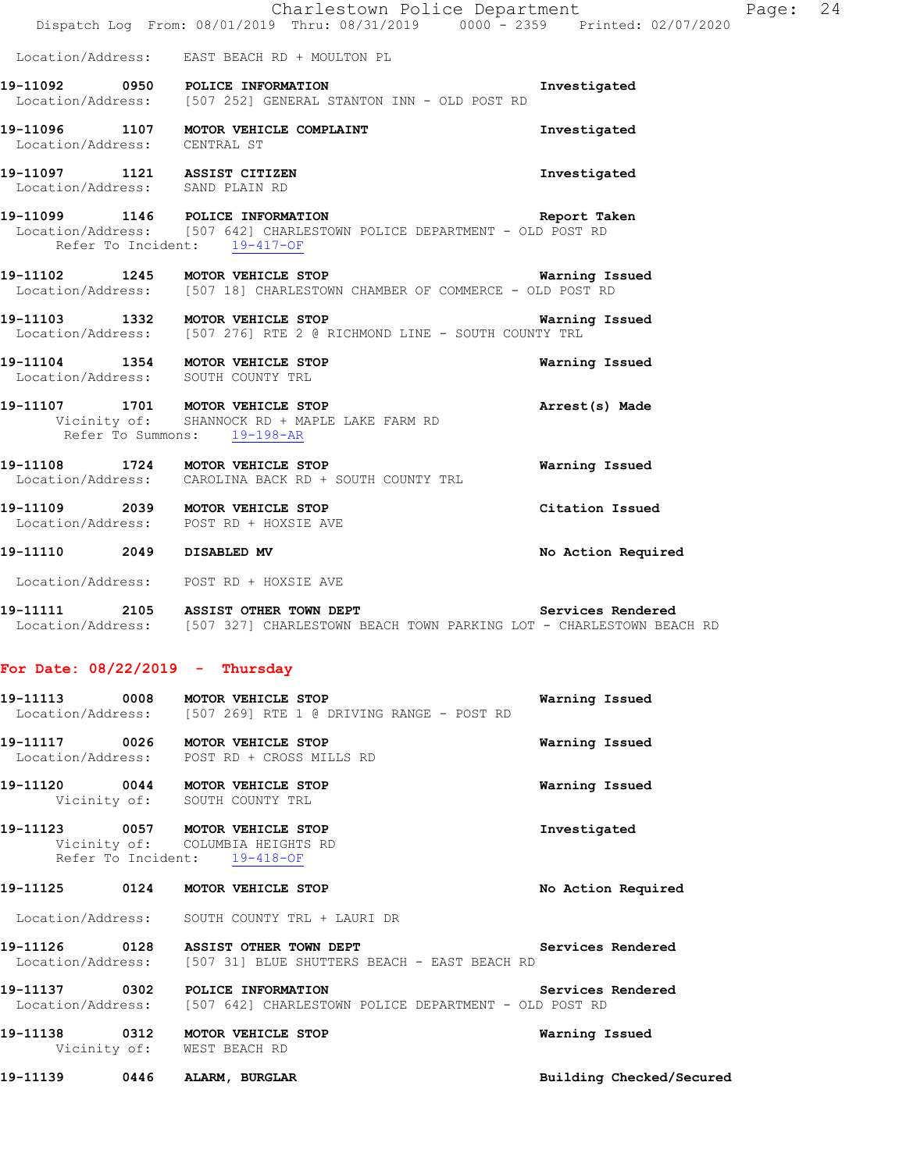|                           | Charlestown Police Department<br>Dispatch Log From: 08/01/2019 Thru: 08/31/2019 0000 - 2359 Printed: 02/07/2020                                    |                    |
|---------------------------|----------------------------------------------------------------------------------------------------------------------------------------------------|--------------------|
|                           | Location/Address: EAST BEACH RD + MOULTON PL                                                                                                       |                    |
|                           | 19-11092 0950 POLICE INFORMATION<br>Location/Address: [507 252] GENERAL STANTON INN - OLD POST RD                                                  | Investigated       |
|                           | 19-11096 1107 MOTOR VEHICLE COMPLAINT<br>Location/Address: CENTRAL ST                                                                              | Investigated       |
|                           | 19-11097 1121 ASSIST CITIZEN<br>Location/Address: SAND PLAIN RD                                                                                    | Investigated       |
|                           | 19-11099 1146 POLICE INFORMATION Report Table 1146 POLICE INFORMATION DOLICE DEPARTMENT - OLD POST RD<br>Refer To Incident: 19-417-OF              | Report Taken       |
|                           | 19-11102 1245 MOTOR VEHICLE STOP<br>Location/Address: [507 18] CHARLESTOWN CHAMBER OF COMMERCE - OLD POST RD                                       | Warning Issued     |
|                           | 19-11103 1332 MOTOR VEHICLE STOP<br>Location/Address: [507 276] RTE 2 @ RICHMOND LINE - SOUTH COUNTY TRL                                           | Warning Issued     |
|                           | 19-11104 1354 MOTOR VEHICLE STOP<br>Location/Address: SOUTH COUNTY TRL                                                                             | Warning Issued     |
|                           | 19-11107 1701 MOTOR VEHICLE STOP<br>Vicinity of: SHANNOCK RD + MAPLE LAKE FARM RD<br>Refer To Summons: 19-198-AR                                   | Arrest(s) Made     |
|                           | 19-11108 1724 MOTOR VEHICLE STOP<br>Location/Address: CAROLINA BACK RD + SOUTH COUNTY TRL                                                          | Warning Issued     |
|                           | 19-11109 2039 MOTOR VEHICLE STOP<br>Location/Address: POST RD + HOXSIE AVE                                                                         | Citation Issued    |
| 19-11110 2049 DISABLED MV |                                                                                                                                                    | No Action Required |
|                           | Location/Address: POST RD + HOXSIE AVE                                                                                                             |                    |
|                           | Services Rendered<br>19-11111 2105 ASSIST OTHER TOWN DEPT<br>Location/Address: [507 327] CHARLESTOWN BEACH TOWN PARKING LOT - CHARLESTOWN BEACH RD |                    |

Page: 24

## **For Date: 08/22/2019 - Thursday**

|                  | 19-11113 0008 MOTOR VEHICLE STOP<br>Location/Address: [507 269] RTE 1 @ DRIVING RANGE - POST RD             | Warning Issued           |
|------------------|-------------------------------------------------------------------------------------------------------------|--------------------------|
|                  | 19-11117 0026 MOTOR VEHICLE STOP<br>Location/Address: POST RD + CROSS MILLS RD                              | Warning Issued           |
|                  | 19-11120 0044 MOTOR VEHICLE STOP<br>Vicinity of: SOUTH COUNTY TRL                                           | Warning Issued           |
|                  | 19-11123 0057 MOTOR VEHICLE STOP<br>Vicinity of: COLUMBIA HEIGHTS RD<br>Refer To Incident: 19-418-OF        | Investigated             |
|                  | 19-11125 0124 MOTOR VEHICLE STOP                                                                            | No Action Required       |
|                  | Location/Address: SOUTH COUNTY TRL + LAURI DR                                                               |                          |
|                  | 19-11126  0128  ASSIST OTHER TOWN DEPT<br>Location/Address: [507 31] BLUE SHUTTERS BEACH - EAST BEACH RD    | Services Rendered        |
|                  | 19-11137 0302 POLICE INFORMATION<br>Location/Address: [507 642] CHARLESTOWN POLICE DEPARTMENT - OLD POST RD | Services Rendered        |
|                  | 19-11138 0312 MOTOR VEHICLE STOP<br>Vicinity of: WEST BEACH RD                                              | Warning Issued           |
| 19-11139<br>0446 | ALARM, BURGLAR                                                                                              | Building Checked/Secured |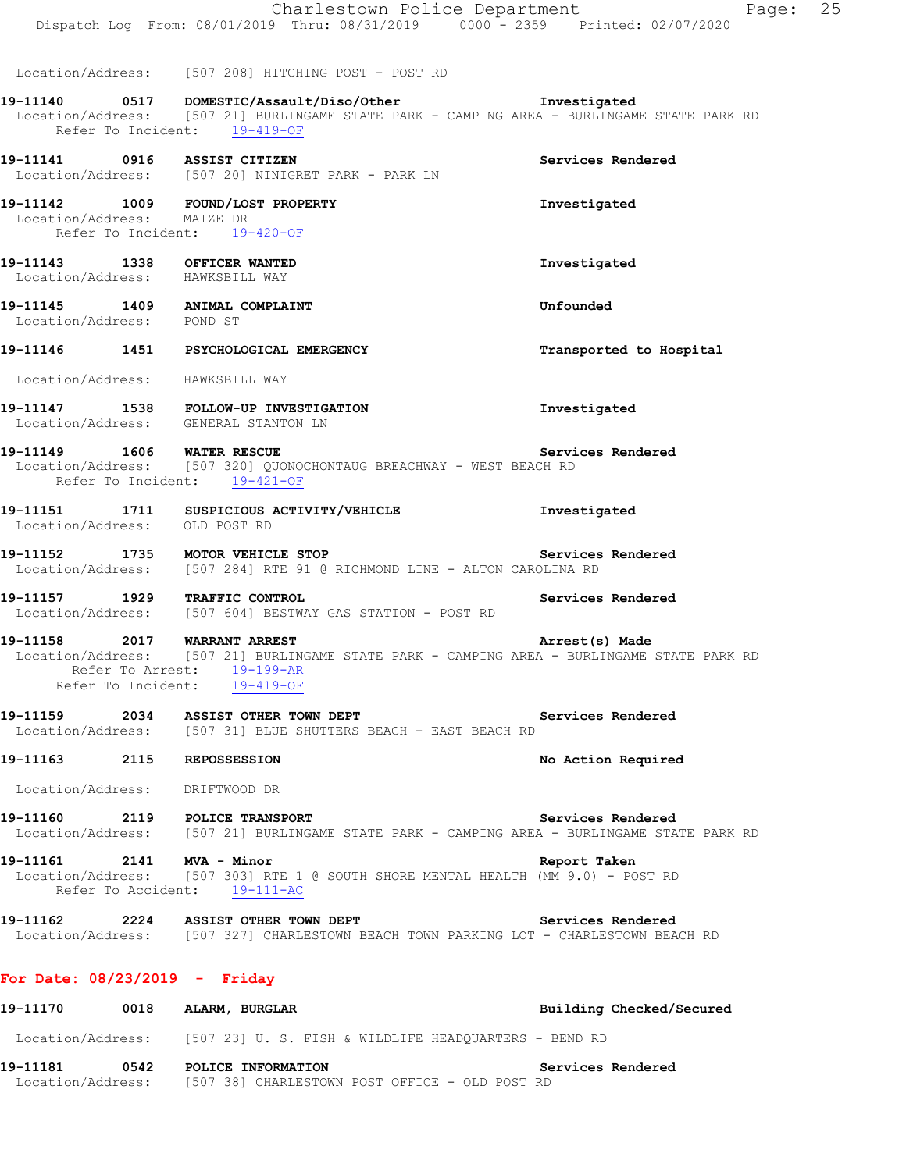|                                                                 | Charlestown Police Department<br>Dispatch Log From: 08/01/2019 Thru: 08/31/2019 0000 - 2359 Printed: 02/07/2020                                                                                                                                   |                         | Page: 25 |  |
|-----------------------------------------------------------------|---------------------------------------------------------------------------------------------------------------------------------------------------------------------------------------------------------------------------------------------------|-------------------------|----------|--|
|                                                                 | Location/Address: [507 208] HITCHING POST - POST RD<br>19-11140   0517   DOMESTIC/Assault/Diso/Other   Investigated<br>Location/Address: [507 21] BURLINGAME STATE PARK - CAMPING AREA - BURLINGAME STATE PARK RD<br>Refer To Incident: 19-419-OF |                         |          |  |
| 19-11141 0916 ASSIST CITIZEN                                    | Location/Address: [507 20] NINIGRET PARK - PARK LN                                                                                                                                                                                                | Services Rendered       |          |  |
| Location/Address: MAIZE DR                                      | 19-11142 1009 FOUND/LOST PROPERTY<br>Refer To Incident: 19-420-OF                                                                                                                                                                                 | Investigated            |          |  |
| 19-11143 1338 OFFICER WANTED<br>Location/Address: HAWKSBILL WAY |                                                                                                                                                                                                                                                   | Investigated            |          |  |
| 19-11145 1409 ANIMAL COMPLAINT<br>Location/Address: POND ST     |                                                                                                                                                                                                                                                   | Unfounded               |          |  |
|                                                                 | 19-11146 1451 PSYCHOLOGICAL EMERGENCY                                                                                                                                                                                                             | Transported to Hospital |          |  |
| Location/Address: HAWKSBILL WAY                                 |                                                                                                                                                                                                                                                   |                         |          |  |
|                                                                 | 19-11147 1538 FOLLOW-UP INVESTIGATION<br>Location/Address: GENERAL STANTON LN                                                                                                                                                                     | Investigated            |          |  |
| 19-11149   1606   WATER RESCUE                                  | Location/Address: [507 320] QUONOCHONTAUG BREACHWAY - WEST BEACH RD<br>Refer To Incident: 19-421-OF                                                                                                                                               | Services Rendered       |          |  |
| Location/Address: OLD POST RD                                   | 19-11151 1711 SUSPICIOUS ACTIVITY/VEHICLE                                                                                                                                                                                                         | Investigated            |          |  |
|                                                                 | 19-11152 1735 MOTOR VEHICLE STOP<br>Location/Address: [507 284] RTE 91 @ RICHMOND LINE - ALTON CAROLINA RD                                                                                                                                        | Services Rendered       |          |  |
|                                                                 | 19-11157   1929   TRAFFIC CONTROL<br>Location/Address: [507 604] BESTWAY GAS STATION - POST RD                                                                                                                                                    | Services Rendered       |          |  |
| 19-11158 2017 WARRANT ARREST<br>Refer To Incident:              | Location/Address: [507 21] BURLINGAME STATE PARK - CAMPING AREA - BURLINGAME STATE PARK RD<br>Refer To Arrest: 19-199-AR<br>$19 - 419 - OF$                                                                                                       | Arrest(s) Made          |          |  |
|                                                                 | 19-11159 2034 ASSIST OTHER TOWN DEPT<br>Location/Address: [507 31] BLUE SHUTTERS BEACH - EAST BEACH RD                                                                                                                                            | Services Rendered       |          |  |
| 19-11163 2115 REPOSSESSION                                      |                                                                                                                                                                                                                                                   | No Action Required      |          |  |
| Location/Address: DRIFTWOOD DR                                  |                                                                                                                                                                                                                                                   |                         |          |  |
| 19-11160 2119 POLICE TRANSPORT                                  | Location/Address: [507 21] BURLINGAME STATE PARK - CAMPING AREA - BURLINGAME STATE PARK RD                                                                                                                                                        | Services Rendered       |          |  |
| 19-11161 2141 MVA - Minor                                       | Location/Address: [507 303] RTE 1 @ SOUTH SHORE MENTAL HEALTH (MM 9.0) - POST RD<br>Refer To Accident: 19-111-AC                                                                                                                                  | Report Taken            |          |  |
|                                                                 | 19-11162 2224 ASSIST OTHER TOWN DEPT<br>Location/Address: [507 327] CHARLESTOWN BEACH TOWN PARKING LOT - CHARLESTOWN BEACH RD                                                                                                                     | Services Rendered       |          |  |
|                                                                 |                                                                                                                                                                                                                                                   |                         |          |  |

### **For Date: 08/23/2019 - Friday**

| 19–11170                      | 0018 | ALARM, BURGLAR                                                       |                   | Building Checked/Secured |
|-------------------------------|------|----------------------------------------------------------------------|-------------------|--------------------------|
| Location/Address:             |      | [507 23] U. S. FISH & WILDLIFE HEADOUARTERS - BEND RD                |                   |                          |
| 19–11181<br>Location/Address: | 0542 | POLICE INFORMATION<br>[507 38] CHARLESTOWN POST OFFICE - OLD POST RD | Services Rendered |                          |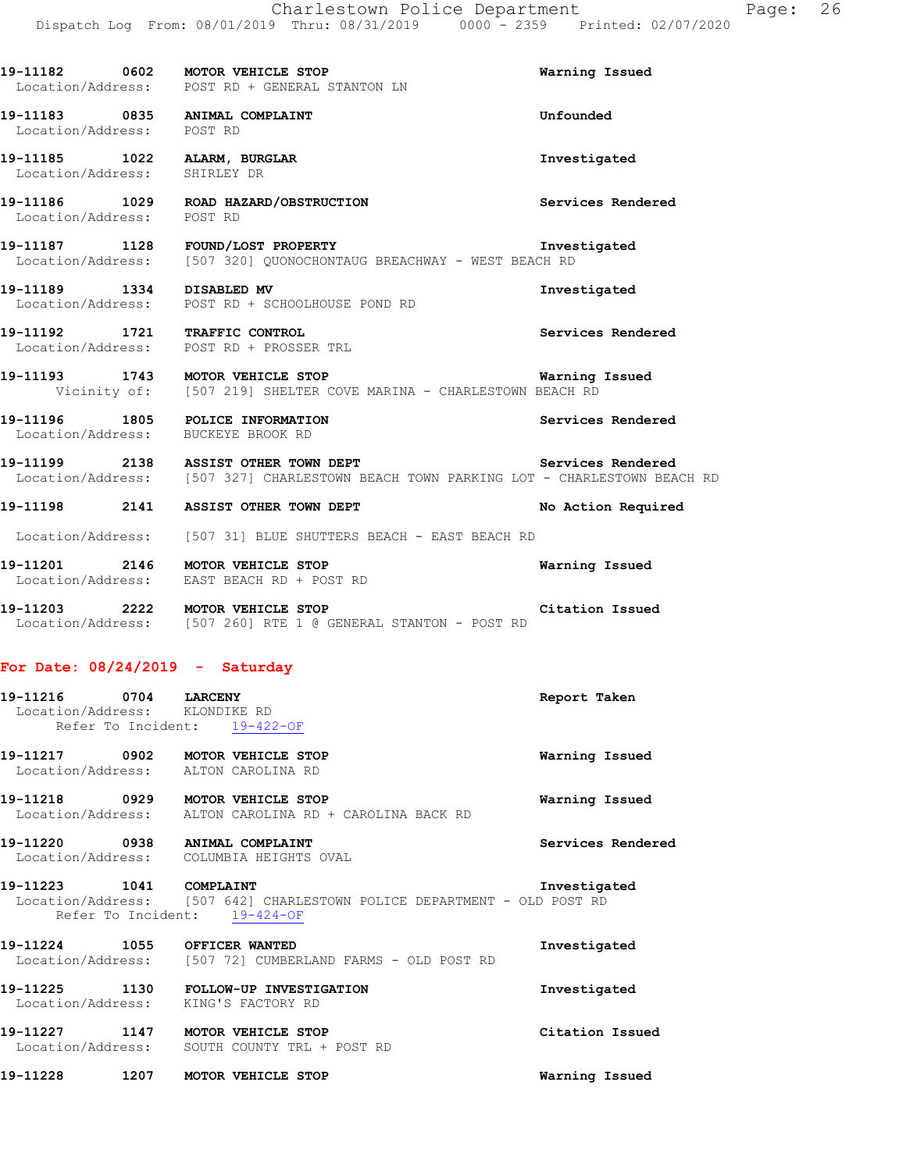|                              | 19-11182 0602 MOTOR VEHICLE STOP<br>Location/Address: POST RD + GENERAL STANTON LN                                                              | Warning Issued     |
|------------------------------|-------------------------------------------------------------------------------------------------------------------------------------------------|--------------------|
| Location/Address: POST RD    | 19-11183 0835 ANIMAL COMPLAINT                                                                                                                  | Unfounded          |
| Location/Address: SHIRLEY DR | 19-11185 1022 ALARM, BURGLAR                                                                                                                    | Investigated       |
| Location/Address: POST RD    | 19-11186 1029 ROAD HAZARD/OBSTRUCTION                                                                                                           | Services Rendered  |
|                              | 19-11187 1128 FOUND/LOST PROPERTY<br>Location/Address: [507 320] QUONOCHONTAUG BREACHWAY - WEST BEACH RD                                        | Investigated       |
| 19-11189 1334 DISABLED MV    | Location/Address: POST RD + SCHOOLHOUSE POND RD                                                                                                 | Investigated       |
|                              | 19-11192 1721 TRAFFIC CONTROL<br>Location/Address: POST RD + PROSSER TRL                                                                        | Services Rendered  |
|                              | 19-11193 1743 MOTOR VEHICLE STOP <b>1996 1897 1898 Warning Issued</b><br>Vicinity of: [507 219] SHELTER COVE MARINA - CHARLESTOWN BEACH RD      |                    |
|                              | 19-11196 1805 POLICE INFORMATION<br>Location/Address: BUCKEYE BROOK RD                                                                          | Services Rendered  |
|                              | 19-11199 2138 ASSIST OTHER TOWN DEPT Services Rendered<br>Location/Address: [507 327] CHARLESTOWN BEACH TOWN PARKING LOT - CHARLESTOWN BEACH RD |                    |
|                              | 19-11198 2141 ASSIST OTHER TOWN DEPT                                                                                                            | No Action Required |
|                              | Location/Address: [507 31] BLUE SHUTTERS BEACH - EAST BEACH RD                                                                                  |                    |
|                              | 19-11201 2146 MOTOR VEHICLE STOP<br>Location/Address: EAST BEACH RD + POST RD                                                                   | Warning Issued     |
|                              | <b>Citation Issued</b><br>19-11203 2222 MOTOR VEHICLE STOP<br>Location/Address: [507 260] RTE 1 @ GENERAL STANTON - POST RD                     |                    |
|                              |                                                                                                                                                 |                    |

#### **For Date: 08/24/2019 - Saturday**

| 19–11216                      | 0704 | <b>LARCENY</b>  | Report Taken |  |
|-------------------------------|------|-----------------|--------------|--|
| Location/Address: KLONDIKE RD |      |                 |              |  |
| Refer To Incident:            |      | $19 - 422 - 0F$ |              |  |

| Warning Issued | MOTOR VEHICLE STOP | 0902              | 19–11217 |
|----------------|--------------------|-------------------|----------|
|                | ALTON CAROLINA RD  | Location/Address: |          |
|                |                    |                   |          |

**19-11218 0929 MOTOR VEHICLE STOP Warning Issued**  Location/Address: ALTON CAROLINA RD + CAROLINA BACK RD

**19-11220 0938 ANIMAL COMPLAINT Services Rendered**  Location/Address: COLUMBIA HEIGHTS OVAL

**19-11223 1041 COMPLAINT Investigated**  Location/Address: [507 642] CHARLESTOWN POLICE DEPARTMENT - OLD POST RD Refer To Incident: 19-424-OF

**19-11224 1055 OFFICER WANTED Investigated**  Location/Address: [507 72] CUMBERLAND FARMS - OLD POST RD

**19-11225 1130 FOLLOW-UP INVESTIGATION Investigated**  Location/Address: KING'S FACTORY RD **19-11227 1147 MOTOR VEHICLE STOP Citation Issued** 

Location/Address: SOUTH COUNTY TRL + POST RD

**19-11228 1207 MOTOR VEHICLE STOP Warning Issued**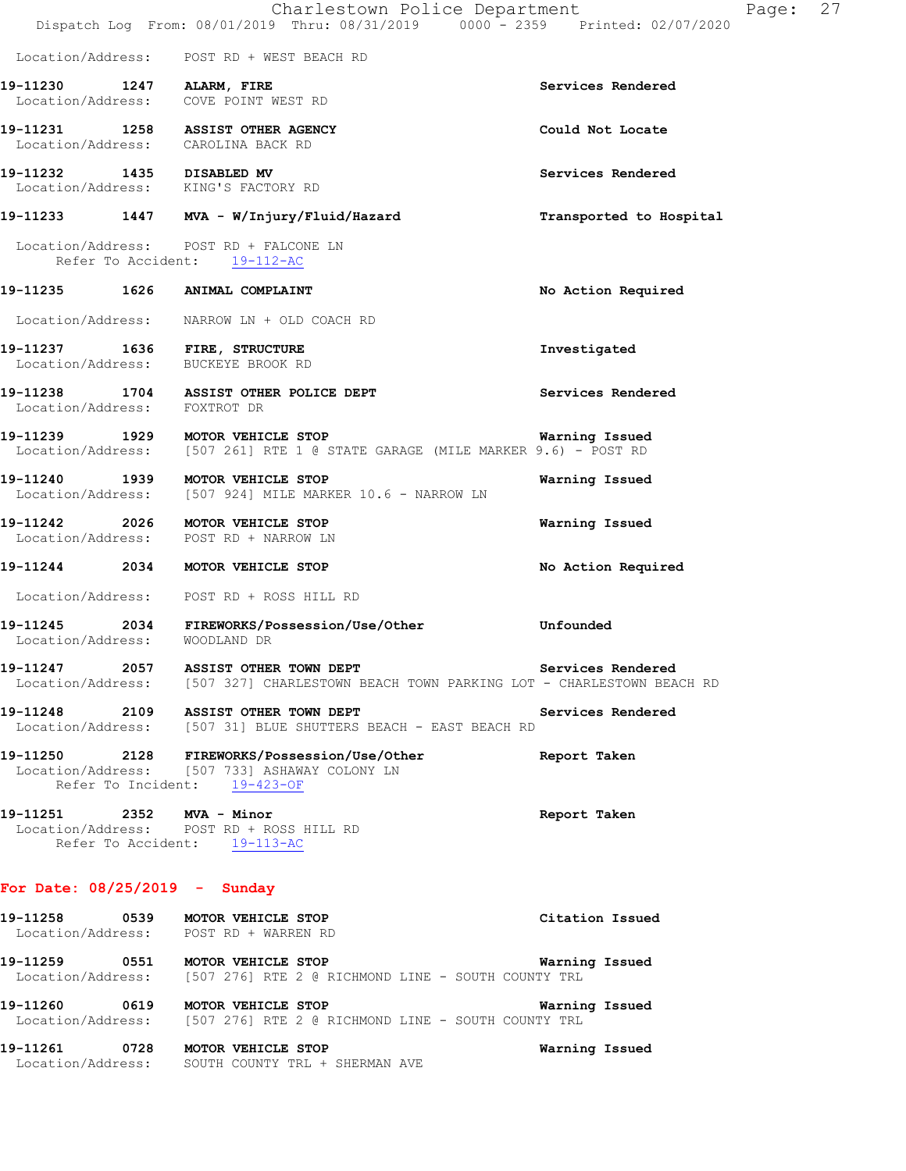|                               | Charlestown Police Department<br>Dispatch Log From: 08/01/2019 Thru: 08/31/2019 0000 - 2359 Printed: 02/07/2020               | Page:                   | 27 |
|-------------------------------|-------------------------------------------------------------------------------------------------------------------------------|-------------------------|----|
|                               | Location/Address: POST RD + WEST BEACH RD                                                                                     |                         |    |
|                               | 19-11230 1247 ALARM, FIRE<br>Location/Address: COVE POINT WEST RD                                                             | Services Rendered       |    |
|                               | 19-11231 1258 ASSIST OTHER AGENCY<br>Location/Address: CAROLINA BACK RD                                                       | Could Not Locate        |    |
|                               | 19-11232 1435 DISABLED MV<br>Location/Address: KING'S FACTORY RD                                                              | Services Rendered       |    |
|                               | 19-11233 1447 MVA - W/Injury/Fluid/Hazard                                                                                     | Transported to Hospital |    |
|                               | Location/Address: POST RD + FALCONE LN<br>Refer To Accident: 19-112-AC                                                        |                         |    |
|                               | 19-11235 1626 ANIMAL COMPLAINT                                                                                                | No Action Required      |    |
|                               | Location/Address: NARROW LN + OLD COACH RD                                                                                    |                         |    |
|                               | 19-11237 1636 FIRE, STRUCTURE<br>Location/Address: BUCKEYE BROOK RD                                                           | Investigated            |    |
| Location/Address: FOXTROT DR  | 19-11238 1704 ASSIST OTHER POLICE DEPT                                                                                        | Services Rendered       |    |
|                               | 19-11239 1929 MOTOR VEHICLE STOP<br>Location/Address: [507 261] RTE 1 @ STATE GARAGE (MILE MARKER 9.6) - POST RD              | Warning Issued          |    |
|                               | 19-11240 1939 MOTOR VEHICLE STOP<br>Location/Address: [507 924] MILE MARKER 10.6 - NARROW LN                                  | Warning Issued          |    |
|                               | 19-11242 2026 MOTOR VEHICLE STOP<br>Location/Address: POST RD + NARROW LN                                                     | Warning Issued          |    |
|                               | 19-11244 2034 MOTOR VEHICLE STOP                                                                                              | No Action Required      |    |
|                               | Location/Address: POST RD + ROSS HILL RD                                                                                      |                         |    |
| Location/Address: WOODLAND DR | 19-11245  2034 FIREWORKS/Possession/Use/Other                                                                                 | Unfounded               |    |
|                               | 19-11247 2057 ASSIST OTHER TOWN DEPT<br>Location/Address: [507 327] CHARLESTOWN BEACH TOWN PARKING LOT - CHARLESTOWN BEACH RD | Services Rendered       |    |
|                               | 19-11248 2109 ASSIST OTHER TOWN DEPT<br>Location/Address: [507 31] BLUE SHUTTERS BEACH - EAST BEACH RD                        | Services Rendered       |    |
|                               | 19-11250 2128 FIREWORKS/Possession/Use/Other<br>Location/Address: [507 733] ASHAWAY COLONY LN<br>Refer To Incident: 19-423-OF | Report Taken            |    |
| 19-11251 2352 MVA - Minor     | Location/Address: POST RD + ROSS HILL RD<br>Refer To Accident: 19-113-AC                                                      | Report Taken            |    |
|                               |                                                                                                                               |                         |    |

### **For Date: 08/25/2019 - Sunday**

| 19-11258                      | 0539 | MOTOR VEHICLE STOP<br>Location/Address: POST RD + WARREN RD                                                         | Citation Issued |
|-------------------------------|------|---------------------------------------------------------------------------------------------------------------------|-----------------|
| 19–11259                      | 0551 | Warning Issued<br><b>MOTOR VEHICLE STOP</b><br>Location/Address: [507 276] RTE 2 @ RICHMOND LINE - SOUTH COUNTY TRL |                 |
| 19–11260                      | 0619 | Warning Issued<br>MOTOR VEHICLE STOP<br>Location/Address: [507 276] RTE 2 @ RICHMOND LINE - SOUTH COUNTY TRL        |                 |
| 19-11261<br>Location/Address: | 0728 | Warning Issued<br><b>MOTOR VEHICLE STOP</b><br>SOUTH COUNTY TRL + SHERMAN AVE                                       |                 |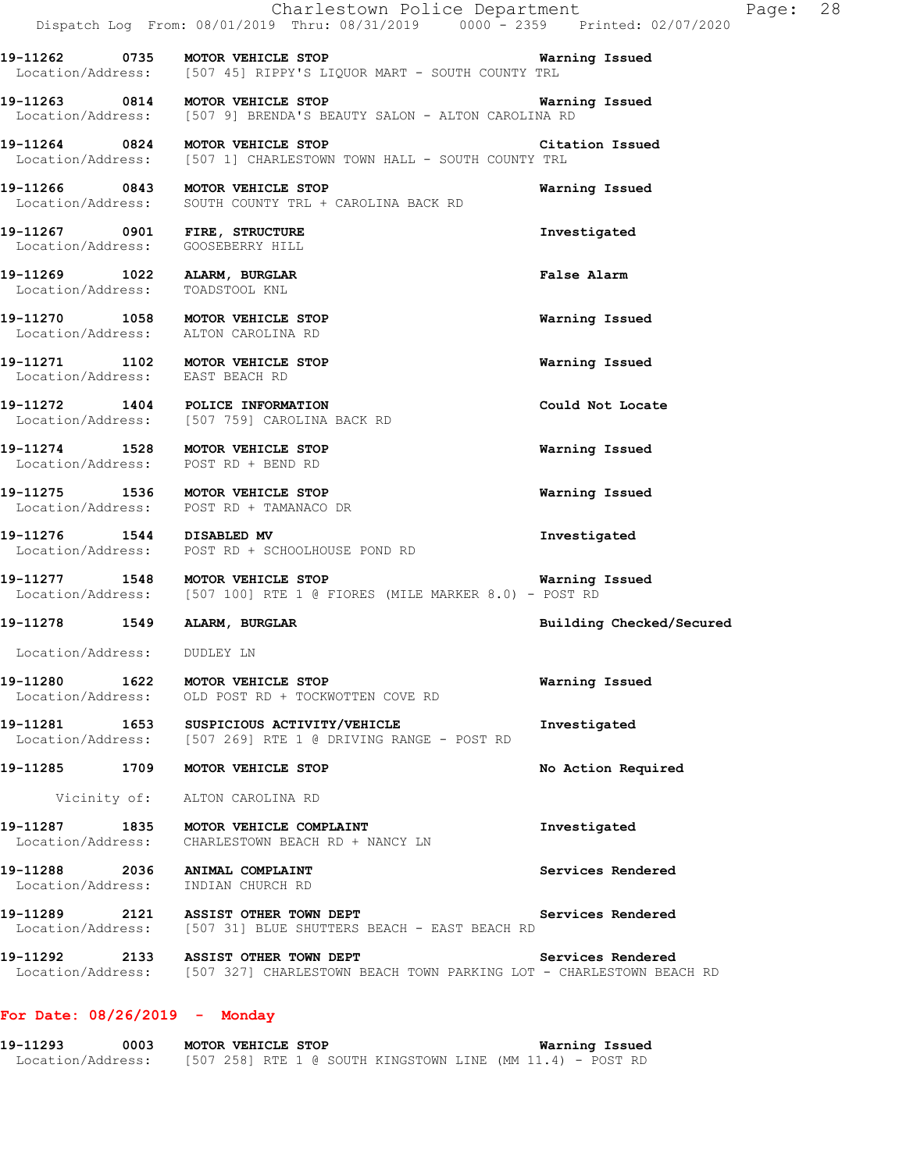|                                                                    | Charlestown Police Department<br>Dispatch Log From: 08/01/2019 Thru: 08/31/2019 0000 - 2359 Printed: 02/07/2020                  |                          | Page: 28 |  |
|--------------------------------------------------------------------|----------------------------------------------------------------------------------------------------------------------------------|--------------------------|----------|--|
|                                                                    | Location/Address: [507 45] RIPPY'S LIQUOR MART - SOUTH COUNTY TRL                                                                |                          |          |  |
|                                                                    | 19-11263 0814 MOTOR VEHICLE STOP<br>Location/Address: [507 9] BRENDA'S BEAUTY SALON - ALTON CAROLINA RD                          | Warning Issued           |          |  |
|                                                                    | 19-11264 0824 MOTOR VEHICLE STOP<br><b>Citation Issued</b><br>Location/Address: [507 1] CHARLESTOWN TOWN HALL - SOUTH COUNTY TRL |                          |          |  |
|                                                                    | 19-11266 0843 MOTOR VEHICLE STOP<br>Location/Address: SOUTH COUNTY TRL + CAROLINA BACK RD                                        | Warning Issued           |          |  |
| 19-11267 0901 FIRE, STRUCTURE<br>Location/Address: GOOSEBERRY HILL |                                                                                                                                  | Investigated             |          |  |
| 19-11269 1022 ALARM, BURGLAR<br>Location/Address: TOADSTOOL KNL    |                                                                                                                                  | False Alarm              |          |  |
|                                                                    | 19-11270 1058 MOTOR VEHICLE STOP<br>Location/Address: ALTON CAROLINA RD                                                          | Warning Issued           |          |  |
| Location/Address: EAST BEACH RD                                    | 19-11271 1102 MOTOR VEHICLE STOP                                                                                                 | Warning Issued           |          |  |
|                                                                    | 19-11272 1404 POLICE INFORMATION<br>Location/Address: [507 759] CAROLINA BACK RD                                                 | Could Not Locate         |          |  |
|                                                                    | 19-11274 1528 MOTOR VEHICLE STOP<br>Location/Address: POST RD + BEND RD                                                          | Warning Issued           |          |  |
|                                                                    | 19-11275 1536 MOTOR VEHICLE STOP<br>Location/Address: POST RD + TAMANACO DR                                                      | Warning Issued           |          |  |
| 19-11276 1544 DISABLED MV                                          | Location/Address: POST RD + SCHOOLHOUSE POND RD                                                                                  | Investigated             |          |  |
|                                                                    | 19-11277 1548 MOTOR VEHICLE STOP<br>Location/Address: [507 100] RTE 1 @ FIORES (MILE MARKER 8.0) - POST RD                       | Warning Issued           |          |  |
| 19-11278   1549   ALARM, BURGLAR                                   |                                                                                                                                  | Building Checked/Secured |          |  |
| Location/Address: DUDLEY LN                                        |                                                                                                                                  |                          |          |  |
|                                                                    | 19-11280 1622 MOTOR VEHICLE STOP<br>Location/Address: OLD POST RD + TOCKWOTTEN COVE RD                                           | Warning Issued           |          |  |
|                                                                    | 19-11281  1653  SUSPICIOUS ACTIVITY/VEHICLE<br>Location/Address: [507 269] RTE 1 @ DRIVING RANGE - POST RD                       | Investigated             |          |  |
|                                                                    | 19-11285 1709 MOTOR VEHICLE STOP                                                                                                 | No Action Required       |          |  |
|                                                                    | Vicinity of: ALTON CAROLINA RD                                                                                                   |                          |          |  |
|                                                                    | 19-11287 1835 MOTOR VEHICLE COMPLAINT<br>Location/Address: CHARLESTOWN BEACH RD + NANCY LN                                       | Investigated             |          |  |
|                                                                    | 19-11288 2036 ANIMAL COMPLAINT<br>Location/Address: INDIAN CHURCH RD                                                             | Services Rendered        |          |  |
|                                                                    | 19-11289 2121 ASSIST OTHER TOWN DEPT<br>Location/Address: [507 31] BLUE SHUTTERS BEACH - EAST BEACH RD                           | Services Rendered        |          |  |
|                                                                    | 19-11292 2133 ASSIST OTHER TOWN DEPT<br>Location/Address: [507 327] CHARLESTOWN BEACH TOWN PARKING LOT - CHARLESTOWN BEACH RD    | Services Rendered        |          |  |
|                                                                    |                                                                                                                                  |                          |          |  |

### **For Date: 08/26/2019 - Monday**

**19-11293 0003 MOTOR VEHICLE STOP Warning Issued**  Location/Address: [507 258] RTE 1 @ SOUTH KINGSTOWN LINE (MM 11.4) - POST RD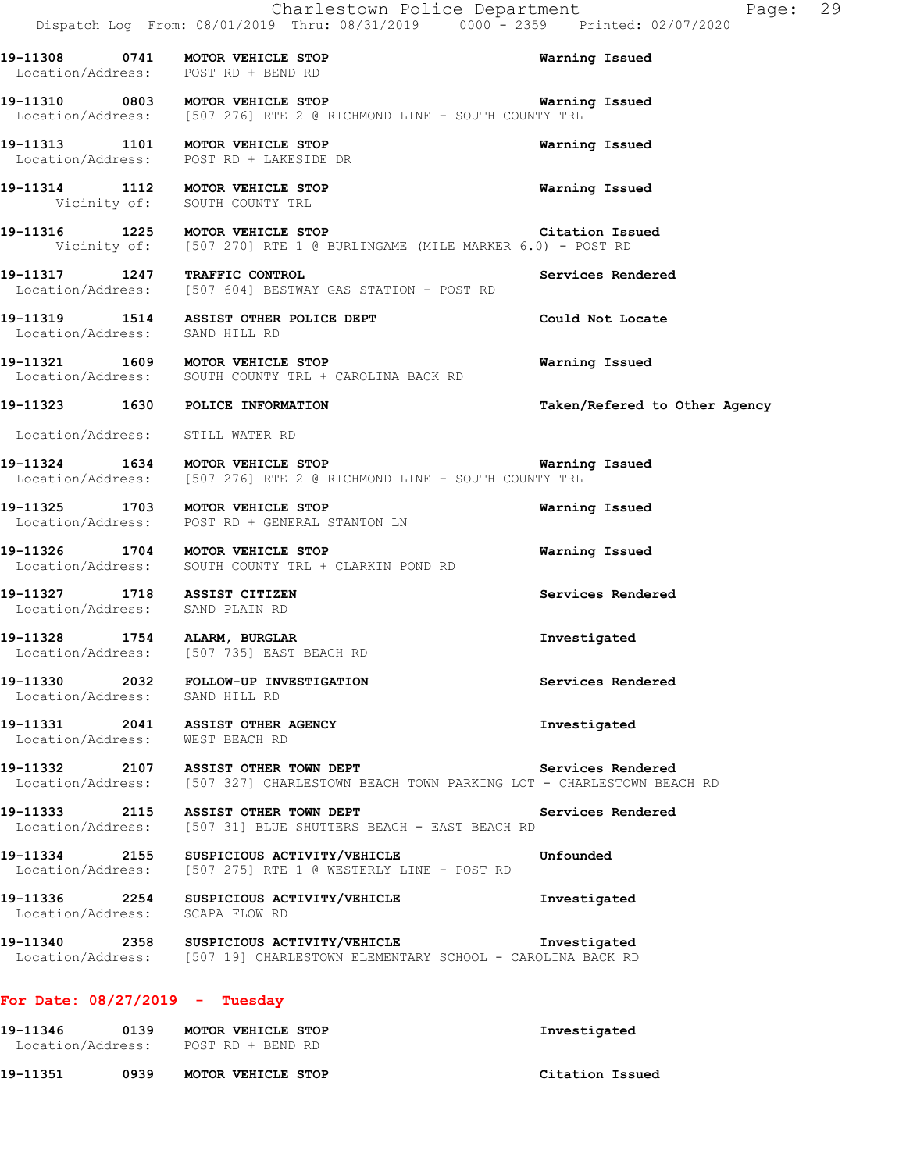|                                                                 | Charlestown Police Department<br>Dispatch Log From: 08/01/2019 Thru: 08/31/2019 0000 <sup>-</sup> 2359 Printed: 02/07/2020       | Page: 29                      |
|-----------------------------------------------------------------|----------------------------------------------------------------------------------------------------------------------------------|-------------------------------|
|                                                                 | 19-11308 0741 MOTOR VEHICLE STOP<br>Location/Address: POST RD + BEND RD                                                          | Warning Issued                |
|                                                                 | 19-11310 0803 MOTOR VEHICLE STOP<br>Location/Address: [507 276] RTE 2 @ RICHMOND LINE - SOUTH COUNTY TRL                         | <b>Warning Issued</b>         |
|                                                                 | 19-11313 1101 MOTOR VEHICLE STOP<br>Location/Address: POST RD + LAKESIDE DR                                                      | Warning Issued                |
|                                                                 | 19-11314 1112 MOTOR VEHICLE STOP<br>Vicinity of: SOUTH COUNTY TRL                                                                | Warning Issued                |
|                                                                 | 19-11316  1225  MOTOR VEHICLE STOP  Citation Iss<br>Vicinity of: [507 270] RTE 1 @ BURLINGAME (MILE MARKER 6.0) - POST RD        | Citation Issued               |
| 19-11317 1247 TRAFFIC CONTROL                                   | Location/Address: [507 604] BESTWAY GAS STATION - POST RD                                                                        | Services Rendered             |
| Location/Address: SAND HILL RD                                  | 19-11319 1514 ASSIST OTHER POLICE DEPT                                                                                           | Could Not Locate              |
|                                                                 | 19-11321 1609 MOTOR VEHICLE STOP<br>Location/Address: SOUTH COUNTY TRL + CAROLINA BACK RD                                        | Warning Issued                |
|                                                                 | 19-11323 1630 POLICE INFORMATION                                                                                                 | Taken/Refered to Other Agency |
| Location/Address: STILL WATER RD                                |                                                                                                                                  |                               |
|                                                                 | 19-11324 1634 MOTOR VEHICLE STOP 19-11324 Warning Issued<br>Location/Address: [507 276] RTE 2 @ RICHMOND LINE - SOUTH COUNTY TRL |                               |
|                                                                 | 19-11325 1703 MOTOR VEHICLE STOP<br>Location/Address: POST RD + GENERAL STANTON LN                                               | Warning Issued                |
|                                                                 | 19-11326 1704 MOTOR VEHICLE STOP<br>Location/Address: SOUTH COUNTY TRL + CLARKIN POND RD                                         | Warning Issued                |
| 19-11327 1718 ASSIST CITIZEN<br>Location/Address: SAND PLAIN RD |                                                                                                                                  | Services Rendered             |
|                                                                 | 19-11328 1754 ALARM, BURGLAR<br>Location/Address: [507 735] EAST BEACH RD                                                        | Investigated                  |
| Location/Address: SAND HILL RD                                  | 19-11330 2032 FOLLOW-UP INVESTIGATION                                                                                            | Services Rendered             |
| Location/Address: WEST BEACH RD                                 | 19-11331 2041 ASSIST OTHER AGENCY                                                                                                | Investigated                  |
|                                                                 | 19-11332 2107 ASSIST OTHER TOWN DEPT<br>Location/Address: [507 327] CHARLESTOWN BEACH TOWN PARKING LOT - CHARLESTOWN BEACH RD    | Services Rendered             |
|                                                                 | 19-11333 2115 ASSIST OTHER TOWN DEPT<br>Location/Address: [507 31] BLUE SHUTTERS BEACH - EAST BEACH RD                           | Services Rendered             |
|                                                                 | 19-11334 2155 SUSPICIOUS ACTIVITY/VEHICLE<br>Location/Address: [507 275] RTE 1 @ WESTERLY LINE - POST RD                         | Unfounded                     |
| Location/Address: SCAPA FLOW RD                                 | 19-11336 2254 SUSPICIOUS ACTIVITY/VEHICLE                                                                                        | Investigated                  |
|                                                                 |                                                                                                                                  |                               |
| For Date: $08/27/2019$ - Tuesday                                |                                                                                                                                  |                               |
|                                                                 | 19-11346   0139   MOTOR VEHICLE STOP<br>Location/Address: POST RD + BEND RD                                                      | Investigated                  |

**19-11351 0939 MOTOR VEHICLE STOP Citation Issued**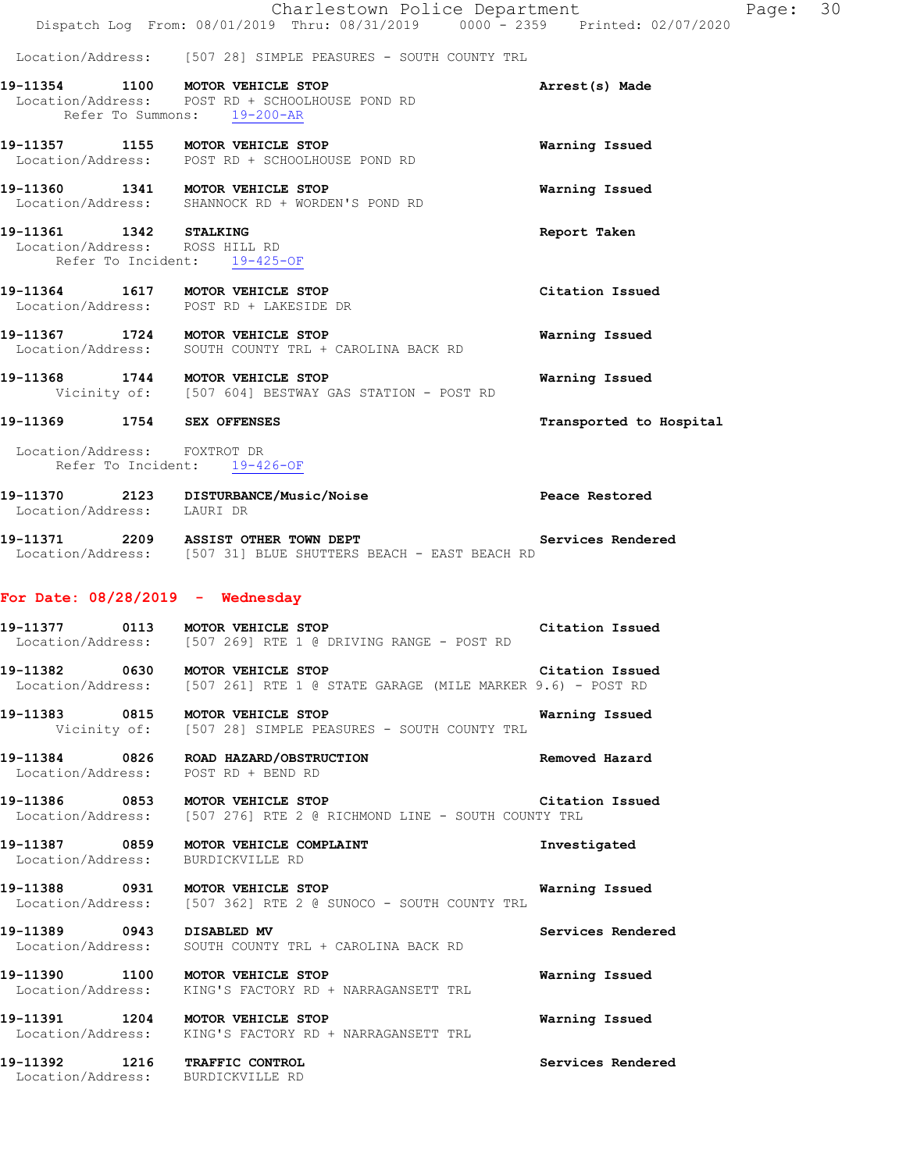|                                                                                          | Charlestown Police Department<br>Dispatch Log From: 08/01/2019 Thru: 08/31/2019 0000 - 2359 Printed: 02/07/2020    |                         | Page: 30 |
|------------------------------------------------------------------------------------------|--------------------------------------------------------------------------------------------------------------------|-------------------------|----------|
|                                                                                          | Location/Address: [507 28] SIMPLE PEASURES - SOUTH COUNTY TRL                                                      |                         |          |
|                                                                                          | 19-11354 1100 MOTOR VEHICLE STOP<br>Location/Address: POST RD + SCHOOLHOUSE POND RD<br>Refer To Summons: 19-200-AR | Arrest(s) Made          |          |
| 19-11357 1155 MOTOR VEHICLE STOP                                                         | Location/Address: POST RD + SCHOOLHOUSE POND RD                                                                    | Warning Issued          |          |
| 19-11360 1341 MOTOR VEHICLE STOP                                                         | Location/Address: SHANNOCK RD + WORDEN'S POND RD                                                                   | Warning Issued          |          |
| 19-11361 1342 STALKING<br>Location/Address: ROSS HILL RD<br>Refer To Incident: 19-425-OF |                                                                                                                    | Report Taken            |          |
|                                                                                          | 19-11364 1617 MOTOR VEHICLE STOP<br>Location/Address: POST RD + LAKESIDE DR                                        | Citation Issued         |          |
|                                                                                          | 19-11367 1724 MOTOR VEHICLE STOP<br>Location/Address: SOUTH COUNTY TRL + CAROLINA BACK RD                          | Warning Issued          |          |
|                                                                                          | 19-11368 1744 MOTOR VEHICLE STOP<br>Vicinity of: [507 604] BESTWAY GAS STATION - POST RD                           | Warning Issued          |          |
| 19-11369 1754 SEX OFFENSES                                                               |                                                                                                                    | Transported to Hospital |          |
| Location/Address: FOXTROT DR<br>Refer To Incident: 19-426-OF                             |                                                                                                                    |                         |          |
| Location/Address: LAURI DR                                                               | 19-11370 2123 DISTURBANCE/Music/Noise                                                                              | Peace Restored          |          |
|                                                                                          | 19-11371 2209 ASSIST OTHER TOWN DEPT<br>Location/Address: [507 31] BLUE SHUTTERS BEACH - EAST BEACH RD             | Services Rendered       |          |
| For Date: $08/28/2019$ - Wednesday                                                       |                                                                                                                    |                         |          |
| 19-11377 0113 MOTOR VEHICLE STOP                                                         | Location/Address: [507 269] RTE 1 @ DRIVING RANGE - POST RD                                                        | Citation Issued         |          |
| 19-11382 0630 MOTOR VEHICLE STOP                                                         | Location/Address: [507 261] RTE 1 @ STATE GARAGE (MILE MARKER 9.6) - POST RD                                       | Citation Issued         |          |
| 19-11383 0815 MOTOR VEHICLE STOP                                                         | Vicinity of: [507 28] SIMPLE PEASURES - SOUTH COUNTY TRL                                                           | Warning Issued          |          |
| Location/Address: POST RD + BEND RD                                                      | 19-11384 0826 ROAD HAZARD/OBSTRUCTION                                                                              | Removed Hazard          |          |
| 19-11386 0853 MOTOR VEHICLE STOP                                                         | Location/Address: [507 276] RTE 2 @ RICHMOND LINE - SOUTH COUNTY TRL                                               | Citation Issued         |          |
| Location/Address: BURDICKVILLE RD                                                        | 19-11387 0859 MOTOR VEHICLE COMPLAINT                                                                              | Investigated            |          |
| 19-11388 0931 MOTOR VEHICLE STOP                                                         | Location/Address: [507 362] RTE 2 @ SUNOCO - SOUTH COUNTY TRL                                                      | Warning Issued          |          |
| 19-11389 0943 DISABLED MV                                                                | Location/Address: SOUTH COUNTY TRL + CAROLINA BACK RD                                                              | Services Rendered       |          |
| 19-11390 1100 MOTOR VEHICLE STOP                                                         | Location/Address: KING'S FACTORY RD + NARRAGANSETT TRL                                                             | Warning Issued          |          |
| 19-11391 1204 MOTOR VEHICLE STOP                                                         | Location/Address: KING'S FACTORY RD + NARRAGANSETT TRL                                                             | Warning Issued          |          |
| 19-11392 1216 TRAFFIC CONTROL<br>Location/Address: BURDICKVILLE RD                       |                                                                                                                    | Services Rendered       |          |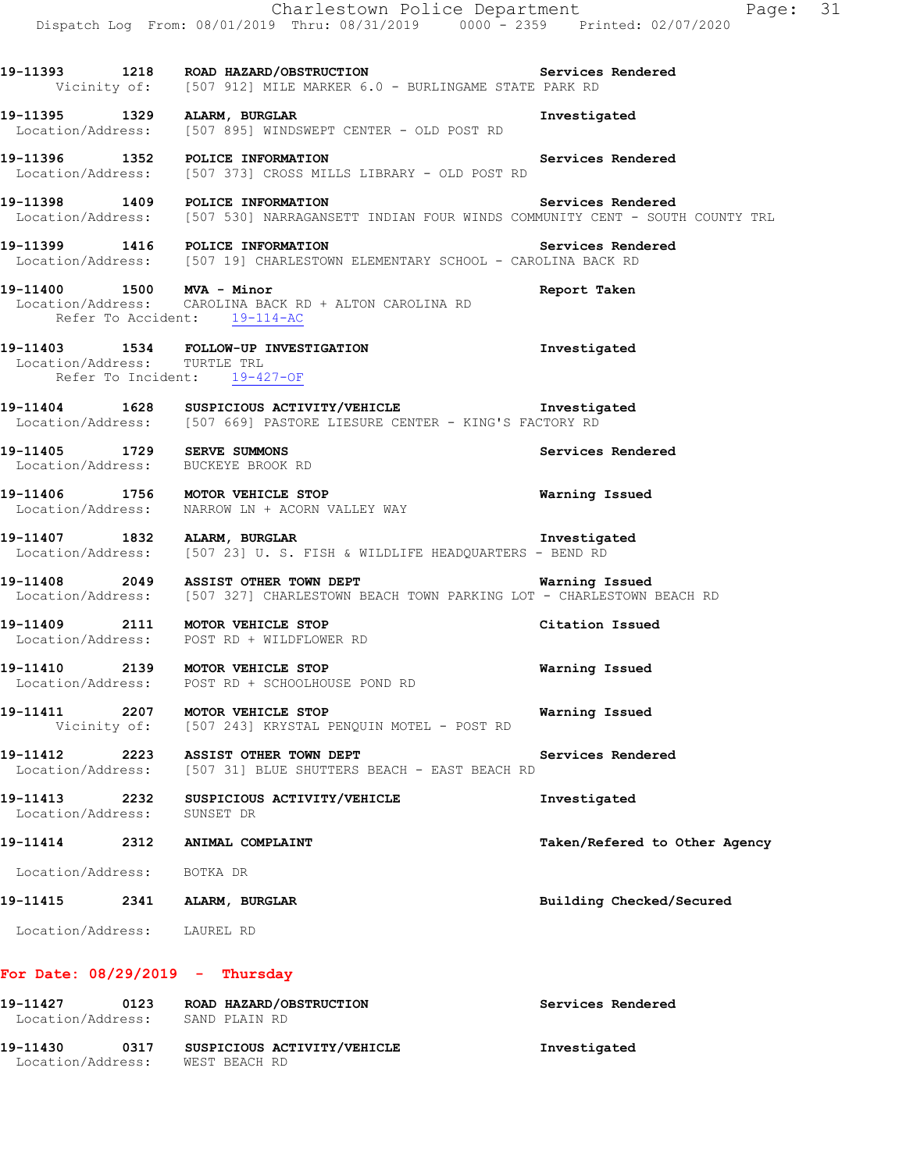|                                    | Charlestown Police Department<br>Dispatch Log From: 08/01/2019 Thru: 08/31/2019 0000 <sup>-</sup> 2359 Printed: 02/07/2020                             | Page: 31                      |
|------------------------------------|--------------------------------------------------------------------------------------------------------------------------------------------------------|-------------------------------|
|                                    | 19-11393 1218 ROAD HAZARD/OBSTRUCTION Services Rendered<br>Vicinity of: [507 912] MILE MARKER 6.0 - BURLINGAME STATE PARK RD                           |                               |
|                                    | 19-11395 1329 ALARM, BURGLAR<br>Location/Address: [507 895] WINDSWEPT CENTER - OLD POST RD                                                             | Investigated                  |
|                                    | 19-11396 1352 POLICE INFORMATION<br>Location/Address: [507 373] CROSS MILLS LIBRARY - OLD POST RD                                                      | Services Rendered             |
|                                    | 19-11398 1409 POLICE INFORMATION<br>Location/Address: [507 530] NARRAGANSETT INDIAN FOUR WINDS COMMUNITY CENT - SOUTH COUNTY TRL                       | Services Rendered             |
|                                    | 19-11399 1416 POLICE INFORMATION<br>Location/Address: [507 19] CHARLESTOWN ELEMENTARY SCHOOL - CAROLINA BACK RD                                        | Services Rendered             |
| 19-11400   1500   MVA - Minor      | Location/Address: CAROLINA BACK RD + ALTON CAROLINA RD<br>Refer To Accident: 19-114-AC                                                                 | Report Taken                  |
| Location/Address: TURTLE TRL       | 19-11403 1534 FOLLOW-UP INVESTIGATION<br>Refer To Incident: 19-427-OF                                                                                  | Investigated                  |
|                                    | 19-11404 1628 SUSPICIOUS ACTIVITY/VEHICLE Threstigated<br>Location/Address: [507 669] PASTORE LIESURE CENTER - KING'S FACTORY RD                       |                               |
|                                    | 19-11405 1729 SERVE SUMMONS<br>Location/Address: BUCKEYE BROOK RD                                                                                      | Services Rendered             |
|                                    | 19-11406 1756 MOTOR VEHICLE STOP<br>Location/Address: NARROW LN + ACORN VALLEY WAY                                                                     | Warning Issued                |
|                                    | 19-11407 1832 ALARM, BURGLAR<br>Location/Address: [507 23] U.S. FISH & WILDLIFE HEADQUARTERS - BEND RD                                                 | Investigated                  |
|                                    | 19-11408 2049 ASSIST OTHER TOWN DEPT<br><b>Warning Issued</b><br>Location/Address: [507 327] CHARLESTOWN BEACH TOWN PARKING LOT - CHARLESTOWN BEACH RD |                               |
|                                    | 19-11409 2111 MOTOR VEHICLE STOP<br>Location/Address: POST RD + WILDFLOWER RD                                                                          | Citation Issued               |
| 19-11410                           | 2139 MOTOR VEHICLE STOP<br>Location/Address: POST RD + SCHOOLHOUSE POND RD                                                                             | Warning Issued                |
|                                    | 19-11411 2207 MOTOR VEHICLE STOP<br>Vicinity of: [507 243] KRYSTAL PENQUIN MOTEL - POST RD                                                             | Warning Issued                |
|                                    | 19-11412 2223 ASSIST OTHER TOWN DEPT<br>Location/Address: [507 31] BLUE SHUTTERS BEACH - EAST BEACH RD                                                 | Services Rendered             |
| 19-11413 2232<br>Location/Address: | SUSPICIOUS ACTIVITY/VEHICLE<br>SUNSET DR                                                                                                               | Investigated                  |
| 19-11414                           | 2312 ANIMAL COMPLAINT                                                                                                                                  | Taken/Refered to Other Agency |
| Location/Address: BOTKA DR         |                                                                                                                                                        |                               |
| 19-11415                           | 2341 ALARM, BURGLAR                                                                                                                                    | Building Checked/Secured      |
| Location/Address: LAUREL RD        |                                                                                                                                                        |                               |
|                                    | For Date: $08/29/2019$ - Thursday                                                                                                                      |                               |

| 19-11427          | 0123 | ROAD HAZARD/OBSTRUCTION     | Services Rendered |
|-------------------|------|-----------------------------|-------------------|
| Location/Address: |      | SAND PLAIN RD               |                   |
| 19-11430          | 0317 | SUSPICIOUS ACTIVITY/VEHICLE | Investigated      |
| Location/Address: |      | WEST BEACH RD               |                   |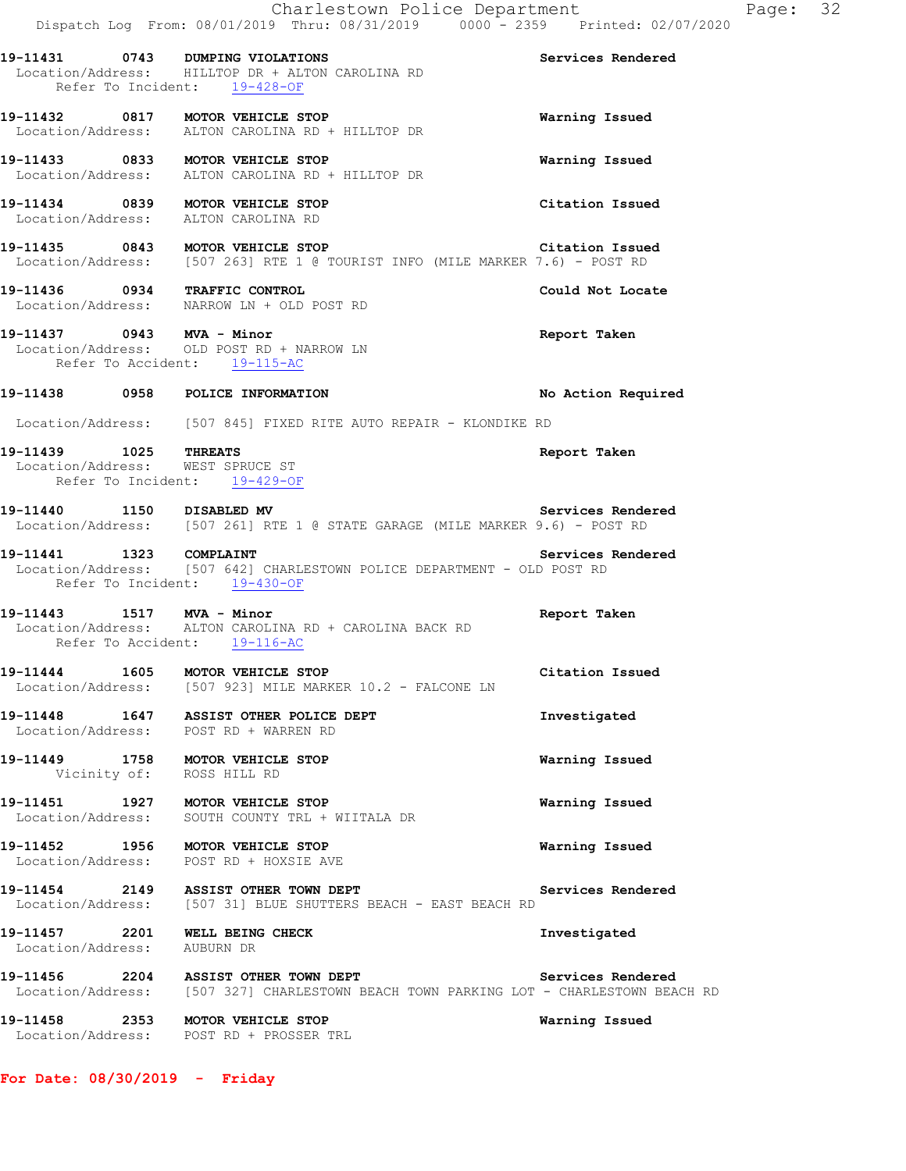|                                                           | Charlestown Police Department<br>Dispatch Log From: 08/01/2019 Thru: 08/31/2019 0000 - 2359 Printed: 02/07/2020                 |                    |
|-----------------------------------------------------------|---------------------------------------------------------------------------------------------------------------------------------|--------------------|
|                                                           | 19-11431 0743 DUMPING VIOLATIONS<br>Location/Address: HILLTOP DR + ALTON CAROLINA RD<br>Refer To Incident: 19-428-OF            | Services Rendered  |
|                                                           | 19-11432 0817 MOTOR VEHICLE STOP<br>Location/Address: ALTON CAROLINA RD + HILLTOP DR                                            | Warning Issued     |
|                                                           | 19-11433 0833 MOTOR VEHICLE STOP<br>Location/Address: ALTON CAROLINA RD + HILLTOP DR                                            | Warning Issued     |
|                                                           | 19-11434 0839 MOTOR VEHICLE STOP<br>Location/Address: ALTON CAROLINA RD                                                         | Citation Issued    |
|                                                           | 19-11435 0843 MOTOR VEHICLE STOP Citation Issue<br>Location/Address: [507 263] RTE 1 @ TOURIST INFO (MILE MARKER 7.6) - POST RD | Citation Issued    |
|                                                           | 19-11436 0934 TRAFFIC CONTROL<br>Location/Address: NARROW LN + OLD POST RD                                                      | Could Not Locate   |
| 19-11437 0943 MVA - Minor                                 | Location/Address: OLD POST RD + NARROW LN<br>Refer To Accident: 19-115-AC                                                       | Report Taken       |
|                                                           | 19-11438 0958 POLICE INFORMATION                                                                                                | No Action Required |
|                                                           | Location/Address: [507 845] FIXED RITE AUTO REPAIR - KLONDIKE RD                                                                |                    |
| 19-11439 1025 THREATS<br>Location/Address: WEST SPRUCE ST | Refer To Incident: 19-429-OF                                                                                                    | Report Taken       |
| 19-11440 1150 DISABLED MV                                 | Location/Address: [507 261] RTE 1 @ STATE GARAGE (MILE MARKER 9.6) - POST RD                                                    | Services Rendered  |
| 19-11441 1323 COMPLAINT                                   | Location/Address: [507 642] CHARLESTOWN POLICE DEPARTMENT - OLD POST RD<br>Refer To Incident: 19-430-OF                         | Services Rendered  |
| 19-11443 1517 MVA - Minor                                 | Location/Address: ALTON CAROLINA RD + CAROLINA BACK RD<br>Refer To Accident: 19-116-AC                                          | Report Taken       |
| 19-11444 1605                                             | MOTOR VEHICLE STOP<br>Location/Address: [507 923] MILE MARKER 10.2 - FALCONE LN                                                 | Citation Issued    |
|                                                           | 19-11448 1647 ASSIST OTHER POLICE DEPT<br>Location/Address: POST RD + WARREN RD                                                 | Investigated       |
|                                                           | 19-11449 1758 MOTOR VEHICLE STOP<br>Vicinity of: ROSS HILL RD                                                                   | Warning Issued     |
|                                                           | 19-11451 1927 MOTOR VEHICLE STOP<br>Location/Address: SOUTH COUNTY TRL + WIITALA DR                                             | Warning Issued     |
|                                                           | 19-11452 1956 MOTOR VEHICLE STOP<br>Location/Address: POST RD + HOXSIE AVE                                                      | Warning Issued     |
|                                                           | 19-11454 2149 ASSIST OTHER TOWN DEPT<br>Location/Address: [507 31] BLUE SHUTTERS BEACH - EAST BEACH RD                          | Services Rendered  |
| Location/Address: AUBURN DR                               | 19-11457 2201 WELL BEING CHECK                                                                                                  | Investigated       |
|                                                           | 19-11456 2204 ASSIST OTHER TOWN DEPT<br>Location/Address: [507 327] CHARLESTOWN BEACH TOWN PARKING LOT - CHARLESTOWN BEACH RD   | Services Rendered  |
|                                                           | 19-11458 2353 MOTOR VEHICLE STOP<br>Location/Address: POST RD + PROSSER TRL                                                     | Warning Issued     |

**For Date: 08/30/2019 - Friday**

Page: 32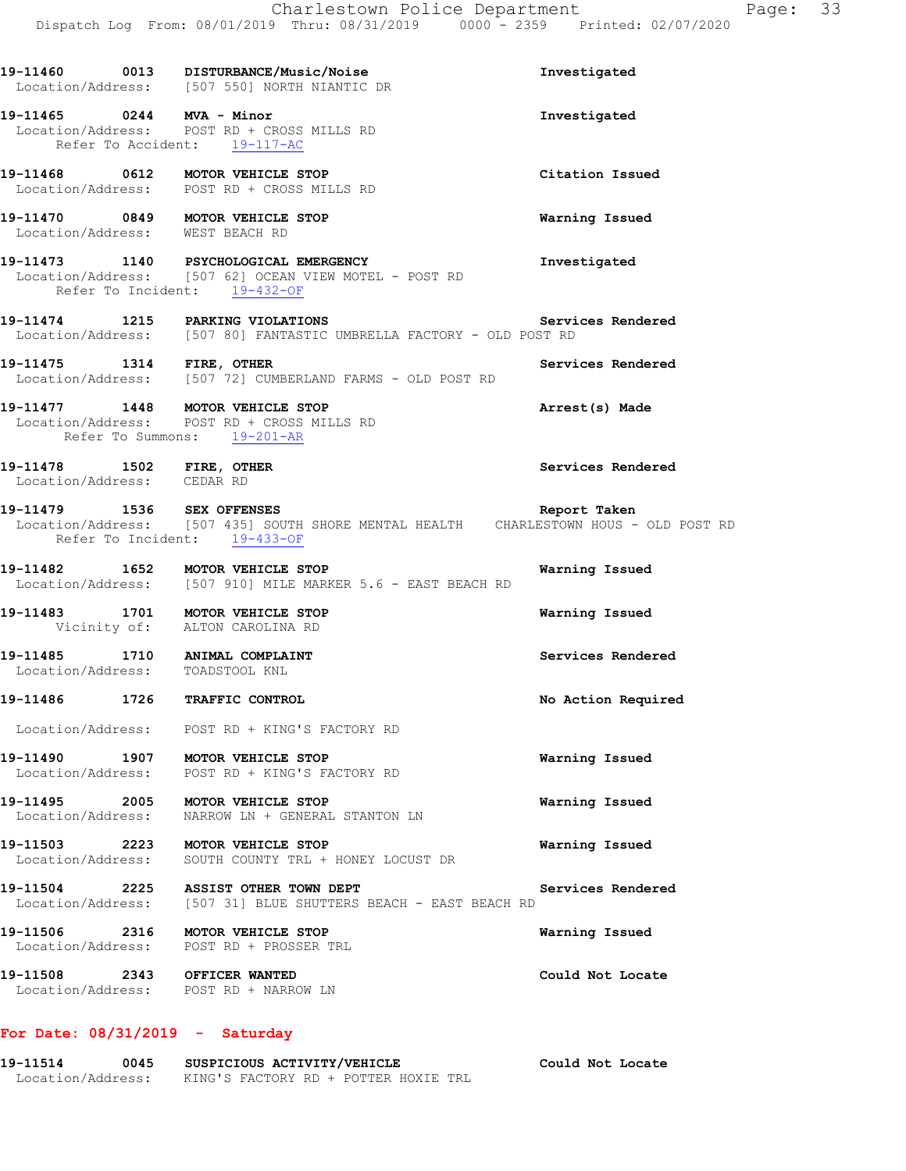**19-11460 0013 DISTURBANCE/Music/Noise Investigated**  Location/Address: [507 550] NORTH NIANTIC DR **19-11465 0244 MVA - Minor Investigated**  Location/Address: POST RD + CROSS MILLS RD Refer To Accident: 19-117-AC **19-11468 0612 MOTOR VEHICLE STOP Citation Issued**  Location/Address: POST RD + CROSS MILLS RD **19-11470 0849 MOTOR VEHICLE STOP Warning Issued**  Location/Address: WEST BEACH RD **19-11473 1140 PSYCHOLOGICAL EMERGENCY Investigated**  Location/Address: [507 62] OCEAN VIEW MOTEL - POST RD Refer To Incident: 19-432-OF **19-11474 1215 PARKING VIOLATIONS Services Rendered**  Location/Address: [507 80] FANTASTIC UMBRELLA FACTORY - OLD POST RD **19-11475 1314 FIRE, OTHER Services Rendered**  Location/Address: [507 72] CUMBERLAND FARMS - OLD POST RD **19-11477 1448 MOTOR VEHICLE STOP Arrest(s) Made**  Location/Address: POST RD + CROSS MILLS RD Refer To Summons: 19-201-AR **19-11478 1502 FIRE, OTHER Services Rendered**  Location/Address: CEDAR RD **19-11479 1536 SEX OFFENSES Report Taken**  Location/Address: [507 435] SOUTH SHORE MENTAL HEALTH CHARLESTOWN HOUS - OLD POST RD Refer To Incident: 19-433-OF **19-11482 1652 MOTOR VEHICLE STOP Warning Issued**  Location/Address: [507 910] MILE MARKER 5.6 - EAST BEACH RD **19-11483 1701 MOTOR VEHICLE STOP Warning Issued**  Vicinity of: ALTON CAROLINA RD **19-11485 1710 ANIMAL COMPLAINT Services Rendered**  Location/Address: TOADSTOOL KNL **19-11486 1726 TRAFFIC CONTROL No Action Required**  Location/Address: POST RD + KING'S FACTORY RD **19-11490 1907 MOTOR VEHICLE STOP Warning Issued**  Location/Address: POST RD + KING'S FACTORY RD **19-11495 2005 MOTOR VEHICLE STOP Warning Issued**  Location/Address: NARROW LN + GENERAL STANTON LN **19-11503 2223 MOTOR VEHICLE STOP Warning Issued**  Location/Address: SOUTH COUNTY TRL + HONEY LOCUST DR **19-11504 2225 ASSIST OTHER TOWN DEPT Services Rendered**  Location/Address: [507 31] BLUE SHUTTERS BEACH - EAST BEACH RD **19-11506 2316 MOTOR VEHICLE STOP Warning Issued**  Location/Address: POST RD + PROSSER TRL **19-11508 2343 OFFICER WANTED Could Not Locate**  Location/Address: POST RD + NARROW LN

#### **For Date: 08/31/2019 - Saturday**

| 19-11514          | 0045 | SUSPICIOUS ACTIVITY/VEHICLE          | Could Not Locate |
|-------------------|------|--------------------------------------|------------------|
| Location/Address: |      | KING'S FACTORY RD + POTTER HOXIE TRL |                  |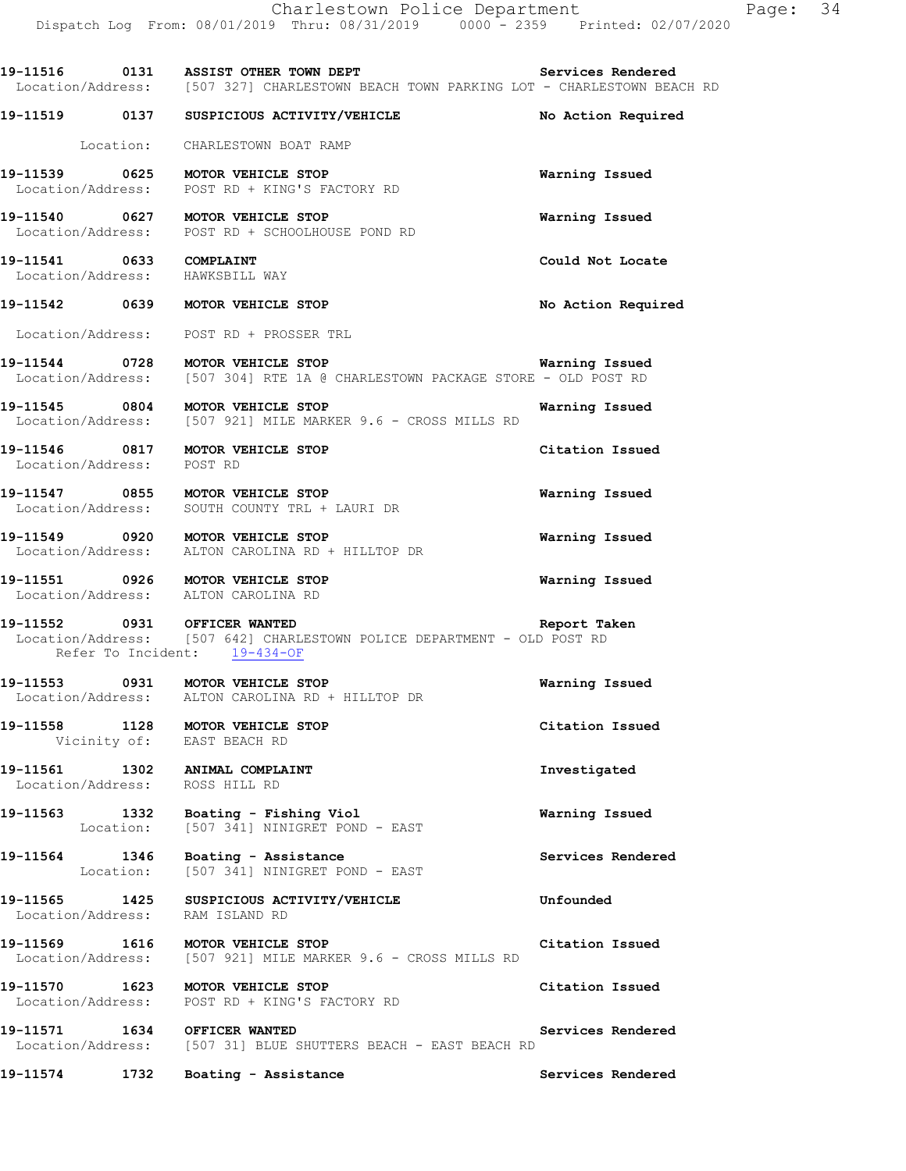19-11516 **0131 ASSIST OTHER TOWN DEPT Services Rendered**  Location/Address: [507 327] CHARLESTOWN BEACH TOWN PARKING LOT - CHARLESTOWN BEACH RD **19-11519 0137 SUSPICIOUS ACTIVITY/VEHICLE No Action Required**  Location: CHARLESTOWN BOAT RAMP **19-11539 0625 MOTOR VEHICLE STOP Warning Issued**  Location/Address: POST RD + KING'S FACTORY RD **19-11540 0627 MOTOR VEHICLE STOP Warning Issued**  Location/Address: POST RD + SCHOOLHOUSE POND RD **19-11541 0633 COMPLAINT Could Not Locate**  Location/Address: HAWKSBILL WAY **19-11542 0639 MOTOR VEHICLE STOP No Action Required**  Location/Address: POST RD + PROSSER TRL **19-11544 0728 MOTOR VEHICLE STOP WATH WATHING ISSued Warning Issued** Location/Address: [507 304] RTE 1A @ CHARLESTOWN PACKAGE STORE - OLD POST RD [507 304] RTE 1A @ CHARLESTOWN PACKAGE STORE - OLD POST RD **19-11545 0804 MOTOR VEHICLE STOP WARKER 9.6 - CROSS MILLS RD Warning Issued** Location/Address: [507 921] MILE MARKER 9.6 - CROSS MILLS RD [507 921] MILE MARKER 9.6 - CROSS MILLS RD **19-11546 0817 MOTOR VEHICLE STOP Citation Issued**  Location/Address: POST RD **19-11547 0855 MOTOR VEHICLE STOP Warning Issued**  Location/Address: SOUTH COUNTY TRL + LAURI DR **19-11549 0920 MOTOR VEHICLE STOP Warning Issued**  Location/Address: ALTON CAROLINA RD + HILLTOP DR **19-11551 0926 MOTOR VEHICLE STOP Warning Issued**  Location/Address: ALTON CAROLINA RD **19-11552 0931 OFFICER WANTED Report Taken**  Location/Address: [507 642] CHARLESTOWN POLICE DEPARTMENT - OLD POST RD Refer To Incident: 19-434-OF **19-11553 0931 MOTOR VEHICLE STOP Warning Issued**  Location/Address: ALTON CAROLINA RD + HILLTOP DR **19-11558 1128 MOTOR VEHICLE STOP Citation Issued**  Vicinity of: EAST BEACH RD **19-11561 1302 ANIMAL COMPLAINT Investigated**  Location/Address: ROSS HILL RD **19-11563** 1332 Boating - Fishing Viol **Warning Issued** Location: [507 341] NINIGRET POND - EAST Location: [507 341] NINIGRET POND - EAST **19-11564 1346 Boating - Assistance Services Rendered**  [507 341] NINIGRET POND - EAST **19-11565 1425 SUSPICIOUS ACTIVITY/VEHICLE Unfounded**  Location/Address: RAM ISLAND RD **19-11569 1616 MOTOR VEHICLE STOP Citation Issued**  Location/Address: [507 921] MILE MARKER 9.6 - CROSS MILLS RD **19-11570 1623 MOTOR VEHICLE STOP Citation Issued**  Location/Address: POST RD + KING'S FACTORY RD 19-11571 1634 OFFICER WANTED **Services Rendered Services Rendered IOCO 1634** OFFICER WANTED **SEACH** - EAST BEACH RD [507 31] BLUE SHUTTERS BEACH - EAST BEACH RD **19-11574 1732 Boating - Assistance Services Rendered**